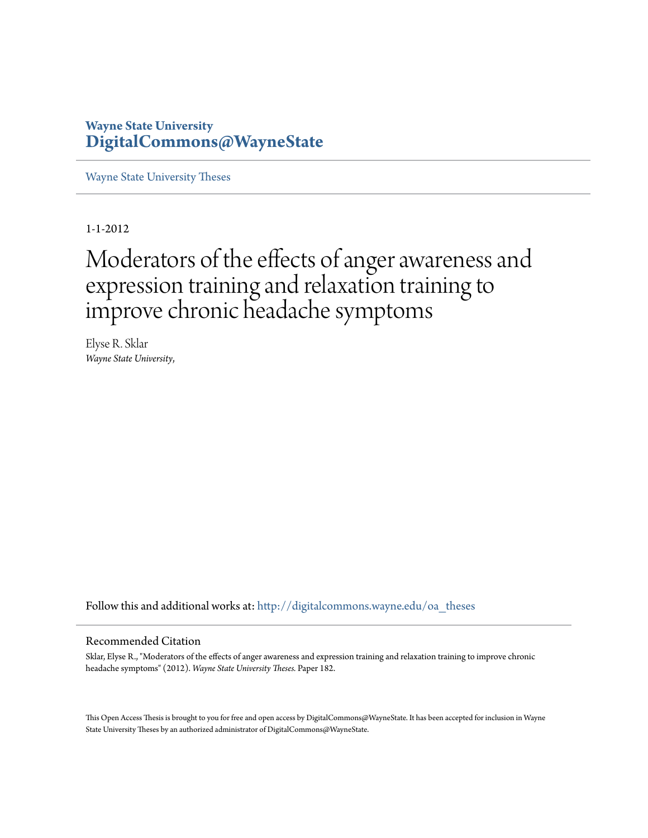# **Wayne State University [DigitalCommons@WayneState](http://digitalcommons.wayne.edu?utm_source=digitalcommons.wayne.edu%2Foa_theses%2F182&utm_medium=PDF&utm_campaign=PDFCoverPages)**

[Wayne State University Theses](http://digitalcommons.wayne.edu/oa_theses?utm_source=digitalcommons.wayne.edu%2Foa_theses%2F182&utm_medium=PDF&utm_campaign=PDFCoverPages)

1-1-2012

# Moderators of the effects of anger awareness and expression training and relaxation training to improve chronic headache symptoms

Elyse R. Sklar *Wayne State University*,

Follow this and additional works at: [http://digitalcommons.wayne.edu/oa\\_theses](http://digitalcommons.wayne.edu/oa_theses?utm_source=digitalcommons.wayne.edu%2Foa_theses%2F182&utm_medium=PDF&utm_campaign=PDFCoverPages)

#### Recommended Citation

Sklar, Elyse R., "Moderators of the effects of anger awareness and expression training and relaxation training to improve chronic headache symptoms" (2012). *Wayne State University Theses.* Paper 182.

This Open Access Thesis is brought to you for free and open access by DigitalCommons@WayneState. It has been accepted for inclusion in Wayne State University Theses by an authorized administrator of DigitalCommons@WayneState.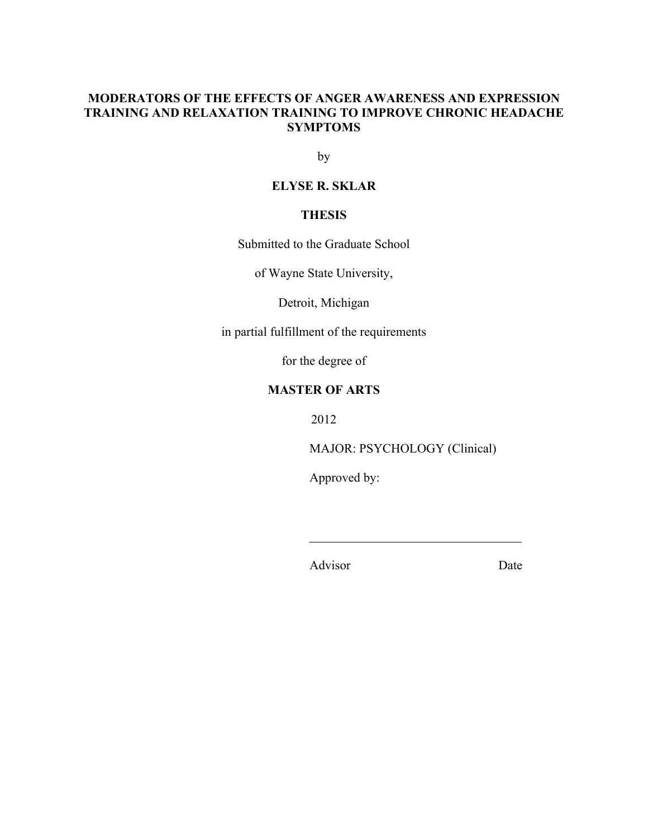# **MODERATORS OF THE EFFECTS OF ANGER AWARENESS AND EXPRESSION TRAINING AND RELAXATION TRAINING TO IMPROVE CHRONIC HEADACHE SYMPTOMS**

by

# **ELYSE R. SKLAR**

# **THESIS**

Submitted to the Graduate School

of Wayne State University,

Detroit, Michigan

in partial fulfillment of the requirements

for the degree of

# **MASTER OF ARTS**

2012

MAJOR: PSYCHOLOGY (Clinical)

Approved by:

Advisor Date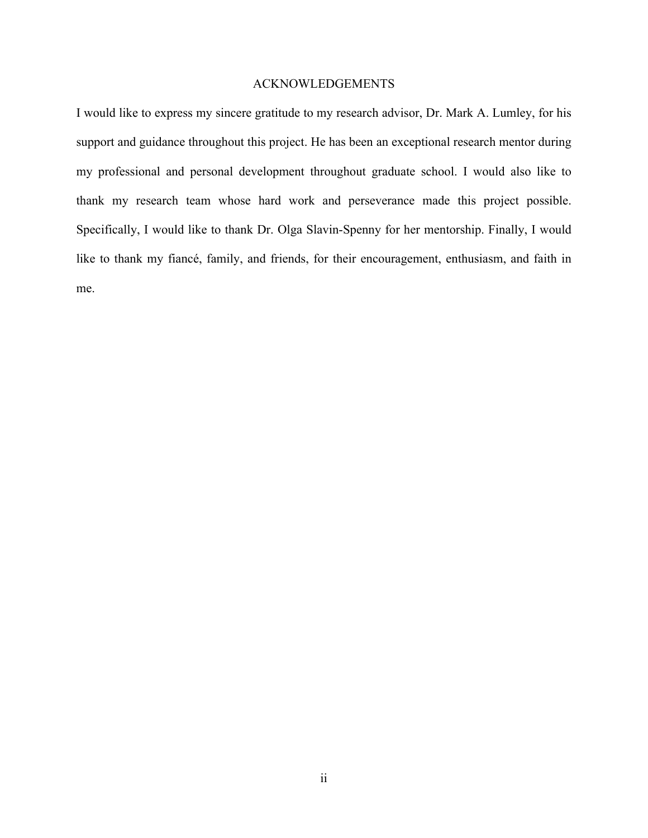## ACKNOWLEDGEMENTS

I would like to express my sincere gratitude to my research advisor, Dr. Mark A. Lumley, for his support and guidance throughout this project. He has been an exceptional research mentor during my professional and personal development throughout graduate school. I would also like to thank my research team whose hard work and perseverance made this project possible. Specifically, I would like to thank Dr. Olga Slavin-Spenny for her mentorship. Finally, I would like to thank my fiancé, family, and friends, for their encouragement, enthusiasm, and faith in me.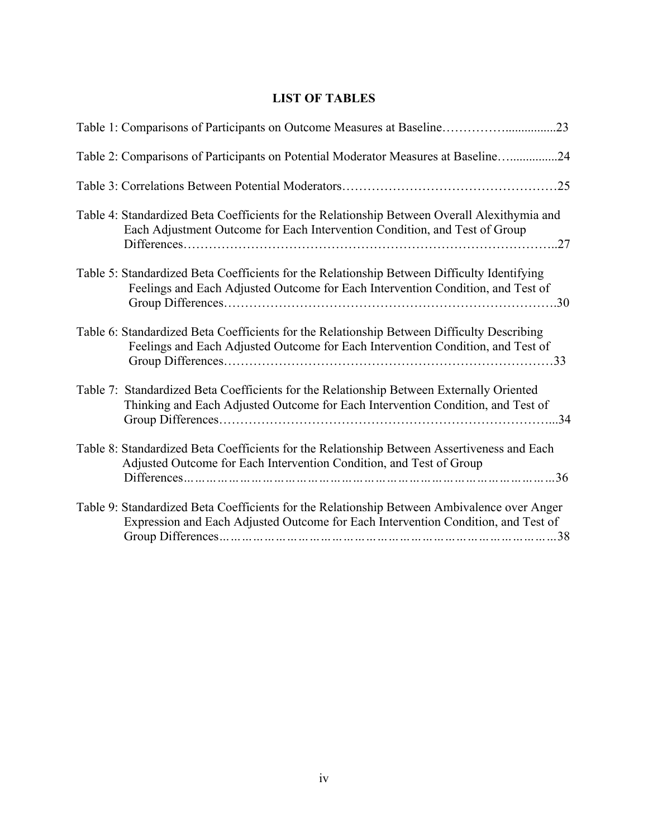# **LIST OF TABLES**

| Table 2: Comparisons of Participants on Potential Moderator Measures at Baseline24                                                                                                    |
|---------------------------------------------------------------------------------------------------------------------------------------------------------------------------------------|
|                                                                                                                                                                                       |
| Table 4: Standardized Beta Coefficients for the Relationship Between Overall Alexithymia and<br>Each Adjustment Outcome for Each Intervention Condition, and Test of Group<br>27      |
| Table 5: Standardized Beta Coefficients for the Relationship Between Difficulty Identifying<br>Feelings and Each Adjusted Outcome for Each Intervention Condition, and Test of<br>.30 |
| Table 6: Standardized Beta Coefficients for the Relationship Between Difficulty Describing<br>Feelings and Each Adjusted Outcome for Each Intervention Condition, and Test of         |
| Table 7: Standardized Beta Coefficients for the Relationship Between Externally Oriented<br>Thinking and Each Adjusted Outcome for Each Intervention Condition, and Test of           |
| Table 8: Standardized Beta Coefficients for the Relationship Between Assertiveness and Each<br>Adjusted Outcome for Each Intervention Condition, and Test of Group                    |
| Table 9: Standardized Beta Coefficients for the Relationship Between Ambivalence over Anger<br>Expression and Each Adjusted Outcome for Each Intervention Condition, and Test of      |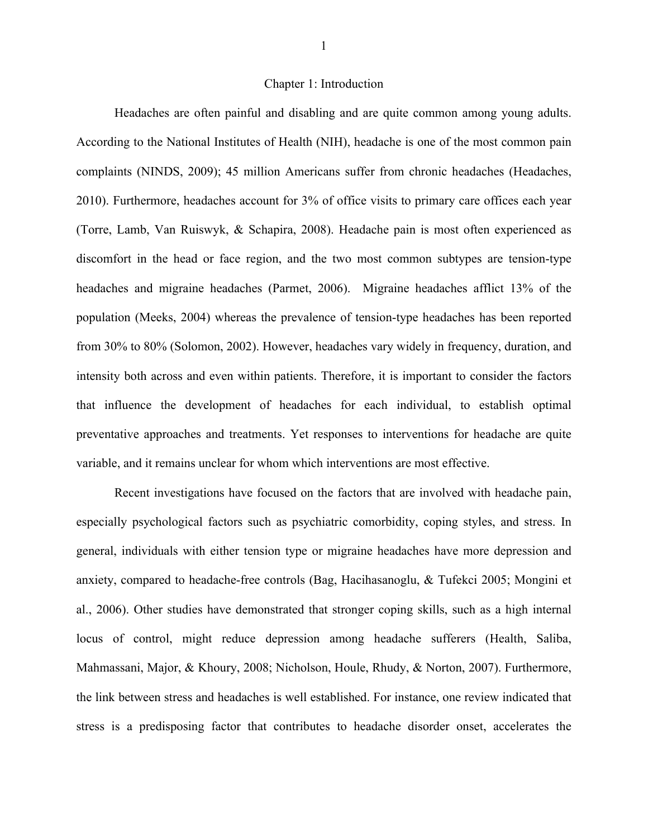#### Chapter 1: Introduction

Headaches are often painful and disabling and are quite common among young adults. According to the National Institutes of Health (NIH), headache is one of the most common pain complaints (NINDS, 2009); 45 million Americans suffer from chronic headaches (Headaches, 2010). Furthermore, headaches account for 3% of office visits to primary care offices each year (Torre, Lamb, Van Ruiswyk, & Schapira, 2008). Headache pain is most often experienced as discomfort in the head or face region, and the two most common subtypes are tension-type headaches and migraine headaches (Parmet, 2006). Migraine headaches afflict 13% of the population (Meeks, 2004) whereas the prevalence of tension-type headaches has been reported from 30% to 80% (Solomon, 2002). However, headaches vary widely in frequency, duration, and intensity both across and even within patients. Therefore, it is important to consider the factors that influence the development of headaches for each individual, to establish optimal preventative approaches and treatments. Yet responses to interventions for headache are quite variable, and it remains unclear for whom which interventions are most effective.

Recent investigations have focused on the factors that are involved with headache pain, especially psychological factors such as psychiatric comorbidity, coping styles, and stress. In general, individuals with either tension type or migraine headaches have more depression and anxiety, compared to headache-free controls (Bag, Hacihasanoglu, & Tufekci 2005; Mongini et al., 2006). Other studies have demonstrated that stronger coping skills, such as a high internal locus of control, might reduce depression among headache sufferers (Health, Saliba, Mahmassani, Major, & Khoury, 2008; Nicholson, Houle, Rhudy, & Norton, 2007). Furthermore, the link between stress and headaches is well established. For instance, one review indicated that stress is a predisposing factor that contributes to headache disorder onset, accelerates the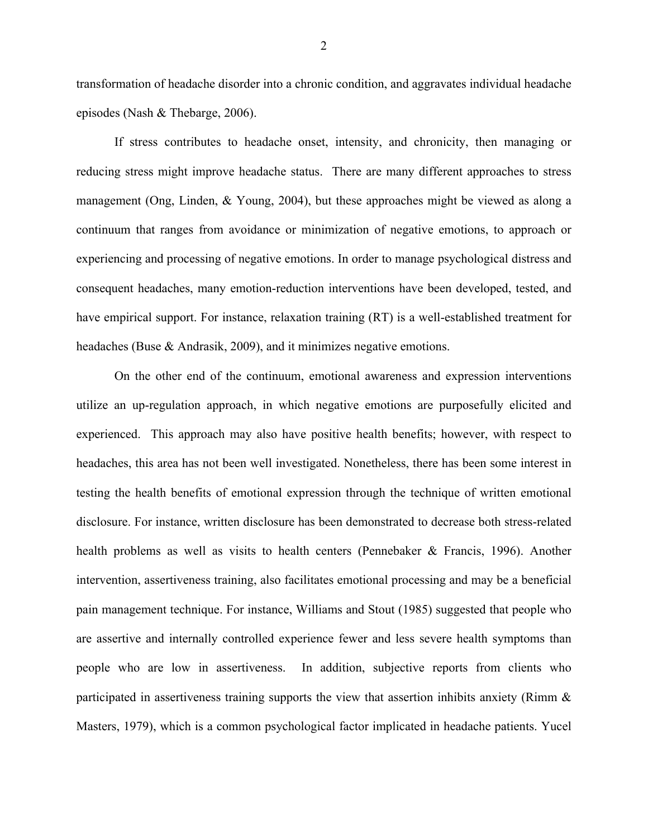transformation of headache disorder into a chronic condition, and aggravates individual headache episodes (Nash & Thebarge, 2006).

If stress contributes to headache onset, intensity, and chronicity, then managing or reducing stress might improve headache status. There are many different approaches to stress management (Ong, Linden, & Young, 2004), but these approaches might be viewed as along a continuum that ranges from avoidance or minimization of negative emotions, to approach or experiencing and processing of negative emotions. In order to manage psychological distress and consequent headaches, many emotion-reduction interventions have been developed, tested, and have empirical support. For instance, relaxation training (RT) is a well-established treatment for headaches (Buse & Andrasik, 2009), and it minimizes negative emotions.

On the other end of the continuum, emotional awareness and expression interventions utilize an up-regulation approach, in which negative emotions are purposefully elicited and experienced. This approach may also have positive health benefits; however, with respect to headaches, this area has not been well investigated. Nonetheless, there has been some interest in testing the health benefits of emotional expression through the technique of written emotional disclosure. For instance, written disclosure has been demonstrated to decrease both stress-related health problems as well as visits to health centers (Pennebaker & Francis, 1996). Another intervention, assertiveness training, also facilitates emotional processing and may be a beneficial pain management technique. For instance, Williams and Stout (1985) suggested that people who are assertive and internally controlled experience fewer and less severe health symptoms than people who are low in assertiveness. In addition, subjective reports from clients who participated in assertiveness training supports the view that assertion inhibits anxiety (Rimm & Masters, 1979), which is a common psychological factor implicated in headache patients. Yucel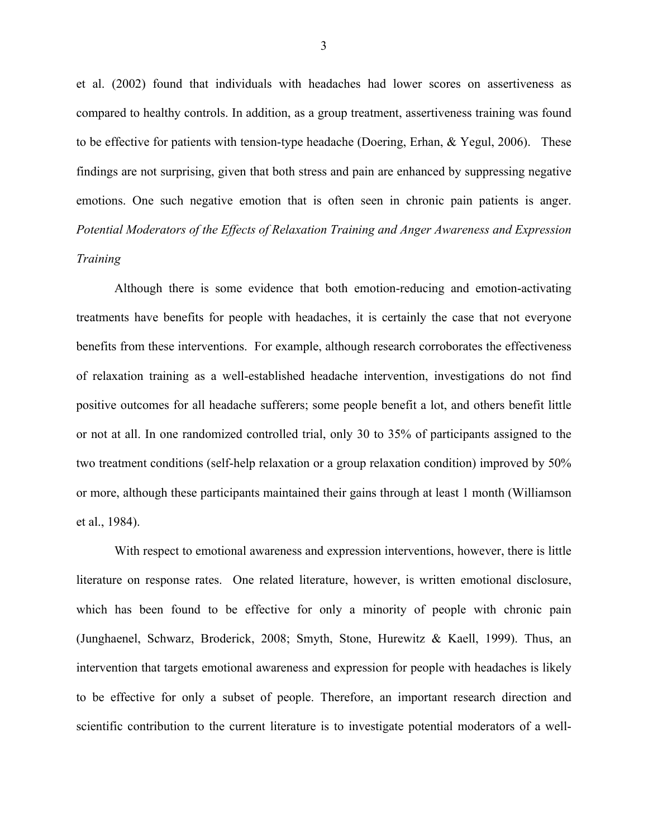et al. (2002) found that individuals with headaches had lower scores on assertiveness as compared to healthy controls. In addition, as a group treatment, assertiveness training was found to be effective for patients with tension-type headache (Doering, Erhan, & Yegul, 2006). These findings are not surprising, given that both stress and pain are enhanced by suppressing negative emotions. One such negative emotion that is often seen in chronic pain patients is anger. *Potential Moderators of the Effects of Relaxation Training and Anger Awareness and Expression Training*

Although there is some evidence that both emotion-reducing and emotion-activating treatments have benefits for people with headaches, it is certainly the case that not everyone benefits from these interventions. For example, although research corroborates the effectiveness of relaxation training as a well-established headache intervention, investigations do not find positive outcomes for all headache sufferers; some people benefit a lot, and others benefit little or not at all. In one randomized controlled trial, only 30 to 35% of participants assigned to the two treatment conditions (self-help relaxation or a group relaxation condition) improved by 50% or more, although these participants maintained their gains through at least 1 month (Williamson et al., 1984).

With respect to emotional awareness and expression interventions, however, there is little literature on response rates. One related literature, however, is written emotional disclosure, which has been found to be effective for only a minority of people with chronic pain (Junghaenel, Schwarz, Broderick, 2008; Smyth, Stone, Hurewitz & Kaell, 1999). Thus, an intervention that targets emotional awareness and expression for people with headaches is likely to be effective for only a subset of people. Therefore, an important research direction and scientific contribution to the current literature is to investigate potential moderators of a well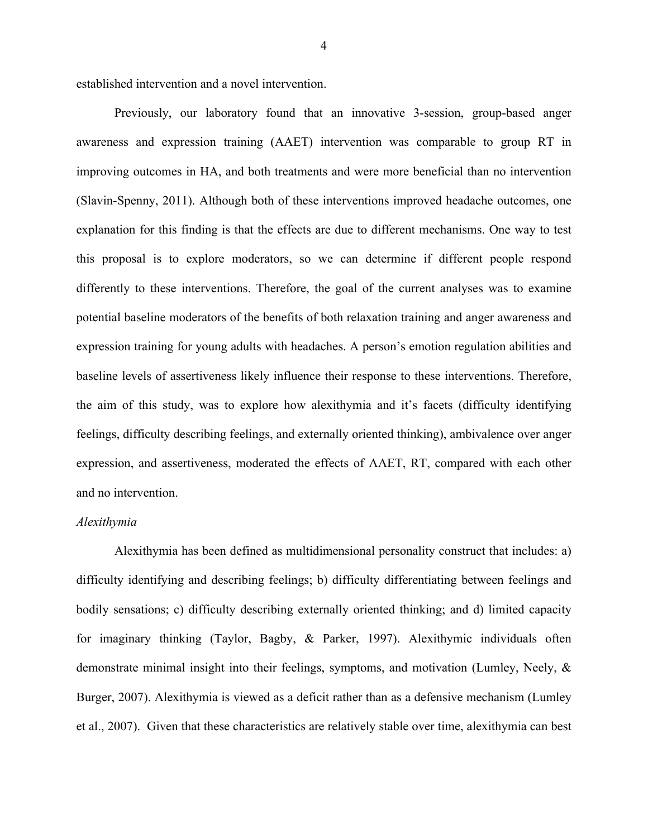established intervention and a novel intervention.

Previously, our laboratory found that an innovative 3-session, group-based anger awareness and expression training (AAET) intervention was comparable to group RT in improving outcomes in HA, and both treatments and were more beneficial than no intervention (Slavin-Spenny, 2011). Although both of these interventions improved headache outcomes, one explanation for this finding is that the effects are due to different mechanisms. One way to test this proposal is to explore moderators, so we can determine if different people respond differently to these interventions. Therefore, the goal of the current analyses was to examine potential baseline moderators of the benefits of both relaxation training and anger awareness and expression training for young adults with headaches. A person's emotion regulation abilities and baseline levels of assertiveness likely influence their response to these interventions. Therefore, the aim of this study, was to explore how alexithymia and it's facets (difficulty identifying feelings, difficulty describing feelings, and externally oriented thinking), ambivalence over anger expression, and assertiveness, moderated the effects of AAET, RT, compared with each other and no intervention.

#### *Alexithymia*

Alexithymia has been defined as multidimensional personality construct that includes: a) difficulty identifying and describing feelings; b) difficulty differentiating between feelings and bodily sensations; c) difficulty describing externally oriented thinking; and d) limited capacity for imaginary thinking (Taylor, Bagby, & Parker, 1997). Alexithymic individuals often demonstrate minimal insight into their feelings, symptoms, and motivation (Lumley, Neely, & Burger, 2007). Alexithymia is viewed as a deficit rather than as a defensive mechanism (Lumley et al., 2007). Given that these characteristics are relatively stable over time, alexithymia can best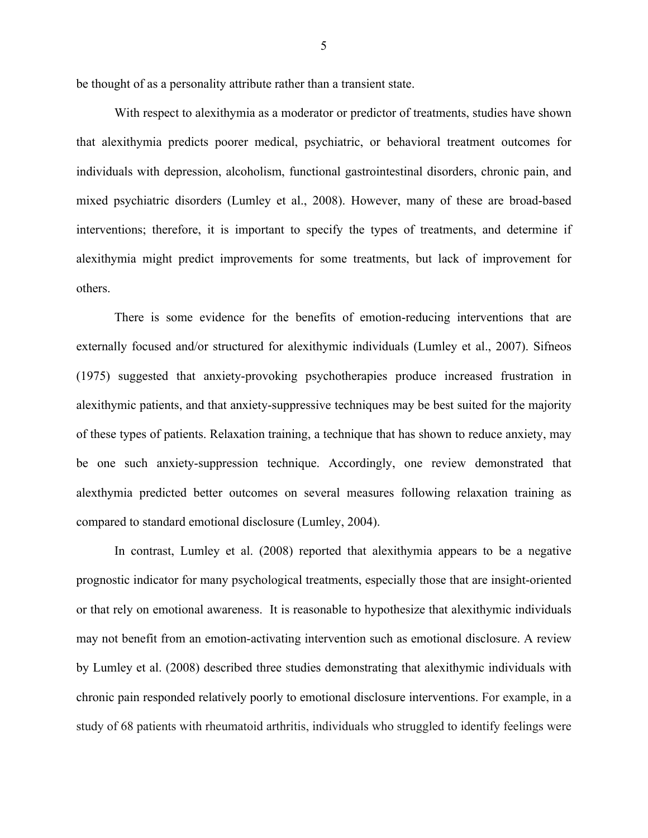be thought of as a personality attribute rather than a transient state.

With respect to alexithymia as a moderator or predictor of treatments, studies have shown that alexithymia predicts poorer medical, psychiatric, or behavioral treatment outcomes for individuals with depression, alcoholism, functional gastrointestinal disorders, chronic pain, and mixed psychiatric disorders (Lumley et al., 2008). However, many of these are broad-based interventions; therefore, it is important to specify the types of treatments, and determine if alexithymia might predict improvements for some treatments, but lack of improvement for others.

There is some evidence for the benefits of emotion-reducing interventions that are externally focused and/or structured for alexithymic individuals (Lumley et al., 2007). Sifneos (1975) suggested that anxiety-provoking psychotherapies produce increased frustration in alexithymic patients, and that anxiety-suppressive techniques may be best suited for the majority of these types of patients. Relaxation training, a technique that has shown to reduce anxiety, may be one such anxiety-suppression technique. Accordingly, one review demonstrated that alexthymia predicted better outcomes on several measures following relaxation training as compared to standard emotional disclosure (Lumley, 2004).

In contrast, Lumley et al. (2008) reported that alexithymia appears to be a negative prognostic indicator for many psychological treatments, especially those that are insight-oriented or that rely on emotional awareness. It is reasonable to hypothesize that alexithymic individuals may not benefit from an emotion-activating intervention such as emotional disclosure. A review by Lumley et al. (2008) described three studies demonstrating that alexithymic individuals with chronic pain responded relatively poorly to emotional disclosure interventions. For example, in a study of 68 patients with rheumatoid arthritis, individuals who struggled to identify feelings were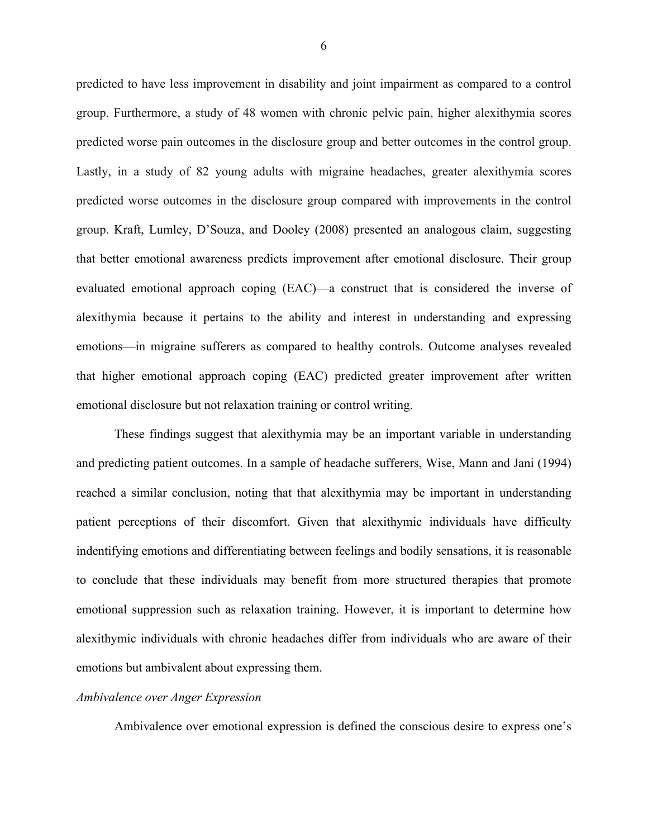predicted to have less improvement in disability and joint impairment as compared to a control group. Furthermore, a study of 48 women with chronic pelvic pain, higher alexithymia scores predicted worse pain outcomes in the disclosure group and better outcomes in the control group. Lastly, in a study of 82 young adults with migraine headaches, greater alexithymia scores predicted worse outcomes in the disclosure group compared with improvements in the control group. Kraft, Lumley, D'Souza, and Dooley (2008) presented an analogous claim, suggesting that better emotional awareness predicts improvement after emotional disclosure. Their group evaluated emotional approach coping (EAC)—a construct that is considered the inverse of alexithymia because it pertains to the ability and interest in understanding and expressing emotions—in migraine sufferers as compared to healthy controls. Outcome analyses revealed that higher emotional approach coping (EAC) predicted greater improvement after written emotional disclosure but not relaxation training or control writing.

These findings suggest that alexithymia may be an important variable in understanding and predicting patient outcomes. In a sample of headache sufferers, Wise, Mann and Jani (1994) reached a similar conclusion, noting that that alexithymia may be important in understanding patient perceptions of their discomfort. Given that alexithymic individuals have difficulty indentifying emotions and differentiating between feelings and bodily sensations, it is reasonable to conclude that these individuals may benefit from more structured therapies that promote emotional suppression such as relaxation training. However, it is important to determine how alexithymic individuals with chronic headaches differ from individuals who are aware of their emotions but ambivalent about expressing them.

#### *Ambivalence over Anger Expression*

Ambivalence over emotional expression is defined the conscious desire to express one's

6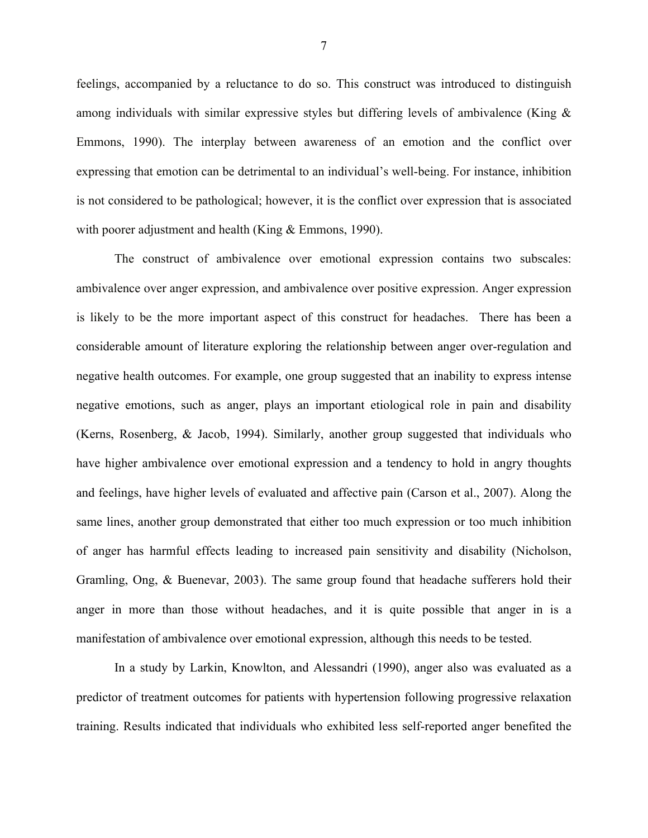feelings, accompanied by a reluctance to do so. This construct was introduced to distinguish among individuals with similar expressive styles but differing levels of ambivalence (King & Emmons, 1990). The interplay between awareness of an emotion and the conflict over expressing that emotion can be detrimental to an individual's well-being. For instance, inhibition is not considered to be pathological; however, it is the conflict over expression that is associated with poorer adjustment and health (King & Emmons, 1990).

The construct of ambivalence over emotional expression contains two subscales: ambivalence over anger expression, and ambivalence over positive expression. Anger expression is likely to be the more important aspect of this construct for headaches. There has been a considerable amount of literature exploring the relationship between anger over-regulation and negative health outcomes. For example, one group suggested that an inability to express intense negative emotions, such as anger, plays an important etiological role in pain and disability (Kerns, Rosenberg, & Jacob, 1994). Similarly, another group suggested that individuals who have higher ambivalence over emotional expression and a tendency to hold in angry thoughts and feelings, have higher levels of evaluated and affective pain (Carson et al., 2007). Along the same lines, another group demonstrated that either too much expression or too much inhibition of anger has harmful effects leading to increased pain sensitivity and disability (Nicholson, Gramling, Ong, & Buenevar, 2003). The same group found that headache sufferers hold their anger in more than those without headaches, and it is quite possible that anger in is a manifestation of ambivalence over emotional expression, although this needs to be tested.

In a study by Larkin, Knowlton, and Alessandri (1990), anger also was evaluated as a predictor of treatment outcomes for patients with hypertension following progressive relaxation training. Results indicated that individuals who exhibited less self-reported anger benefited the

7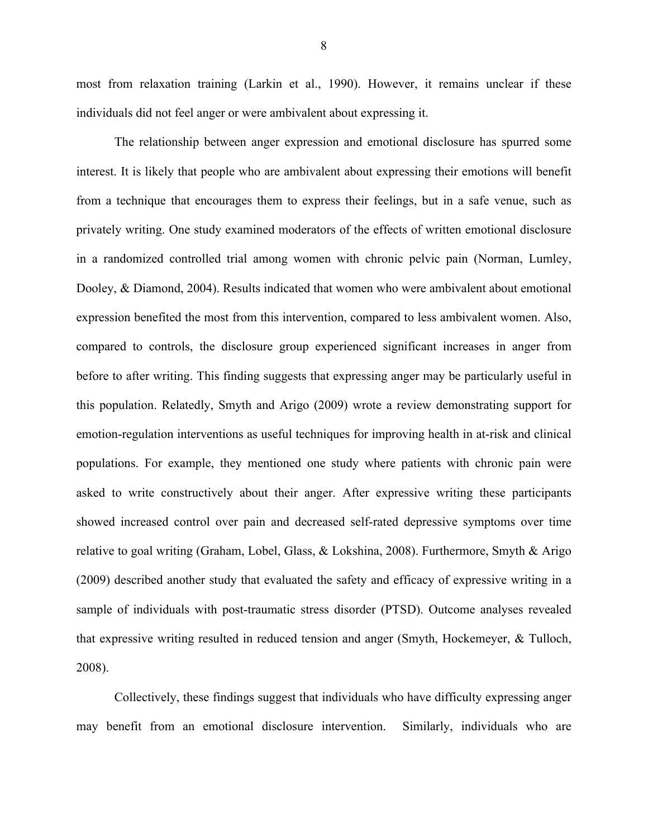most from relaxation training (Larkin et al., 1990). However, it remains unclear if these individuals did not feel anger or were ambivalent about expressing it.

The relationship between anger expression and emotional disclosure has spurred some interest. It is likely that people who are ambivalent about expressing their emotions will benefit from a technique that encourages them to express their feelings, but in a safe venue, such as privately writing. One study examined moderators of the effects of written emotional disclosure in a randomized controlled trial among women with chronic pelvic pain (Norman, Lumley, Dooley, & Diamond, 2004). Results indicated that women who were ambivalent about emotional expression benefited the most from this intervention, compared to less ambivalent women. Also, compared to controls, the disclosure group experienced significant increases in anger from before to after writing. This finding suggests that expressing anger may be particularly useful in this population. Relatedly, Smyth and Arigo (2009) wrote a review demonstrating support for emotion-regulation interventions as useful techniques for improving health in at-risk and clinical populations. For example, they mentioned one study where patients with chronic pain were asked to write constructively about their anger. After expressive writing these participants showed increased control over pain and decreased self-rated depressive symptoms over time relative to goal writing (Graham, Lobel, Glass, & Lokshina, 2008). Furthermore, Smyth & Arigo (2009) described another study that evaluated the safety and efficacy of expressive writing in a sample of individuals with post-traumatic stress disorder (PTSD). Outcome analyses revealed that expressive writing resulted in reduced tension and anger (Smyth, Hockemeyer, & Tulloch, 2008).

Collectively, these findings suggest that individuals who have difficulty expressing anger may benefit from an emotional disclosure intervention. Similarly, individuals who are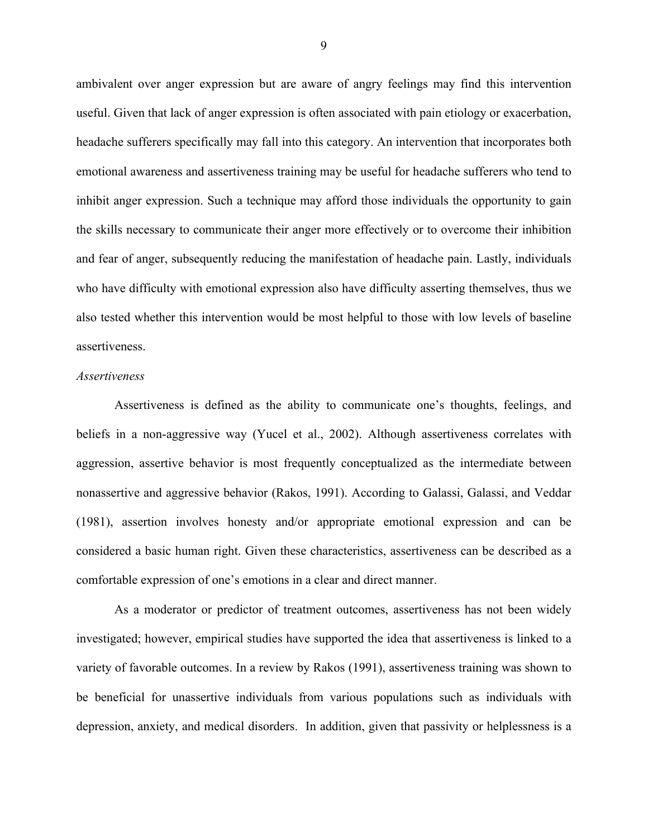ambivalent over anger expression but are aware of angry feelings may find this intervention useful. Given that lack of anger expression is often associated with pain etiology or exacerbation, headache sufferers specifically may fall into this category. An intervention that incorporates both emotional awareness and assertiveness training may be useful for headache sufferers who tend to inhibit anger expression. Such a technique may afford those individuals the opportunity to gain the skills necessary to communicate their anger more effectively or to overcome their inhibition and fear of anger, subsequently reducing the manifestation of headache pain. Lastly, individuals who have difficulty with emotional expression also have difficulty asserting themselves, thus we also tested whether this intervention would be most helpful to those with low levels of baseline assertiveness.

#### *Assertiveness*

Assertiveness is defined as the ability to communicate one's thoughts, feelings, and beliefs in a non-aggressive way (Yucel et al., 2002). Although assertiveness correlates with aggression, assertive behavior is most frequently conceptualized as the intermediate between nonassertive and aggressive behavior (Rakos, 1991). According to Galassi, Galassi, and Veddar (1981), assertion involves honesty and/or appropriate emotional expression and can be considered a basic human right. Given these characteristics, assertiveness can be described as a comfortable expression of one's emotions in a clear and direct manner.

As a moderator or predictor of treatment outcomes, assertiveness has not been widely investigated; however, empirical studies have supported the idea that assertiveness is linked to a variety of favorable outcomes. In a review by Rakos (1991), assertiveness training was shown to be beneficial for unassertive individuals from various populations such as individuals with depression, anxiety, and medical disorders. In addition, given that passivity or helplessness is a

9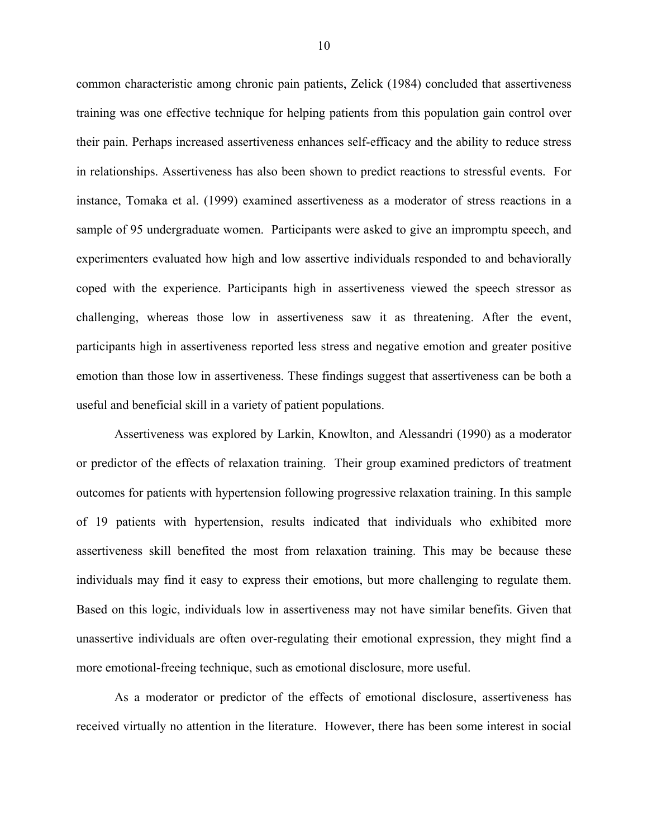common characteristic among chronic pain patients, Zelick (1984) concluded that assertiveness training was one effective technique for helping patients from this population gain control over their pain. Perhaps increased assertiveness enhances self-efficacy and the ability to reduce stress in relationships. Assertiveness has also been shown to predict reactions to stressful events. For instance, Tomaka et al. (1999) examined assertiveness as a moderator of stress reactions in a sample of 95 undergraduate women. Participants were asked to give an impromptu speech, and experimenters evaluated how high and low assertive individuals responded to and behaviorally coped with the experience. Participants high in assertiveness viewed the speech stressor as challenging, whereas those low in assertiveness saw it as threatening. After the event, participants high in assertiveness reported less stress and negative emotion and greater positive emotion than those low in assertiveness. These findings suggest that assertiveness can be both a useful and beneficial skill in a variety of patient populations.

Assertiveness was explored by Larkin, Knowlton, and Alessandri (1990) as a moderator or predictor of the effects of relaxation training. Their group examined predictors of treatment outcomes for patients with hypertension following progressive relaxation training. In this sample of 19 patients with hypertension, results indicated that individuals who exhibited more assertiveness skill benefited the most from relaxation training. This may be because these individuals may find it easy to express their emotions, but more challenging to regulate them. Based on this logic, individuals low in assertiveness may not have similar benefits. Given that unassertive individuals are often over-regulating their emotional expression, they might find a more emotional-freeing technique, such as emotional disclosure, more useful.

As a moderator or predictor of the effects of emotional disclosure, assertiveness has received virtually no attention in the literature. However, there has been some interest in social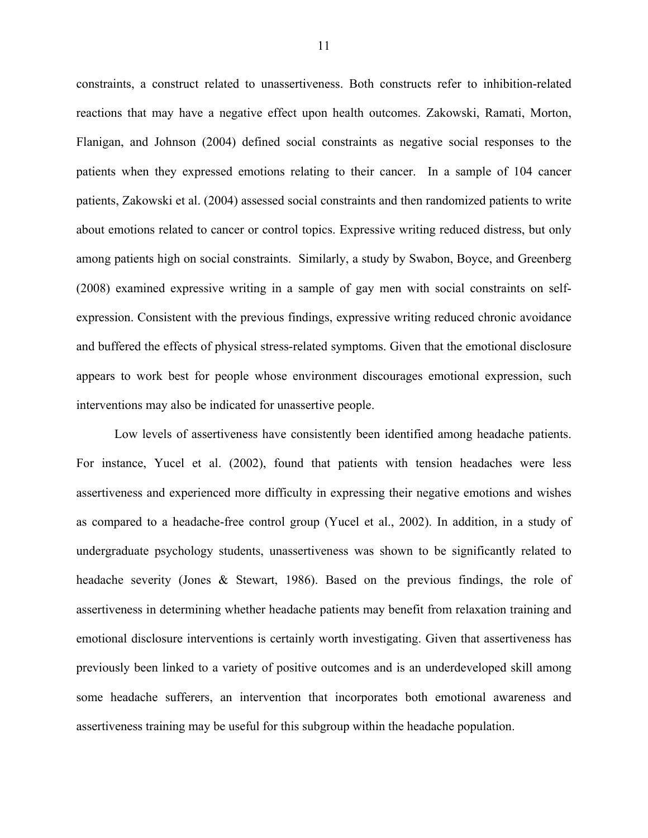constraints, a construct related to unassertiveness. Both constructs refer to inhibition-related reactions that may have a negative effect upon health outcomes. Zakowski, Ramati, Morton, Flanigan, and Johnson (2004) defined social constraints as negative social responses to the patients when they expressed emotions relating to their cancer. In a sample of 104 cancer patients, Zakowski et al. (2004) assessed social constraints and then randomized patients to write about emotions related to cancer or control topics. Expressive writing reduced distress, but only among patients high on social constraints. Similarly, a study by Swabon, Boyce, and Greenberg (2008) examined expressive writing in a sample of gay men with social constraints on selfexpression. Consistent with the previous findings, expressive writing reduced chronic avoidance and buffered the effects of physical stress-related symptoms. Given that the emotional disclosure appears to work best for people whose environment discourages emotional expression, such interventions may also be indicated for unassertive people.

Low levels of assertiveness have consistently been identified among headache patients. For instance, Yucel et al. (2002), found that patients with tension headaches were less assertiveness and experienced more difficulty in expressing their negative emotions and wishes as compared to a headache-free control group (Yucel et al., 2002). In addition, in a study of undergraduate psychology students, unassertiveness was shown to be significantly related to headache severity (Jones & Stewart, 1986). Based on the previous findings, the role of assertiveness in determining whether headache patients may benefit from relaxation training and emotional disclosure interventions is certainly worth investigating. Given that assertiveness has previously been linked to a variety of positive outcomes and is an underdeveloped skill among some headache sufferers, an intervention that incorporates both emotional awareness and assertiveness training may be useful for this subgroup within the headache population.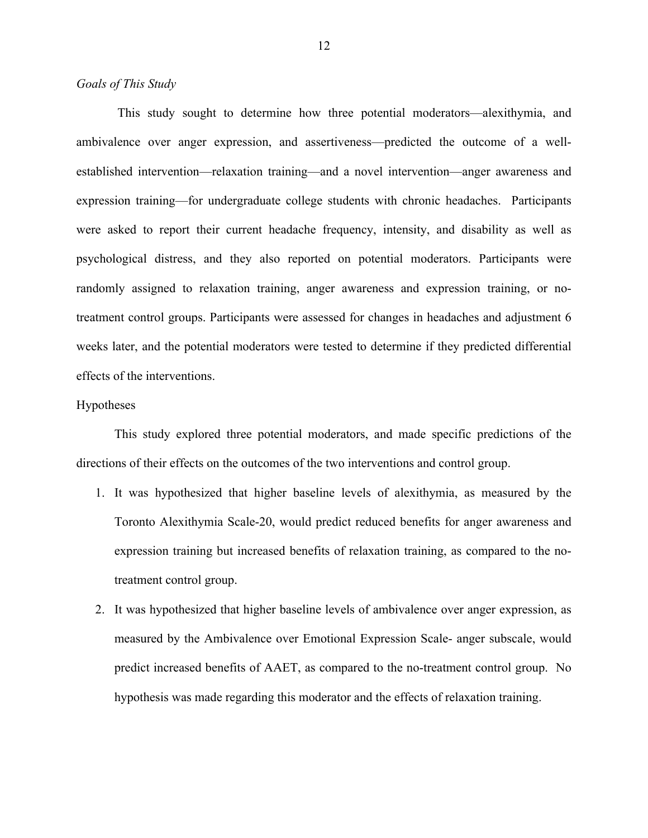## *Goals of This Study*

This study sought to determine how three potential moderators—alexithymia, and ambivalence over anger expression, and assertiveness—predicted the outcome of a wellestablished intervention—relaxation training—and a novel intervention—anger awareness and expression training—for undergraduate college students with chronic headaches. Participants were asked to report their current headache frequency, intensity, and disability as well as psychological distress, and they also reported on potential moderators. Participants were randomly assigned to relaxation training, anger awareness and expression training, or notreatment control groups. Participants were assessed for changes in headaches and adjustment 6 weeks later, and the potential moderators were tested to determine if they predicted differential effects of the interventions.

#### Hypotheses

This study explored three potential moderators, and made specific predictions of the directions of their effects on the outcomes of the two interventions and control group.

- 1. It was hypothesized that higher baseline levels of alexithymia, as measured by the Toronto Alexithymia Scale-20, would predict reduced benefits for anger awareness and expression training but increased benefits of relaxation training, as compared to the notreatment control group.
- 2. It was hypothesized that higher baseline levels of ambivalence over anger expression, as measured by the Ambivalence over Emotional Expression Scale- anger subscale, would predict increased benefits of AAET, as compared to the no-treatment control group. No hypothesis was made regarding this moderator and the effects of relaxation training.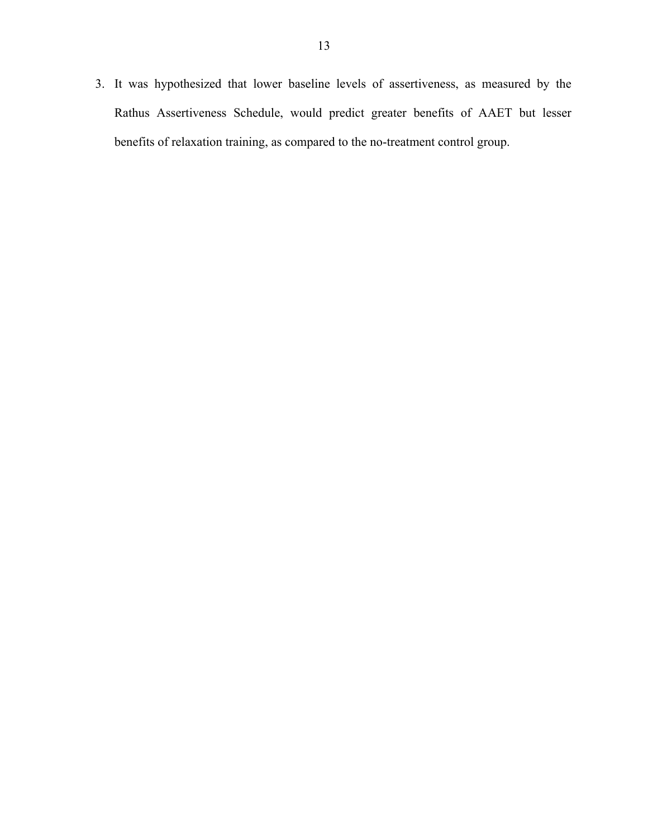3. It was hypothesized that lower baseline levels of assertiveness, as measured by the Rathus Assertiveness Schedule, would predict greater benefits of AAET but lesser benefits of relaxation training, as compared to the no-treatment control group.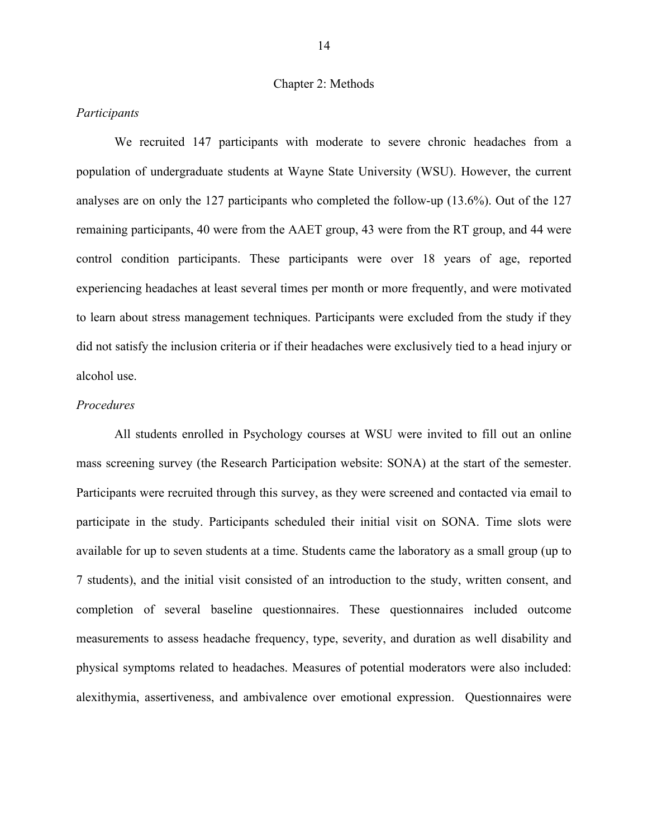#### Chapter 2: Methods

## *Participants*

We recruited 147 participants with moderate to severe chronic headaches from a population of undergraduate students at Wayne State University (WSU). However, the current analyses are on only the 127 participants who completed the follow-up (13.6%). Out of the 127 remaining participants, 40 were from the AAET group, 43 were from the RT group, and 44 were control condition participants. These participants were over 18 years of age, reported experiencing headaches at least several times per month or more frequently, and were motivated to learn about stress management techniques. Participants were excluded from the study if they did not satisfy the inclusion criteria or if their headaches were exclusively tied to a head injury or alcohol use.

## *Procedures*

All students enrolled in Psychology courses at WSU were invited to fill out an online mass screening survey (the Research Participation website: SONA) at the start of the semester. Participants were recruited through this survey, as they were screened and contacted via email to participate in the study. Participants scheduled their initial visit on SONA. Time slots were available for up to seven students at a time. Students came the laboratory as a small group (up to 7 students), and the initial visit consisted of an introduction to the study, written consent, and completion of several baseline questionnaires. These questionnaires included outcome measurements to assess headache frequency, type, severity, and duration as well disability and physical symptoms related to headaches. Measures of potential moderators were also included: alexithymia, assertiveness, and ambivalence over emotional expression. Questionnaires were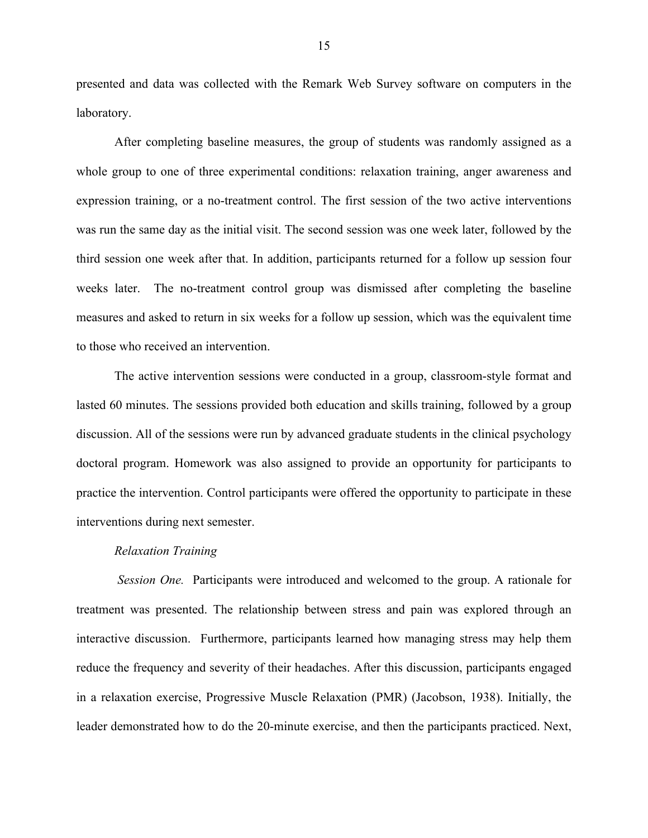presented and data was collected with the Remark Web Survey software on computers in the laboratory.

After completing baseline measures, the group of students was randomly assigned as a whole group to one of three experimental conditions: relaxation training, anger awareness and expression training, or a no-treatment control. The first session of the two active interventions was run the same day as the initial visit. The second session was one week later, followed by the third session one week after that. In addition, participants returned for a follow up session four weeks later. The no-treatment control group was dismissed after completing the baseline measures and asked to return in six weeks for a follow up session, which was the equivalent time to those who received an intervention.

The active intervention sessions were conducted in a group, classroom-style format and lasted 60 minutes. The sessions provided both education and skills training, followed by a group discussion. All of the sessions were run by advanced graduate students in the clinical psychology doctoral program. Homework was also assigned to provide an opportunity for participants to practice the intervention. Control participants were offered the opportunity to participate in these interventions during next semester.

#### *Relaxation Training*

 *Session One.* Participants were introduced and welcomed to the group. A rationale for treatment was presented. The relationship between stress and pain was explored through an interactive discussion. Furthermore, participants learned how managing stress may help them reduce the frequency and severity of their headaches. After this discussion, participants engaged in a relaxation exercise, Progressive Muscle Relaxation (PMR) (Jacobson, 1938). Initially, the leader demonstrated how to do the 20-minute exercise, and then the participants practiced. Next,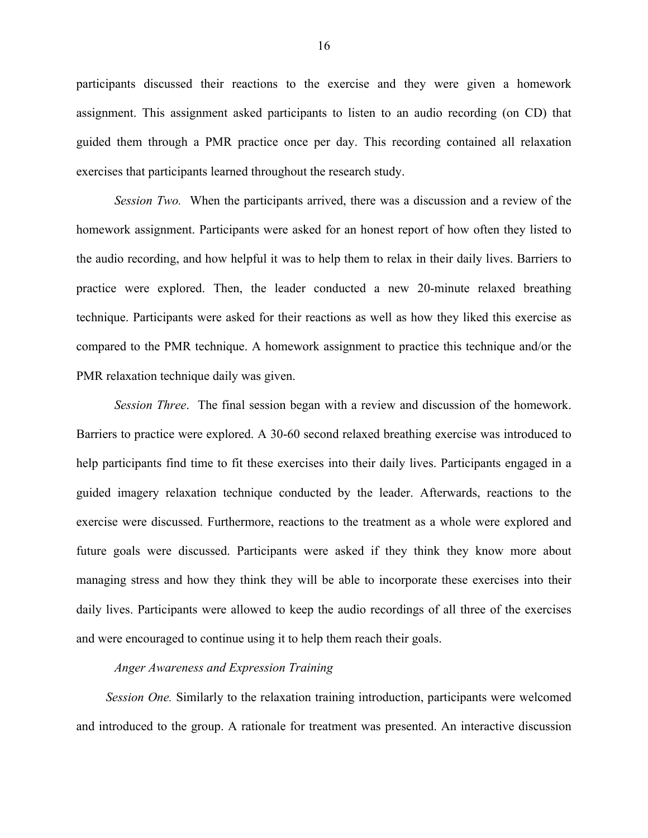participants discussed their reactions to the exercise and they were given a homework assignment. This assignment asked participants to listen to an audio recording (on CD) that guided them through a PMR practice once per day. This recording contained all relaxation exercises that participants learned throughout the research study.

*Session Two.* When the participants arrived, there was a discussion and a review of the homework assignment. Participants were asked for an honest report of how often they listed to the audio recording, and how helpful it was to help them to relax in their daily lives. Barriers to practice were explored. Then, the leader conducted a new 20-minute relaxed breathing technique. Participants were asked for their reactions as well as how they liked this exercise as compared to the PMR technique. A homework assignment to practice this technique and/or the PMR relaxation technique daily was given.

*Session Three*. The final session began with a review and discussion of the homework. Barriers to practice were explored. A 30-60 second relaxed breathing exercise was introduced to help participants find time to fit these exercises into their daily lives. Participants engaged in a guided imagery relaxation technique conducted by the leader. Afterwards, reactions to the exercise were discussed. Furthermore, reactions to the treatment as a whole were explored and future goals were discussed. Participants were asked if they think they know more about managing stress and how they think they will be able to incorporate these exercises into their daily lives. Participants were allowed to keep the audio recordings of all three of the exercises and were encouraged to continue using it to help them reach their goals.

## *Anger Awareness and Expression Training*

*Session One.* Similarly to the relaxation training introduction, participants were welcomed and introduced to the group. A rationale for treatment was presented. An interactive discussion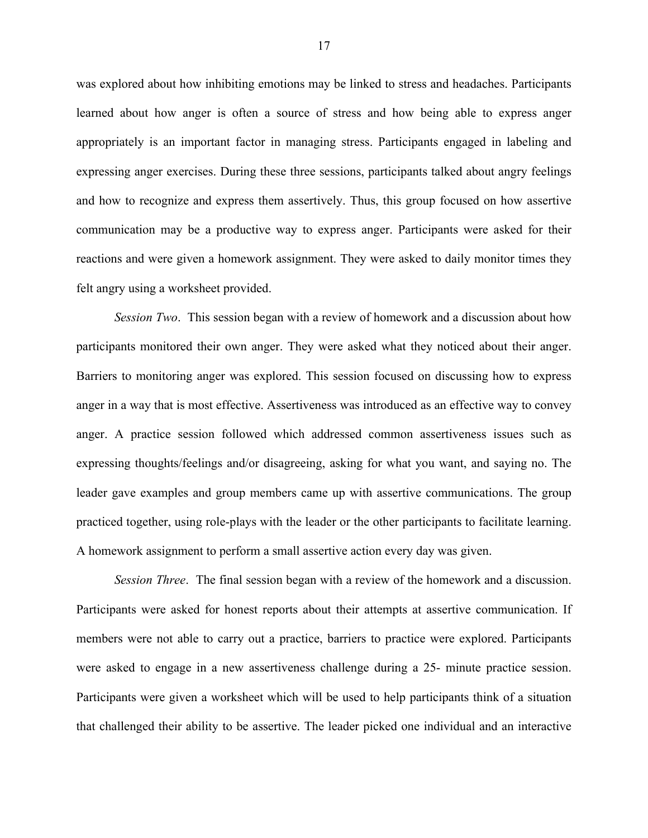was explored about how inhibiting emotions may be linked to stress and headaches. Participants learned about how anger is often a source of stress and how being able to express anger appropriately is an important factor in managing stress. Participants engaged in labeling and expressing anger exercises. During these three sessions, participants talked about angry feelings and how to recognize and express them assertively. Thus, this group focused on how assertive communication may be a productive way to express anger. Participants were asked for their reactions and were given a homework assignment. They were asked to daily monitor times they felt angry using a worksheet provided.

*Session Two*. This session began with a review of homework and a discussion about how participants monitored their own anger. They were asked what they noticed about their anger. Barriers to monitoring anger was explored. This session focused on discussing how to express anger in a way that is most effective. Assertiveness was introduced as an effective way to convey anger. A practice session followed which addressed common assertiveness issues such as expressing thoughts/feelings and/or disagreeing, asking for what you want, and saying no. The leader gave examples and group members came up with assertive communications. The group practiced together, using role-plays with the leader or the other participants to facilitate learning. A homework assignment to perform a small assertive action every day was given.

*Session Three*. The final session began with a review of the homework and a discussion. Participants were asked for honest reports about their attempts at assertive communication. If members were not able to carry out a practice, barriers to practice were explored. Participants were asked to engage in a new assertiveness challenge during a 25- minute practice session. Participants were given a worksheet which will be used to help participants think of a situation that challenged their ability to be assertive. The leader picked one individual and an interactive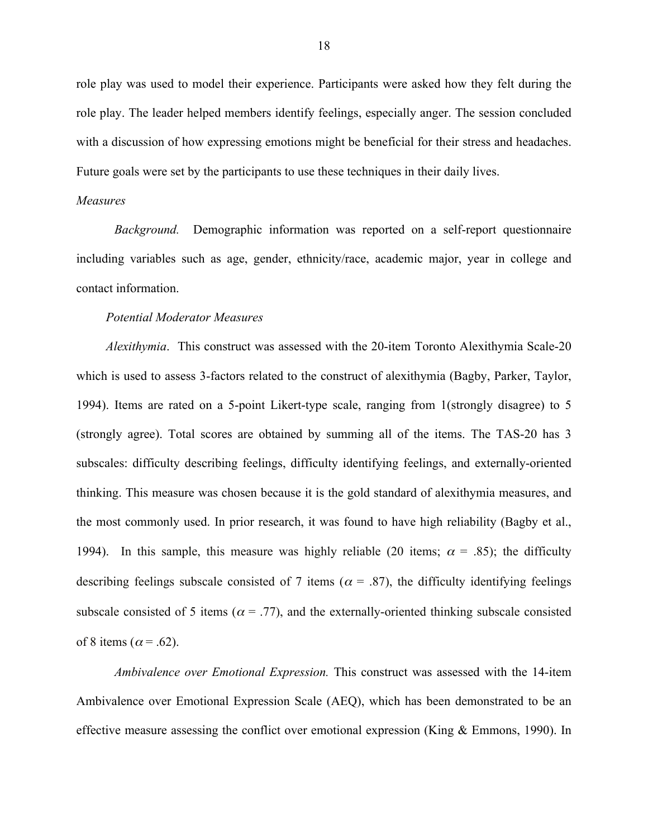role play was used to model their experience. Participants were asked how they felt during the role play. The leader helped members identify feelings, especially anger. The session concluded with a discussion of how expressing emotions might be beneficial for their stress and headaches. Future goals were set by the participants to use these techniques in their daily lives.

#### *Measures*

*Background.* Demographic information was reported on a self-report questionnaire including variables such as age, gender, ethnicity/race, academic major, year in college and contact information.

#### *Potential Moderator Measures*

*Alexithymia*. This construct was assessed with the 20-item Toronto Alexithymia Scale-20 which is used to assess 3-factors related to the construct of alexithymia (Bagby, Parker, Taylor, 1994). Items are rated on a 5-point Likert-type scale, ranging from 1(strongly disagree) to 5 (strongly agree). Total scores are obtained by summing all of the items. The TAS-20 has 3 subscales: difficulty describing feelings, difficulty identifying feelings, and externally-oriented thinking. This measure was chosen because it is the gold standard of alexithymia measures, and the most commonly used. In prior research, it was found to have high reliability (Bagby et al., 1994). In this sample, this measure was highly reliable (20 items;  $\alpha$  = .85); the difficulty describing feelings subscale consisted of 7 items ( $\alpha$  = .87), the difficulty identifying feelings subscale consisted of 5 items ( $\alpha$  = .77), and the externally-oriented thinking subscale consisted of 8 items ( $\alpha$  = .62).

*Ambivalence over Emotional Expression.* This construct was assessed with the 14-item Ambivalence over Emotional Expression Scale (AEQ), which has been demonstrated to be an effective measure assessing the conflict over emotional expression (King & Emmons, 1990). In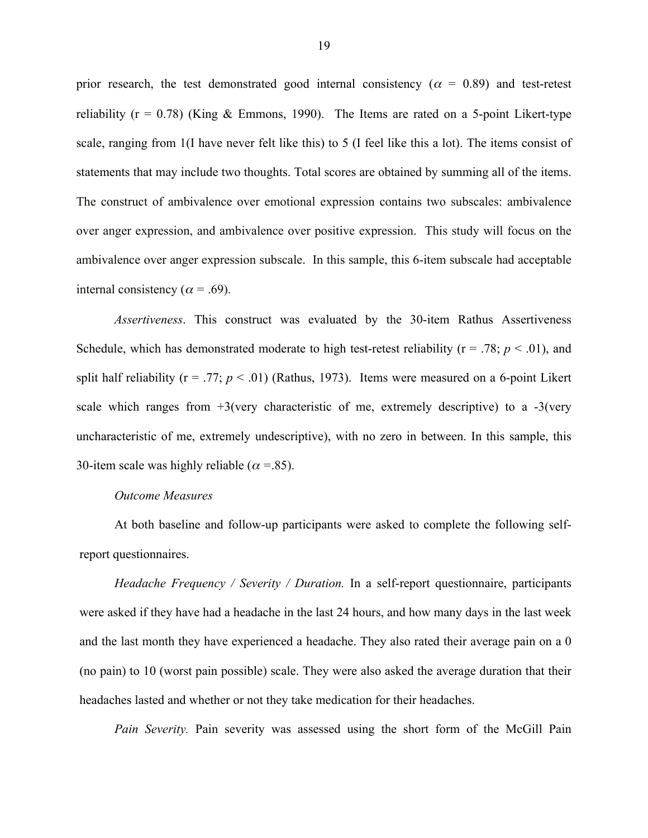prior research, the test demonstrated good internal consistency ( $\alpha = 0.89$ ) and test-retest reliability ( $r = 0.78$ ) (King & Emmons, 1990). The Items are rated on a 5-point Likert-type scale, ranging from 1(I have never felt like this) to 5 (I feel like this a lot). The items consist of statements that may include two thoughts. Total scores are obtained by summing all of the items. The construct of ambivalence over emotional expression contains two subscales: ambivalence over anger expression, and ambivalence over positive expression. This study will focus on the ambivalence over anger expression subscale. In this sample, this 6-item subscale had acceptable internal consistency ( $\alpha$  = .69).

*Assertiveness*. This construct was evaluated by the 30-item Rathus Assertiveness Schedule, which has demonstrated moderate to high test-retest reliability ( $r = .78$ ;  $p < .01$ ), and split half reliability ( $r = .77$ ;  $p < .01$ ) (Rathus, 1973). Items were measured on a 6-point Likert scale which ranges from  $+3$ (very characteristic of me, extremely descriptive) to a  $-3$ (very uncharacteristic of me, extremely undescriptive), with no zero in between. In this sample, this 30-item scale was highly reliable ( $\alpha$  = .85).

# *Outcome Measures*

At both baseline and follow-up participants were asked to complete the following selfreport questionnaires.

*Headache Frequency / Severity / Duration.* In a self-report questionnaire, participants were asked if they have had a headache in the last 24 hours, and how many days in the last week and the last month they have experienced a headache. They also rated their average pain on a 0 (no pain) to 10 (worst pain possible) scale. They were also asked the average duration that their headaches lasted and whether or not they take medication for their headaches.

*Pain Severity.* Pain severity was assessed using the short form of the McGill Pain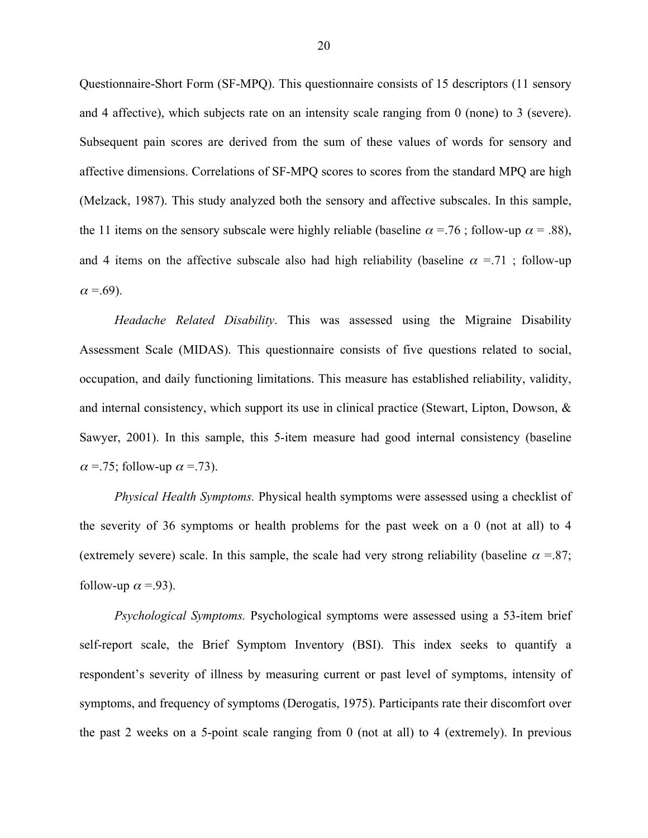Questionnaire-Short Form (SF-MPQ). This questionnaire consists of 15 descriptors (11 sensory and 4 affective), which subjects rate on an intensity scale ranging from 0 (none) to 3 (severe). Subsequent pain scores are derived from the sum of these values of words for sensory and affective dimensions. Correlations of SF-MPQ scores to scores from the standard MPQ are high (Melzack, 1987). This study analyzed both the sensory and affective subscales. In this sample, the 11 items on the sensory subscale were highly reliable (baseline  $\alpha = .76$ ; follow-up  $\alpha = .88$ ), and 4 items on the affective subscale also had high reliability (baseline  $\alpha = 71$ ; follow-up  $\alpha = .69$ ).

*Headache Related Disability*. This was assessed using the Migraine Disability Assessment Scale (MIDAS). This questionnaire consists of five questions related to social, occupation, and daily functioning limitations. This measure has established reliability, validity, and internal consistency, which support its use in clinical practice (Stewart, Lipton, Dowson, & Sawyer, 2001). In this sample, this 5-item measure had good internal consistency (baseline  $\alpha$  = 75; follow-up  $\alpha$  = 73).

*Physical Health Symptoms.* Physical health symptoms were assessed using a checklist of the severity of 36 symptoms or health problems for the past week on a 0 (not at all) to 4 (extremely severe) scale. In this sample, the scale had very strong reliability (baseline  $\alpha = 87$ ; follow-up  $\alpha = -93$ ).

*Psychological Symptoms.* Psychological symptoms were assessed using a 53-item brief self-report scale, the Brief Symptom Inventory (BSI). This index seeks to quantify a respondent's severity of illness by measuring current or past level of symptoms, intensity of symptoms, and frequency of symptoms (Derogatis, 1975). Participants rate their discomfort over the past 2 weeks on a 5-point scale ranging from 0 (not at all) to 4 (extremely). In previous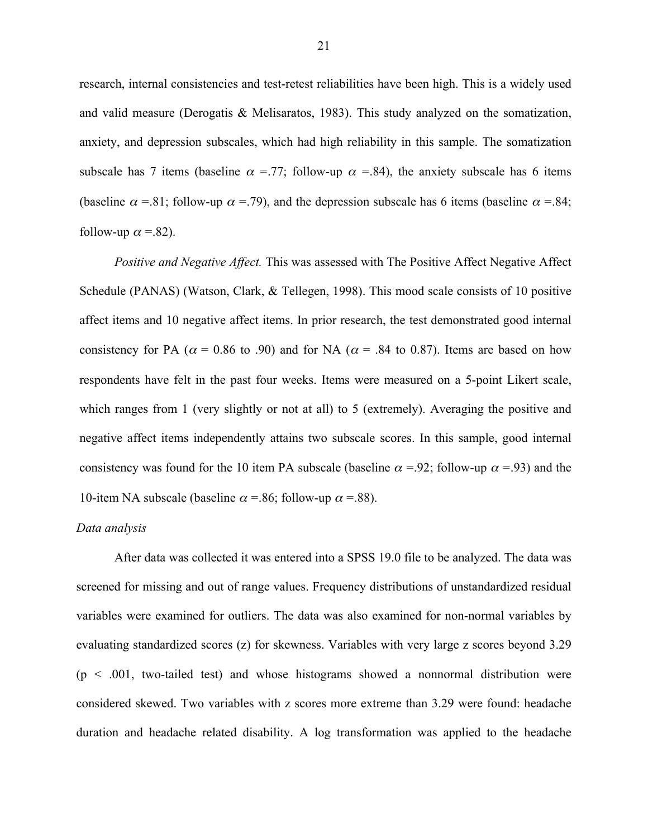research, internal consistencies and test-retest reliabilities have been high. This is a widely used and valid measure (Derogatis & Melisaratos, 1983). This study analyzed on the somatization, anxiety, and depression subscales, which had high reliability in this sample. The somatization subscale has 7 items (baseline  $\alpha$  =.77; follow-up  $\alpha$  =.84), the anxiety subscale has 6 items (baseline  $\alpha$  =.81; follow-up  $\alpha$  =.79), and the depression subscale has 6 items (baseline  $\alpha$  =.84; follow-up  $\alpha$  = 82).

*Positive and Negative Affect.* This was assessed with The Positive Affect Negative Affect Schedule (PANAS) (Watson, Clark, & Tellegen, 1998). This mood scale consists of 10 positive affect items and 10 negative affect items. In prior research, the test demonstrated good internal consistency for PA ( $\alpha$  = 0.86 to .90) and for NA ( $\alpha$  = .84 to 0.87). Items are based on how respondents have felt in the past four weeks. Items were measured on a 5-point Likert scale, which ranges from 1 (very slightly or not at all) to 5 (extremely). Averaging the positive and negative affect items independently attains two subscale scores. In this sample, good internal consistency was found for the 10 item PA subscale (baseline  $\alpha = 92$ ; follow-up  $\alpha = 93$ ) and the 10-item NA subscale (baseline  $\alpha$  = .86; follow-up  $\alpha$  = .88).

## *Data analysis*

After data was collected it was entered into a SPSS 19.0 file to be analyzed. The data was screened for missing and out of range values. Frequency distributions of unstandardized residual variables were examined for outliers. The data was also examined for non-normal variables by evaluating standardized scores (z) for skewness. Variables with very large z scores beyond 3.29  $(p < .001,$  two-tailed test) and whose histograms showed a nonnormal distribution were considered skewed. Two variables with z scores more extreme than 3.29 were found: headache duration and headache related disability. A log transformation was applied to the headache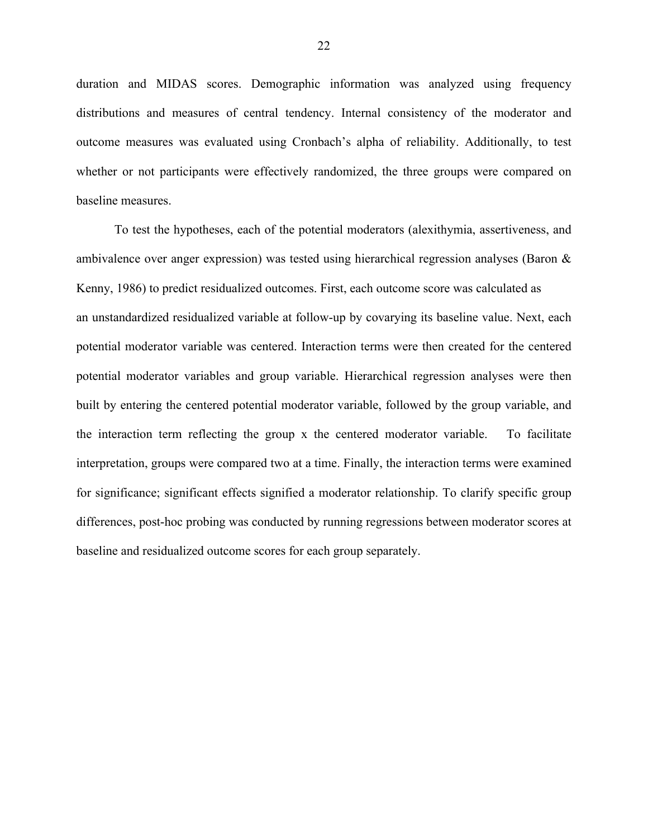duration and MIDAS scores. Demographic information was analyzed using frequency distributions and measures of central tendency. Internal consistency of the moderator and outcome measures was evaluated using Cronbach's alpha of reliability. Additionally, to test whether or not participants were effectively randomized, the three groups were compared on baseline measures.

To test the hypotheses, each of the potential moderators (alexithymia, assertiveness, and ambivalence over anger expression) was tested using hierarchical regression analyses (Baron & Kenny, 1986) to predict residualized outcomes. First, each outcome score was calculated as an unstandardized residualized variable at follow-up by covarying its baseline value. Next, each potential moderator variable was centered. Interaction terms were then created for the centered potential moderator variables and group variable. Hierarchical regression analyses were then built by entering the centered potential moderator variable, followed by the group variable, and the interaction term reflecting the group x the centered moderator variable. To facilitate interpretation, groups were compared two at a time. Finally, the interaction terms were examined for significance; significant effects signified a moderator relationship. To clarify specific group differences, post-hoc probing was conducted by running regressions between moderator scores at baseline and residualized outcome scores for each group separately.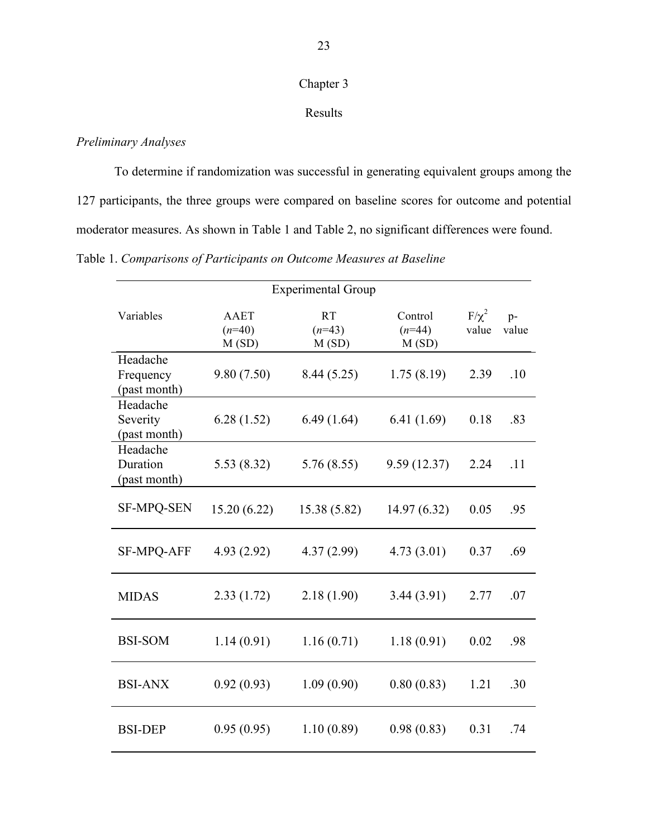# Chapter 3

# Results

# *Preliminary Analyses*

To determine if randomization was successful in generating equivalent groups among the 127 participants, the three groups were compared on baseline scores for outcome and potential moderator measures. As shown in Table 1 and Table 2, no significant differences were found.

Table 1. *Comparisons of Participants on Outcome Measures at Baseline*

| <b>Experimental Group</b>             |                                  |                         |                              |                     |               |
|---------------------------------------|----------------------------------|-------------------------|------------------------------|---------------------|---------------|
| Variables                             | <b>AAET</b><br>$(n=40)$<br>M(SD) | RT<br>$(n=43)$<br>M(SD) | Control<br>$(n=44)$<br>M(SD) | $F/\chi^2$<br>value | $p-$<br>value |
| Headache<br>Frequency<br>(past month) | 9.80(7.50)                       | 8.44(5.25)              | 1.75(8.19)                   | 2.39                | .10           |
| Headache<br>Severity<br>(past month)  | 6.28(1.52)                       | 6.49(1.64)              | 6.41(1.69)                   | 0.18                | .83           |
| Headache<br>Duration<br>(past month)  | 5.53(8.32)                       | 5.76(8.55)              | 9.59(12.37)                  | 2.24                | .11           |
| <b>SF-MPQ-SEN</b>                     | 15.20(6.22)                      | 15.38 (5.82)            | 14.97(6.32)                  | 0.05                | .95           |
| <b>SF-MPQ-AFF</b>                     | 4.93(2.92)                       | 4.37(2.99)              | 4.73(3.01)                   | 0.37                | .69           |
| <b>MIDAS</b>                          | 2.33(1.72)                       | 2.18(1.90)              | 3.44(3.91)                   | 2.77                | .07           |
| <b>BSI-SOM</b>                        | 1.14(0.91)                       | 1.16(0.71)              | 1.18(0.91)                   | 0.02                | .98           |
| <b>BSI-ANX</b>                        | 0.92(0.93)                       | 1.09(0.90)              | 0.80(0.83)                   | 1.21                | .30           |
| <b>BSI-DEP</b>                        | 0.95(0.95)                       | 1.10(0.89)              | 0.98(0.83)                   | 0.31                | .74           |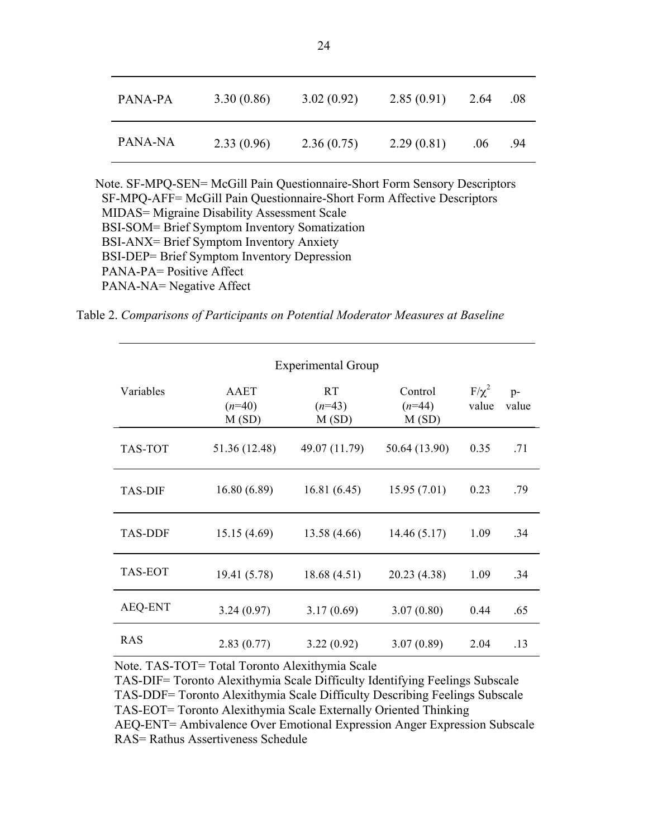| PANA-PA | 3.30(0.86) | 3.02(0.92) | 2.85(0.91) | 2.64             | .08 |
|---------|------------|------------|------------|------------------|-----|
| PANA-NA | 2.33(0.96) | 2.36(0.75) | 2.29(0.81) | .06 <sub>1</sub> | .94 |

 Note. SF-MPQ-SEN= McGill Pain Questionnaire-Short Form Sensory Descriptors SF-MPQ-AFF= McGill Pain Questionnaire-Short Form Affective Descriptors MIDAS= Migraine Disability Assessment Scale BSI-SOM= Brief Symptom Inventory Somatization BSI-ANX= Brief Symptom Inventory Anxiety BSI-DEP= Brief Symptom Inventory Depression PANA-PA= Positive Affect PANA-NA= Negative Affect

Table 2. *Comparisons of Participants on Potential Moderator Measures at Baseline*

| <b>Experimental Group</b> |                           |                                |                              |                     |               |
|---------------------------|---------------------------|--------------------------------|------------------------------|---------------------|---------------|
| Variables                 | AAET<br>$(n=40)$<br>M(SD) | <b>RT</b><br>$(n=43)$<br>M(SD) | Control<br>$(n=44)$<br>M(SD) | $F/\chi^2$<br>value | $p-$<br>value |
| TAS-TOT                   | 51.36 (12.48)             | 49.07 (11.79)                  | 50.64 (13.90)                | 0.35                | .71           |
| <b>TAS-DIF</b>            | 16.80(6.89)               | 16.81(6.45)                    | 15.95(7.01)                  | 0.23                | .79           |
| <b>TAS-DDF</b>            | 15.15(4.69)               | 13.58(4.66)                    | 14.46(5.17)                  | 1.09                | .34           |
| <b>TAS-EOT</b>            | 19.41 (5.78)              | 18.68 (4.51)                   | 20.23 (4.38)                 | 1.09                | .34           |
| <b>AEQ-ENT</b>            | 3.24(0.97)                | 3.17(0.69)                     | 3.07(0.80)                   | 0.44                | .65           |
| <b>RAS</b>                | 2.83(0.77)                | 3.22(0.92)                     | 3.07(0.89)                   | 2.04                | .13           |

Note. TAS-TOT= Total Toronto Alexithymia Scale

TAS-DIF= Toronto Alexithymia Scale Difficulty Identifying Feelings Subscale TAS-DDF= Toronto Alexithymia Scale Difficulty Describing Feelings Subscale TAS-EOT= Toronto Alexithymia Scale Externally Oriented Thinking AEQ-ENT= Ambivalence Over Emotional Expression Anger Expression Subscale RAS= Rathus Assertiveness Schedule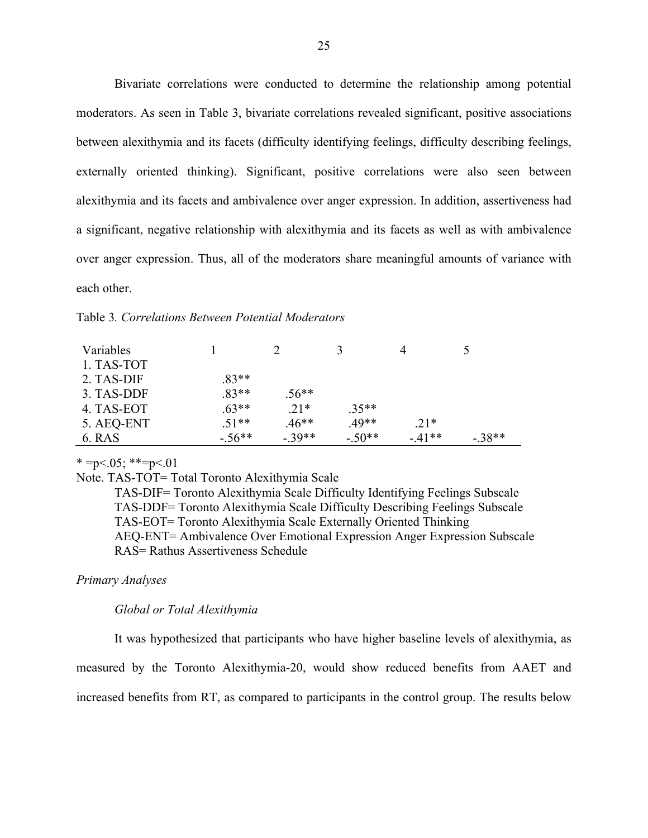Bivariate correlations were conducted to determine the relationship among potential moderators. As seen in Table 3, bivariate correlations revealed significant, positive associations between alexithymia and its facets (difficulty identifying feelings, difficulty describing feelings, externally oriented thinking). Significant, positive correlations were also seen between alexithymia and its facets and ambivalence over anger expression. In addition, assertiveness had a significant, negative relationship with alexithymia and its facets as well as with ambivalence over anger expression. Thus, all of the moderators share meaningful amounts of variance with each other.

#### Table 3*. Correlations Between Potential Moderators*

| Variables  |          |         |          |         |          |
|------------|----------|---------|----------|---------|----------|
| 1. TAS-TOT |          |         |          |         |          |
| 2. TAS-DIF | $.83**$  |         |          |         |          |
| 3. TAS-DDF | $.83**$  | $.56**$ |          |         |          |
| 4. TAS-EOT | $.63**$  | $.21*$  | $.35**$  |         |          |
| 5. AEQ-ENT | $.51**$  | $.46**$ | 49**     | $.21*$  |          |
| 6. RAS     | $-.56**$ | $-39**$ | $-.50**$ | $-41**$ | $-.38**$ |

#### $* = p < 0.05; ** = p < 0.01$

Note. TAS-TOT= Total Toronto Alexithymia Scale

TAS-DIF= Toronto Alexithymia Scale Difficulty Identifying Feelings Subscale TAS-DDF= Toronto Alexithymia Scale Difficulty Describing Feelings Subscale TAS-EOT= Toronto Alexithymia Scale Externally Oriented Thinking AEQ-ENT= Ambivalence Over Emotional Expression Anger Expression Subscale RAS= Rathus Assertiveness Schedule

# *Primary Analyses*

#### *Global or Total Alexithymia*

It was hypothesized that participants who have higher baseline levels of alexithymia, as measured by the Toronto Alexithymia-20, would show reduced benefits from AAET and increased benefits from RT, as compared to participants in the control group. The results below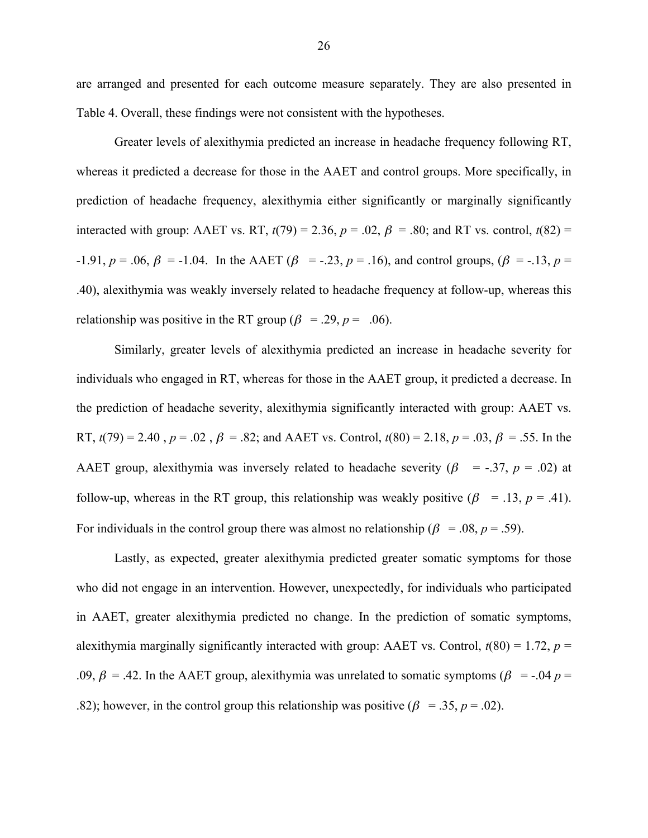are arranged and presented for each outcome measure separately. They are also presented in Table 4. Overall, these findings were not consistent with the hypotheses.

Greater levels of alexithymia predicted an increase in headache frequency following RT, whereas it predicted a decrease for those in the AAET and control groups. More specifically, in prediction of headache frequency, alexithymia either significantly or marginally significantly interacted with group: AAET vs. RT,  $t(79) = 2.36$ ,  $p = .02$ ,  $\beta = .80$ ; and RT vs. control,  $t(82) =$  $-1.91, p = .06, \beta = -1.04$ . In the AAET ( $\beta = -.23, p = .16$ ), and control groups, ( $\beta = -.13, p = .19$ ) .40), alexithymia was weakly inversely related to headache frequency at follow-up, whereas this relationship was positive in the RT group ( $\beta$  = .29,  $p$  = .06).

Similarly, greater levels of alexithymia predicted an increase in headache severity for individuals who engaged in RT, whereas for those in the AAET group, it predicted a decrease. In the prediction of headache severity, alexithymia significantly interacted with group: AAET vs. RT,  $t(79) = 2.40$ ,  $p = .02$ ,  $\beta = .82$ ; and AAET vs. Control,  $t(80) = 2.18$ ,  $p = .03$ ,  $\beta = .55$ . In the AAET group, alexithymia was inversely related to headache severity ( $\beta$  = -.37,  $p$  = .02) at follow-up, whereas in the RT group, this relationship was weakly positive  $(\beta = .13, p = .41)$ . For individuals in the control group there was almost no relationship ( $\beta = .08$ ,  $p = .59$ ).

Lastly, as expected, greater alexithymia predicted greater somatic symptoms for those who did not engage in an intervention. However, unexpectedly, for individuals who participated in AAET, greater alexithymia predicted no change. In the prediction of somatic symptoms, alexithymia marginally significantly interacted with group: AAET vs. Control,  $t(80) = 1.72$ ,  $p =$ .09,  $\beta$  = .42. In the AAET group, alexithymia was unrelated to somatic symptoms ( $\beta$  = -.04  $p$  = .82); however, in the control group this relationship was positive  $(\beta = 0.35, p = 0.02)$ .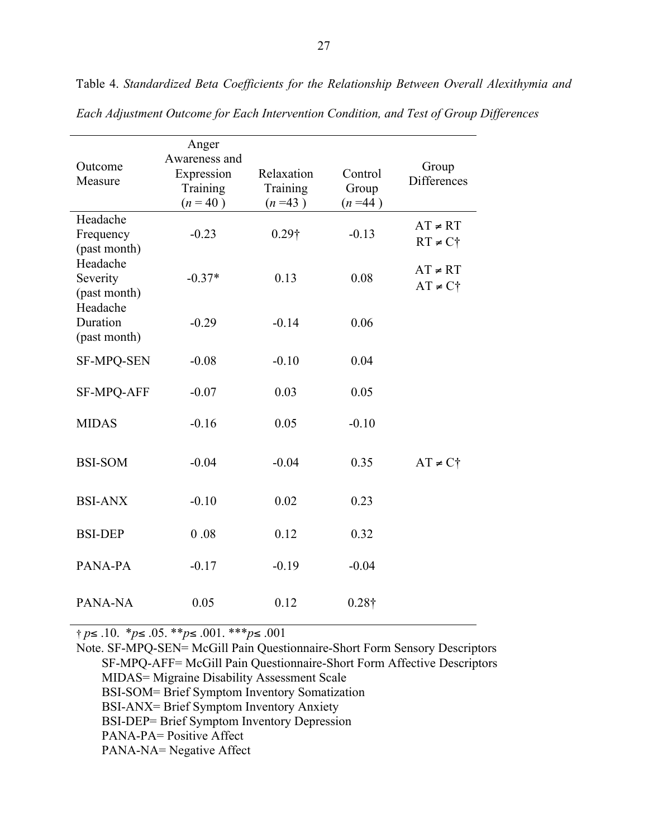| Outcome<br>Measure                    | Anger<br>Awareness and<br>Expression<br>Training<br>$(n = 40)$ | Relaxation<br>Training<br>$(n=43)$ | Control<br>Group<br>$(n=44)$ | Group<br>Differences                  |
|---------------------------------------|----------------------------------------------------------------|------------------------------------|------------------------------|---------------------------------------|
| Headache<br>Frequency<br>(past month) | $-0.23$                                                        | $0.29\dagger$                      | $-0.13$                      | $AT \neq RT$<br>$RT \neq C^*$         |
| Headache<br>Severity<br>(past month)  | $-0.37*$                                                       | 0.13                               | 0.08                         | $AT \neq RT$<br>$AT \neq C^{\dagger}$ |
| Headache<br>Duration<br>(past month)  | $-0.29$                                                        | $-0.14$                            | 0.06                         |                                       |
| <b>SF-MPQ-SEN</b>                     | $-0.08$                                                        | $-0.10$                            | 0.04                         |                                       |
| <b>SF-MPQ-AFF</b>                     | $-0.07$                                                        | 0.03                               | 0.05                         |                                       |
| <b>MIDAS</b>                          | $-0.16$                                                        | 0.05                               | $-0.10$                      |                                       |
| <b>BSI-SOM</b>                        | $-0.04$                                                        | $-0.04$                            | 0.35                         | $AT \neq C^{\dagger}$                 |
| <b>BSI-ANX</b>                        | $-0.10$                                                        | 0.02                               | 0.23                         |                                       |
| <b>BSI-DEP</b>                        | 0.08                                                           | 0.12                               | 0.32                         |                                       |
| PANA-PA                               | $-0.17$                                                        | $-0.19$                            | $-0.04$                      |                                       |
| PANA-NA                               | 0.05                                                           | 0.12                               | $0.28\dagger$                |                                       |

Table 4. *Standardized Beta Coefficients for the Relationship Between Overall Alexithymia and Each Adjustment Outcome for Each Intervention Condition, and Test of Group Differences*

† *p*≤ .10. \**p*≤ .05. \*\**p*≤ .001. \*\*\**p*≤ .001

Note. SF-MPQ-SEN= McGill Pain Questionnaire-Short Form Sensory Descriptors SF-MPQ-AFF= McGill Pain Questionnaire-Short Form Affective Descriptors MIDAS= Migraine Disability Assessment Scale BSI-SOM= Brief Symptom Inventory Somatization BSI-ANX= Brief Symptom Inventory Anxiety BSI-DEP= Brief Symptom Inventory Depression PANA-PA= Positive Affect PANA-NA= Negative Affect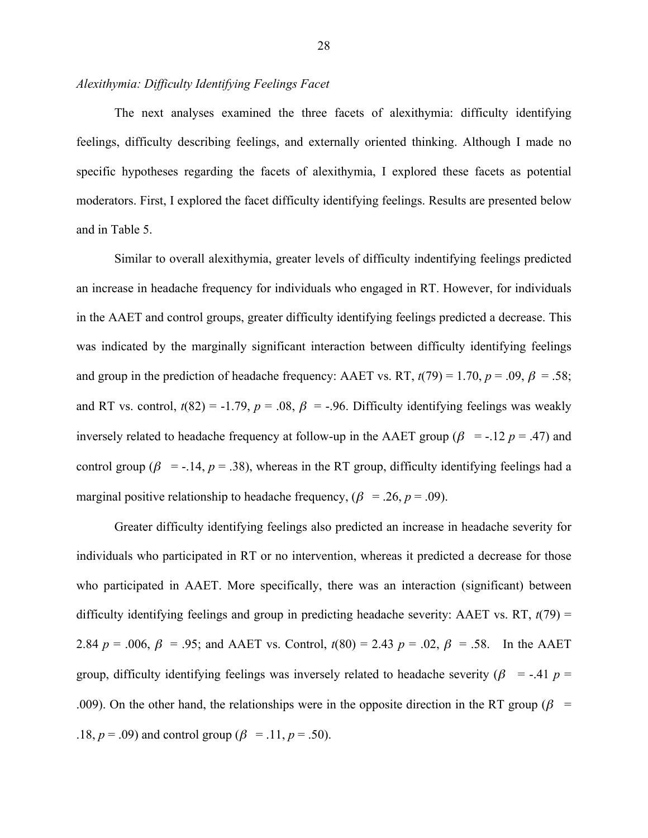# *Alexithymia: Difficulty Identifying Feelings Facet*

The next analyses examined the three facets of alexithymia: difficulty identifying feelings, difficulty describing feelings, and externally oriented thinking. Although I made no specific hypotheses regarding the facets of alexithymia, I explored these facets as potential moderators. First, I explored the facet difficulty identifying feelings. Results are presented below and in Table 5.

Similar to overall alexithymia, greater levels of difficulty indentifying feelings predicted an increase in headache frequency for individuals who engaged in RT. However, for individuals in the AAET and control groups, greater difficulty identifying feelings predicted a decrease. This was indicated by the marginally significant interaction between difficulty identifying feelings and group in the prediction of headache frequency: AAET vs. RT,  $t(79) = 1.70$ ,  $p = .09$ ,  $\beta = .58$ ; and RT vs. control,  $t(82) = -1.79$ ,  $p = .08$ ,  $\beta = -.96$ . Difficulty identifying feelings was weakly inversely related to headache frequency at follow-up in the AAET group ( $\beta$  = -.12 *p* = .47) and control group ( $\beta$  = -.14,  $p = .38$ ), whereas in the RT group, difficulty identifying feelings had a marginal positive relationship to headache frequency,  $(\beta = .26, p = .09)$ .

Greater difficulty identifying feelings also predicted an increase in headache severity for individuals who participated in RT or no intervention, whereas it predicted a decrease for those who participated in AAET. More specifically, there was an interaction (significant) between difficulty identifying feelings and group in predicting headache severity: AAET vs. RT, *t*(79) = 2.84 *p* = .006,  $\beta$  = .95; and AAET vs. Control,  $t(80) = 2.43$  *p* = .02,  $\beta$  = .58. In the AAET group, difficulty identifying feelings was inversely related to headache severity ( $\beta$  = -.41  $p$  = .009). On the other hand, the relationships were in the opposite direction in the RT group ( $\beta$  = .18,  $p = .09$ ) and control group ( $\beta = .11$ ,  $p = .50$ ).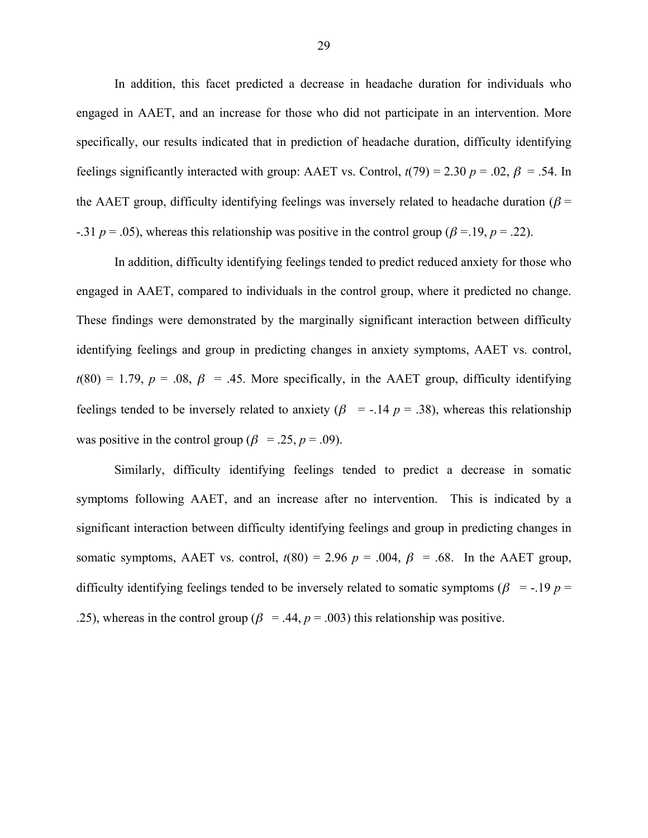In addition, this facet predicted a decrease in headache duration for individuals who engaged in AAET, and an increase for those who did not participate in an intervention. More specifically, our results indicated that in prediction of headache duration, difficulty identifying feelings significantly interacted with group: AAET vs. Control,  $t(79) = 2.30$   $p = .02$ ,  $\beta = .54$ . In the AAET group, difficulty identifying feelings was inversely related to headache duration ( $\beta$  = -.31  $p = .05$ ), whereas this relationship was positive in the control group ( $\beta = .19$ ,  $p = .22$ ).

In addition, difficulty identifying feelings tended to predict reduced anxiety for those who engaged in AAET, compared to individuals in the control group, where it predicted no change. These findings were demonstrated by the marginally significant interaction between difficulty identifying feelings and group in predicting changes in anxiety symptoms, AAET vs. control,  $t(80) = 1.79$ ,  $p = .08$ ,  $\beta = .45$ . More specifically, in the AAET group, difficulty identifying feelings tended to be inversely related to anxiety ( $\beta$  = -.14  $p$  = .38), whereas this relationship was positive in the control group ( $\beta$  = .25,  $p$  = .09).

Similarly, difficulty identifying feelings tended to predict a decrease in somatic symptoms following AAET, and an increase after no intervention. This is indicated by a significant interaction between difficulty identifying feelings and group in predicting changes in somatic symptoms, AAET vs. control,  $t(80) = 2.96$   $p = .004$ ,  $\beta = .68$ . In the AAET group, difficulty identifying feelings tended to be inversely related to somatic symptoms ( $\beta$  = -.19  $p$  = .25), whereas in the control group ( $\beta$  = .44,  $p$  = .003) this relationship was positive.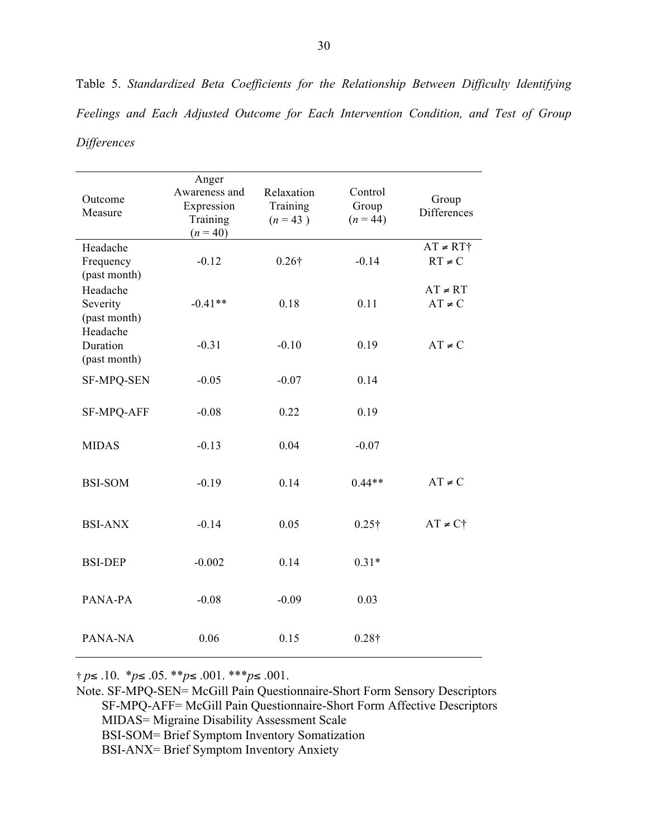Outcome Measure Anger Awareness and Expression Training  $(n = 40)$ Relaxation Training  $(n = 43)$ Control Group  $(n = 44)$ Group Differences Headache Frequency (past month) -0.12 0.26† -0.14  $AT \neq RT^+$  $RT \neq C$ Headache Severity (past month) -0.41\*\* 0.18 0.11  $AT \neq RT$  $AT \neq C$ Headache Duration (past month)  $-0.31$   $-0.10$  0.19 AT≠C SF-MPQ-SEN -0.05 -0.07 0.14 SF-MPQ-AFF -0.08 0.22 0.19 MIDAS -0.13 0.04 -0.07 BSI-SOM  $-0.19$   $0.14$   $0.44**$   $AT \ne C$ BSI-ANX -0.14 0.05 0.25† AT≠C† BSI-DEP -0.002 0.14 0.31\* PANA-PA -0.08 -0.09 0.03 PANA-NA 0.06 0.15 0.28<sup>†</sup>

Table 5. *Standardized Beta Coefficients for the Relationship Between Difficulty Identifying Feelings and Each Adjusted Outcome for Each Intervention Condition, and Test of Group Differences*

† *p*≤ .10. \**p*≤ .05. \*\**p*≤ .001. \*\*\**p*≤ .001.

Note. SF-MPQ-SEN= McGill Pain Questionnaire-Short Form Sensory Descriptors SF-MPQ-AFF= McGill Pain Questionnaire-Short Form Affective Descriptors MIDAS= Migraine Disability Assessment Scale BSI-SOM= Brief Symptom Inventory Somatization BSI-ANX= Brief Symptom Inventory Anxiety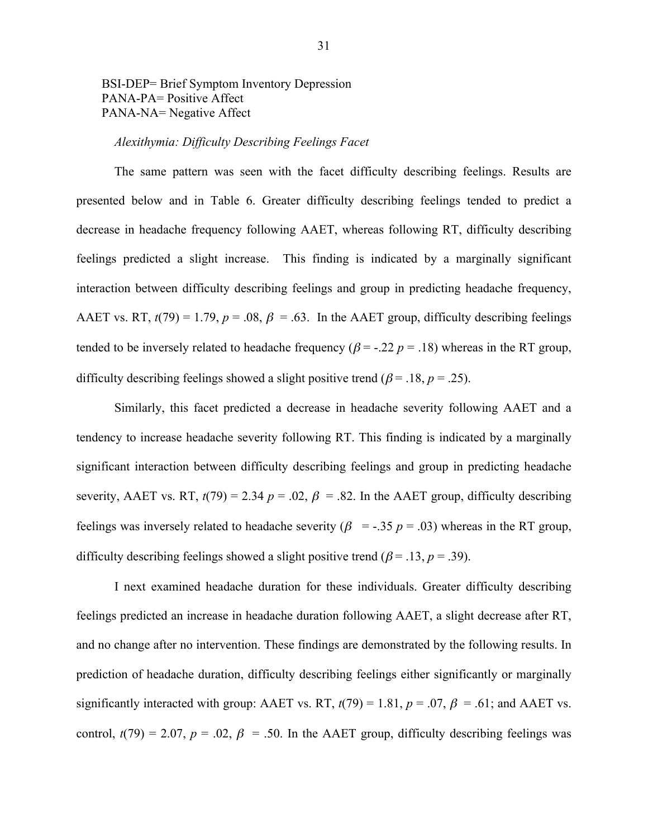# BSI-DEP= Brief Symptom Inventory Depression PANA-PA= Positive Affect PANA-NA= Negative Affect

#### *Alexithymia: Difficulty Describing Feelings Facet*

The same pattern was seen with the facet difficulty describing feelings. Results are presented below and in Table 6. Greater difficulty describing feelings tended to predict a decrease in headache frequency following AAET, whereas following RT, difficulty describing feelings predicted a slight increase. This finding is indicated by a marginally significant interaction between difficulty describing feelings and group in predicting headache frequency, AAET vs. RT,  $t(79) = 1.79$ ,  $p = .08$ ,  $\beta = .63$ . In the AAET group, difficulty describing feelings tended to be inversely related to headache frequency ( $\beta$  = -.22  $p$  = .18) whereas in the RT group, difficulty describing feelings showed a slight positive trend ( $\beta$  = .18,  $p$  = .25).

Similarly, this facet predicted a decrease in headache severity following AAET and a tendency to increase headache severity following RT. This finding is indicated by a marginally significant interaction between difficulty describing feelings and group in predicting headache severity, AAET vs. RT,  $t(79) = 2.34$   $p = .02$ ,  $\beta = .82$ . In the AAET group, difficulty describing feelings was inversely related to headache severity ( $\beta$  = -.35  $p$  = .03) whereas in the RT group, difficulty describing feelings showed a slight positive trend ( $\beta$  = .13, *p* = .39).

I next examined headache duration for these individuals. Greater difficulty describing feelings predicted an increase in headache duration following AAET, a slight decrease after RT, and no change after no intervention. These findings are demonstrated by the following results. In prediction of headache duration, difficulty describing feelings either significantly or marginally significantly interacted with group: AAET vs. RT,  $t(79) = 1.81$ ,  $p = .07$ ,  $\beta = .61$ ; and AAET vs. control,  $t(79) = 2.07$ ,  $p = .02$ ,  $\beta = .50$ . In the AAET group, difficulty describing feelings was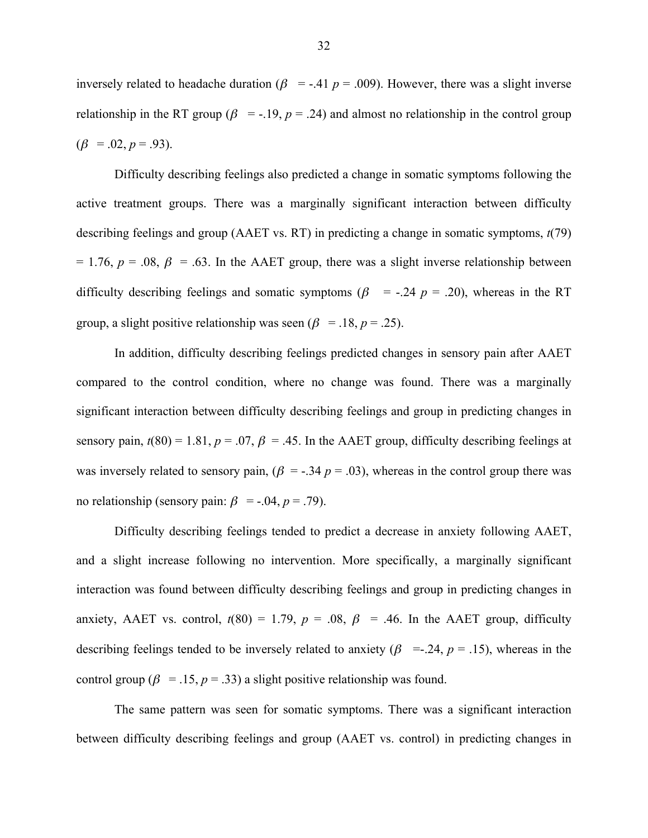inversely related to headache duration ( $\beta$  = -.41  $p$  = .009). However, there was a slight inverse relationship in the RT group ( $\beta$  = -.19,  $p = .24$ ) and almost no relationship in the control group  $(\beta = .02, p = .93)$ .

Difficulty describing feelings also predicted a change in somatic symptoms following the active treatment groups. There was a marginally significant interaction between difficulty describing feelings and group (AAET vs. RT) in predicting a change in somatic symptoms, *t*(79)  $= 1.76$ ,  $p = .08$ ,  $\beta = .63$ . In the AAET group, there was a slight inverse relationship between difficulty describing feelings and somatic symptoms ( $\beta$  = -.24  $p$  = .20), whereas in the RT group, a slight positive relationship was seen ( $\beta$  = .18,  $p$  = .25).

In addition, difficulty describing feelings predicted changes in sensory pain after AAET compared to the control condition, where no change was found. There was a marginally significant interaction between difficulty describing feelings and group in predicting changes in sensory pain,  $t(80) = 1.81$ ,  $p = .07$ ,  $\beta = .45$ . In the AAET group, difficulty describing feelings at was inversely related to sensory pain,  $(\beta = -0.34 \, p = 0.03)$ , whereas in the control group there was no relationship (sensory pain:  $\beta$  = -.04,  $p = .79$ ).

Difficulty describing feelings tended to predict a decrease in anxiety following AAET, and a slight increase following no intervention. More specifically, a marginally significant interaction was found between difficulty describing feelings and group in predicting changes in anxiety, AAET vs. control,  $t(80) = 1.79$ ,  $p = .08$ ,  $\beta = .46$ . In the AAET group, difficulty describing feelings tended to be inversely related to anxiety ( $\beta$  =-.24,  $p$  = .15), whereas in the control group ( $\beta$  = .15,  $p = .33$ ) a slight positive relationship was found.

The same pattern was seen for somatic symptoms. There was a significant interaction between difficulty describing feelings and group (AAET vs. control) in predicting changes in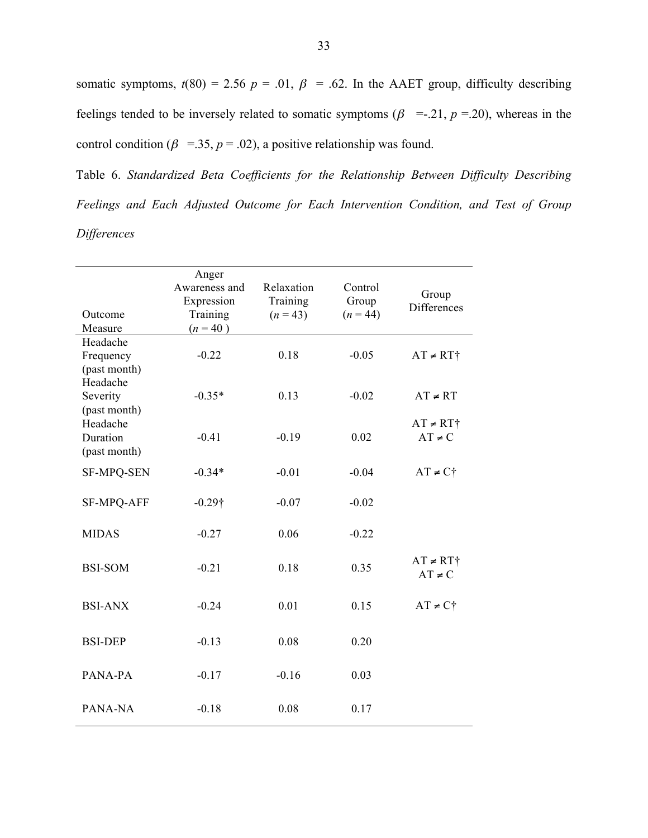somatic symptoms,  $t(80) = 2.56$   $p = .01$ ,  $\beta = .62$ . In the AAET group, difficulty describing feelings tended to be inversely related to somatic symptoms ( $\beta$  =-.21,  $p$  =.20), whereas in the control condition ( $\beta$  =.35,  $p$  = .02), a positive relationship was found.

Table 6. *Standardized Beta Coefficients for the Relationship Between Difficulty Describing Feelings and Each Adjusted Outcome for Each Intervention Condition, and Test of Group Differences*

| Outcome<br>Measure                    | Anger<br>Awareness and<br>Expression<br>Training<br>$(n = 40)$ | Relaxation<br>Training<br>$(n = 43)$ | Control<br>Group<br>$(n = 44)$ | Group<br><b>Differences</b>   |
|---------------------------------------|----------------------------------------------------------------|--------------------------------------|--------------------------------|-------------------------------|
| Headache<br>Frequency<br>(past month) | $-0.22$                                                        | 0.18                                 | $-0.05$                        | $AT \neq RT$ †                |
| Headache<br>Severity<br>(past month)  | $-0.35*$                                                       | 0.13                                 | $-0.02$                        | $AT \neq RT$                  |
| Headache<br>Duration<br>(past month)  | $-0.41$                                                        | $-0.19$                              | 0.02                           | $AT \neq RT$ †<br>$AT \neq C$ |
| <b>SF-MPQ-SEN</b>                     | $-0.34*$                                                       | $-0.01$                              | $-0.04$                        | $AT \neq C\uparrow$           |
| <b>SF-MPQ-AFF</b>                     | $-0.29\dagger$                                                 | $-0.07$                              | $-0.02$                        |                               |
| <b>MIDAS</b>                          | $-0.27$                                                        | 0.06                                 | $-0.22$                        |                               |
| <b>BSI-SOM</b>                        | $-0.21$                                                        | 0.18                                 | 0.35                           | $AT \neq RT^*$<br>$AT \neq C$ |
| <b>BSI-ANX</b>                        | $-0.24$                                                        | 0.01                                 | 0.15                           | $AT \neq C^{\dagger}$         |
| <b>BSI-DEP</b>                        | $-0.13$                                                        | 0.08                                 | 0.20                           |                               |
| PANA-PA                               | $-0.17$                                                        | $-0.16$                              | 0.03                           |                               |
| PANA-NA                               | $-0.18$                                                        | 0.08                                 | 0.17                           |                               |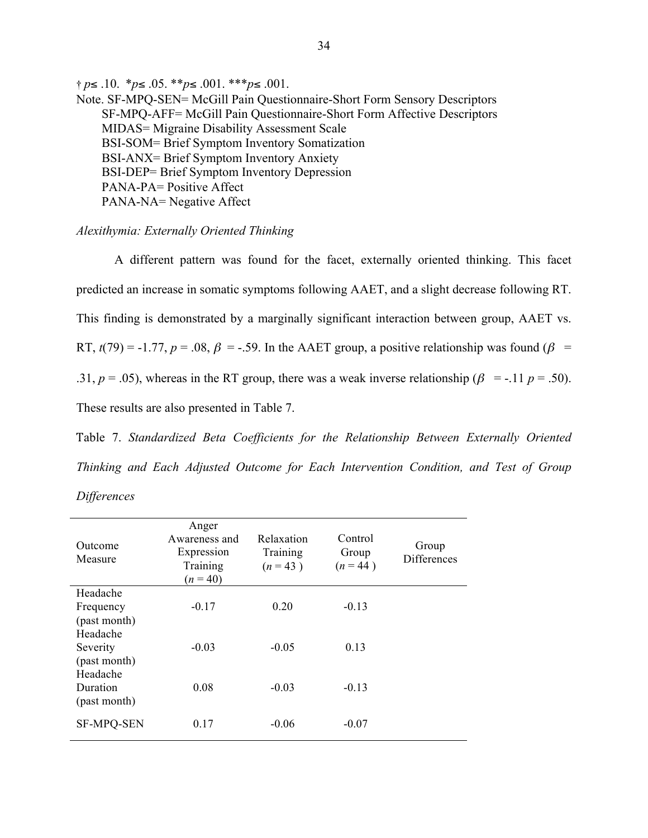† *p*≤ .10. \**p*≤ .05. \*\**p*≤ .001. \*\*\**p*≤ .001. Note. SF-MPQ-SEN= McGill Pain Questionnaire-Short Form Sensory Descriptors SF-MPQ-AFF= McGill Pain Questionnaire-Short Form Affective Descriptors MIDAS= Migraine Disability Assessment Scale BSI-SOM= Brief Symptom Inventory Somatization BSI-ANX= Brief Symptom Inventory Anxiety BSI-DEP= Brief Symptom Inventory Depression PANA-PA= Positive Affect PANA-NA= Negative Affect

#### *Alexithymia: Externally Oriented Thinking*

A different pattern was found for the facet, externally oriented thinking. This facet predicted an increase in somatic symptoms following AAET, and a slight decrease following RT. This finding is demonstrated by a marginally significant interaction between group, AAET vs. RT,  $t(79) = -1.77$ ,  $p = .08$ ,  $\beta = -.59$ . In the AAET group, a positive relationship was found ( $\beta =$ .31,  $p = .05$ ), whereas in the RT group, there was a weak inverse relationship ( $\beta = -.11$   $p = .50$ ). These results are also presented in Table 7.

Table 7. *Standardized Beta Coefficients for the Relationship Between Externally Oriented Thinking and Each Adjusted Outcome for Each Intervention Condition, and Test of Group Differences*

| Outcome<br>Measure                    | Anger<br>Awareness and<br>Expression<br>Training<br>$(n = 40)$ | Relaxation<br>Training<br>$(n = 43)$ | Control<br>Group<br>$(n = 44)$ | Group<br><b>Differences</b> |
|---------------------------------------|----------------------------------------------------------------|--------------------------------------|--------------------------------|-----------------------------|
| Headache<br>Frequency<br>(past month) | $-0.17$                                                        | 0.20                                 | $-0.13$                        |                             |
| Headache<br>Severity<br>(past month)  | $-0.03$                                                        | $-0.05$                              | 0.13                           |                             |
| Headache<br>Duration<br>(past month)  | 0.08                                                           | $-0.03$                              | $-0.13$                        |                             |
| <b>SF-MPQ-SEN</b>                     | 0.17                                                           | $-0.06$                              | $-0.07$                        |                             |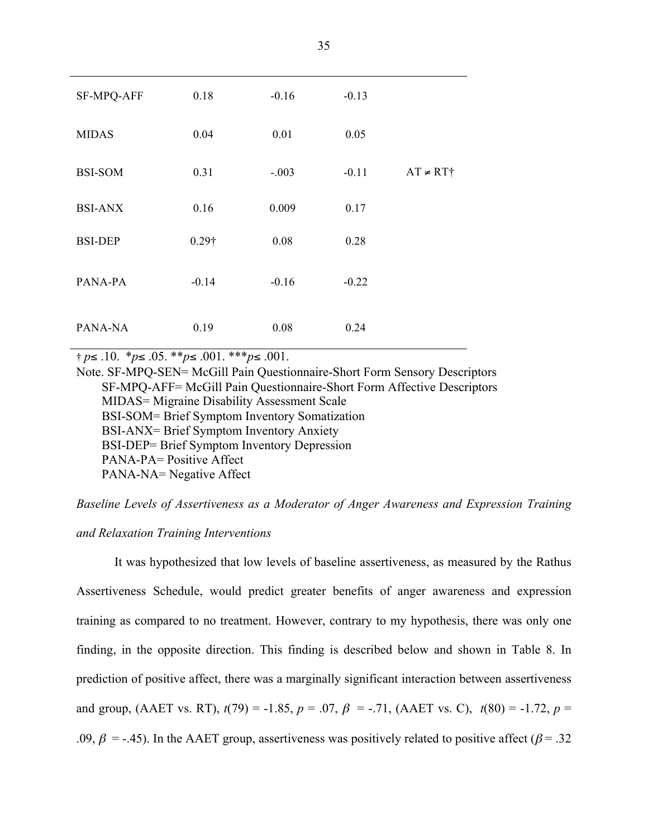| SF-MPQ-AFF     | 0.18          | $-0.16$ | $-0.13$ |                |
|----------------|---------------|---------|---------|----------------|
| <b>MIDAS</b>   | 0.04          | 0.01    | 0.05    |                |
| <b>BSI-SOM</b> | 0.31          | $-.003$ | $-0.11$ | $AT \neq RT$ † |
| <b>BSI-ANX</b> | 0.16          | 0.009   | 0.17    |                |
| <b>BSI-DEP</b> | $0.29\dagger$ | 0.08    | 0.28    |                |
| PANA-PA        | $-0.14$       | $-0.16$ | $-0.22$ |                |
| PANA-NA        | 0.19          | 0.08    | 0.24    |                |

† *p*≤ .10. \**p*≤ .05. \*\**p*≤ .001. \*\*\**p*≤ .001.

Note. SF-MPQ-SEN= McGill Pain Questionnaire-Short Form Sensory Descriptors SF-MPQ-AFF= McGill Pain Questionnaire-Short Form Affective Descriptors MIDAS= Migraine Disability Assessment Scale BSI-SOM= Brief Symptom Inventory Somatization BSI-ANX= Brief Symptom Inventory Anxiety BSI-DEP= Brief Symptom Inventory Depression PANA-PA= Positive Affect PANA-NA= Negative Affect

*Baseline Levels of Assertiveness as a Moderator of Anger Awareness and Expression Training and Relaxation Training Interventions*

It was hypothesized that low levels of baseline assertiveness, as measured by the Rathus Assertiveness Schedule, would predict greater benefits of anger awareness and expression training as compared to no treatment. However, contrary to my hypothesis, there was only one finding, in the opposite direction. This finding is described below and shown in Table 8. In prediction of positive affect, there was a marginally significant interaction between assertiveness and group, (AAET vs. RT),  $t(79) = -1.85$ ,  $p = .07$ ,  $\beta = -.71$ , (AAET vs. C),  $t(80) = -1.72$ ,  $p =$ .09,  $\beta$  = -.45). In the AAET group, assertiveness was positively related to positive affect ( $\beta$  = .32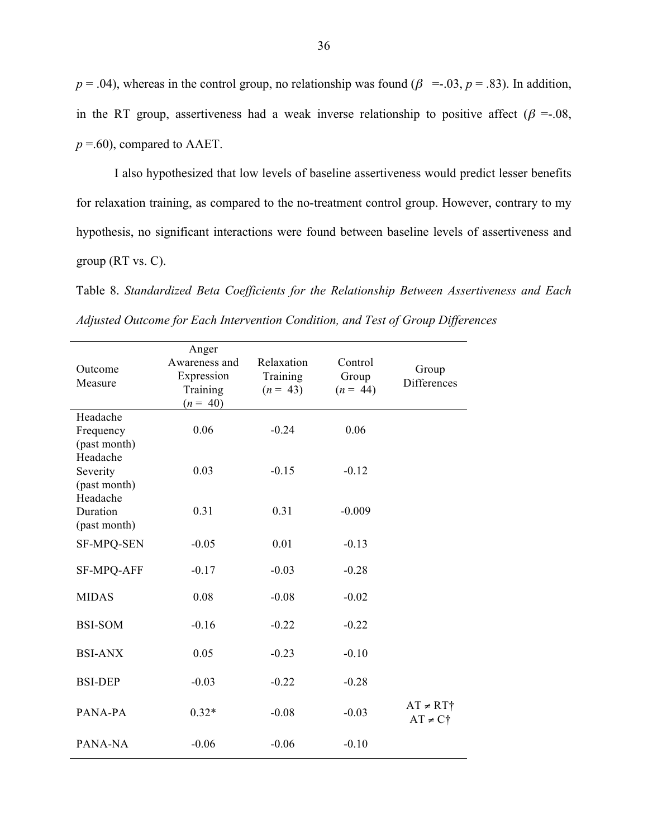$p = .04$ ), whereas in the control group, no relationship was found ( $\beta$  =-.03,  $p = .83$ ). In addition, in the RT group, assertiveness had a weak inverse relationship to positive affect ( $\beta = 0.08$ ,  $p = .60$ ), compared to AAET.

I also hypothesized that low levels of baseline assertiveness would predict lesser benefits for relaxation training, as compared to the no-treatment control group. However, contrary to my hypothesis, no significant interactions were found between baseline levels of assertiveness and group (RT vs. C).

Table 8. *Standardized Beta Coefficients for the Relationship Between Assertiveness and Each Adjusted Outcome for Each Intervention Condition, and Test of Group Differences*

| Outcome<br>Measure                    | Anger<br>Awareness and<br>Expression<br>Training<br>$(n = 40)$ | Relaxation<br>Training<br>$(n = 43)$ | Control<br>Group<br>$(n = 44)$ | Group<br>Differences                  |
|---------------------------------------|----------------------------------------------------------------|--------------------------------------|--------------------------------|---------------------------------------|
| Headache<br>Frequency<br>(past month) | 0.06                                                           | $-0.24$                              | 0.06                           |                                       |
| Headache<br>Severity<br>(past month)  | 0.03                                                           | $-0.15$                              | $-0.12$                        |                                       |
| Headache<br>Duration<br>(past month)  | 0.31                                                           | 0.31                                 | $-0.009$                       |                                       |
| <b>SF-MPQ-SEN</b>                     | $-0.05$                                                        | 0.01                                 | $-0.13$                        |                                       |
| SF-MPQ-AFF                            | $-0.17$                                                        | $-0.03$                              | $-0.28$                        |                                       |
| <b>MIDAS</b>                          | 0.08                                                           | $-0.08$                              | $-0.02$                        |                                       |
| <b>BSI-SOM</b>                        | $-0.16$                                                        | $-0.22$                              | $-0.22$                        |                                       |
| <b>BSI-ANX</b>                        | 0.05                                                           | $-0.23$                              | $-0.10$                        |                                       |
| <b>BSI-DEP</b>                        | $-0.03$                                                        | $-0.22$                              | $-0.28$                        |                                       |
| PANA-PA                               | $0.32*$                                                        | $-0.08$                              | $-0.03$                        | $AT \neq RT$ †<br>$AT \neq C\uparrow$ |
| PANA-NA                               | $-0.06$                                                        | $-0.06$                              | $-0.10$                        |                                       |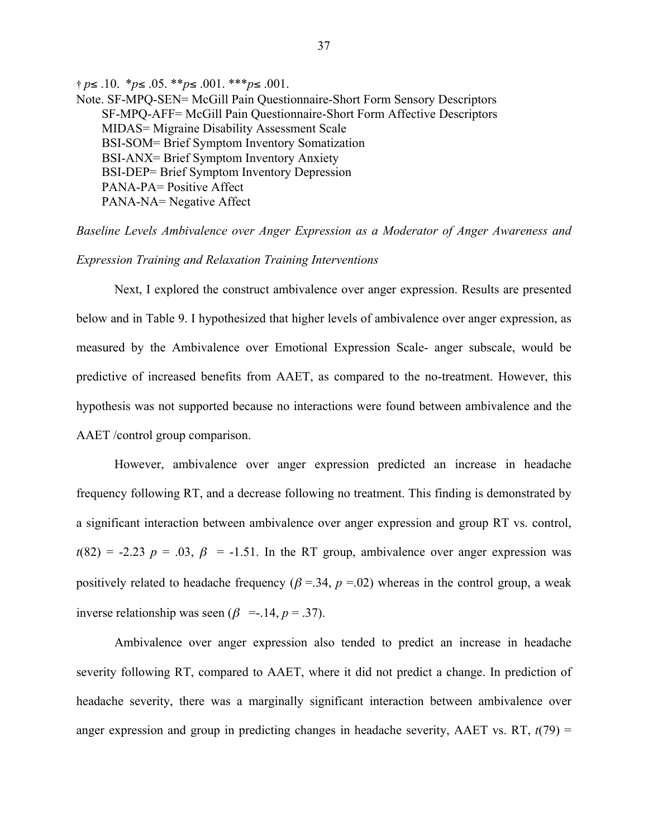† *p*≤ .10. \**p*≤ .05. \*\**p*≤ .001. \*\*\**p*≤ .001. Note. SF-MPQ-SEN= McGill Pain Questionnaire-Short Form Sensory Descriptors SF-MPQ-AFF= McGill Pain Questionnaire-Short Form Affective Descriptors MIDAS= Migraine Disability Assessment Scale BSI-SOM= Brief Symptom Inventory Somatization BSI-ANX= Brief Symptom Inventory Anxiety BSI-DEP= Brief Symptom Inventory Depression PANA-PA= Positive Affect PANA-NA= Negative Affect

*Baseline Levels Ambivalence over Anger Expression as a Moderator of Anger Awareness and Expression Training and Relaxation Training Interventions*

Next, I explored the construct ambivalence over anger expression. Results are presented below and in Table 9. I hypothesized that higher levels of ambivalence over anger expression, as measured by the Ambivalence over Emotional Expression Scale- anger subscale, would be predictive of increased benefits from AAET, as compared to the no-treatment. However, this hypothesis was not supported because no interactions were found between ambivalence and the AAET /control group comparison.

However, ambivalence over anger expression predicted an increase in headache frequency following RT, and a decrease following no treatment. This finding is demonstrated by a significant interaction between ambivalence over anger expression and group RT vs. control,  $t(82) = -2.23$  *p* = .03,  $\beta$  = -1.51. In the RT group, ambivalence over anger expression was positively related to headache frequency ( $\beta$  =.34,  $p$  =.02) whereas in the control group, a weak inverse relationship was seen ( $\beta$  =-.14,  $p = .37$ ).

Ambivalence over anger expression also tended to predict an increase in headache severity following RT, compared to AAET, where it did not predict a change. In prediction of headache severity, there was a marginally significant interaction between ambivalence over anger expression and group in predicting changes in headache severity, AAET vs. RT,  $t(79)$  =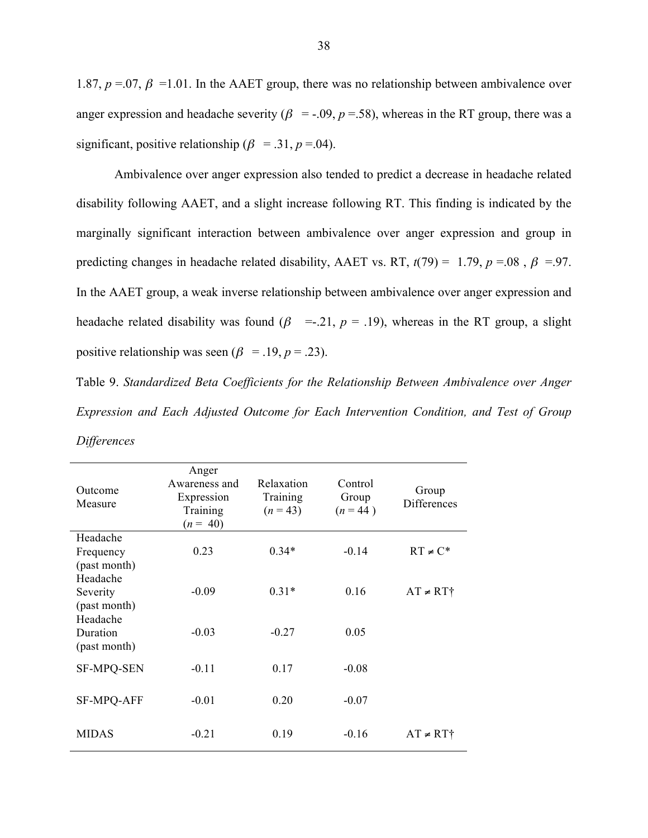1.87,  $p = 0.07$ ,  $\beta = 1.01$ . In the AAET group, there was no relationship between ambivalence over anger expression and headache severity ( $\beta$  = -.09,  $p$  =.58), whereas in the RT group, there was a significant, positive relationship ( $\beta$  = .31,  $p$  = .04).

Ambivalence over anger expression also tended to predict a decrease in headache related disability following AAET, and a slight increase following RT. This finding is indicated by the marginally significant interaction between ambivalence over anger expression and group in predicting changes in headache related disability, AAET vs. RT,  $t(79) = 1.79$ ,  $p = .08$ ,  $\beta = .97$ . In the AAET group, a weak inverse relationship between ambivalence over anger expression and headache related disability was found  $(\beta$  =-.21,  $p = .19$ ), whereas in the RT group, a slight positive relationship was seen ( $\beta$  = .19,  $p$  = .23).

Table 9. *Standardized Beta Coefficients for the Relationship Between Ambivalence over Anger Expression and Each Adjusted Outcome for Each Intervention Condition, and Test of Group Differences*

| Anger<br>Awareness and<br>Expression<br>Training<br>$(n = 40)$ | Relaxation<br>Training<br>$(n = 43)$ | Control<br>Group<br>$(n = 44)$ | Group<br><b>Differences</b> |
|----------------------------------------------------------------|--------------------------------------|--------------------------------|-----------------------------|
| 0.23                                                           | $0.34*$                              | $-0.14$                        | $RT \neq C^*$               |
|                                                                |                                      |                                |                             |
| $-0.09$                                                        | $0.31*$                              | 0.16                           | $AT \neq RT^{\dagger}$      |
|                                                                |                                      |                                |                             |
| $-0.03$                                                        | $-0.27$                              | 0.05                           |                             |
|                                                                |                                      |                                |                             |
|                                                                |                                      |                                |                             |
| $-0.01$                                                        | 0.20                                 | $-0.07$                        |                             |
| $-0.21$                                                        | 0.19                                 | $-0.16$                        | $AT \neq RT^*$              |
|                                                                | $-0.11$                              | 0.17                           | $-0.08$                     |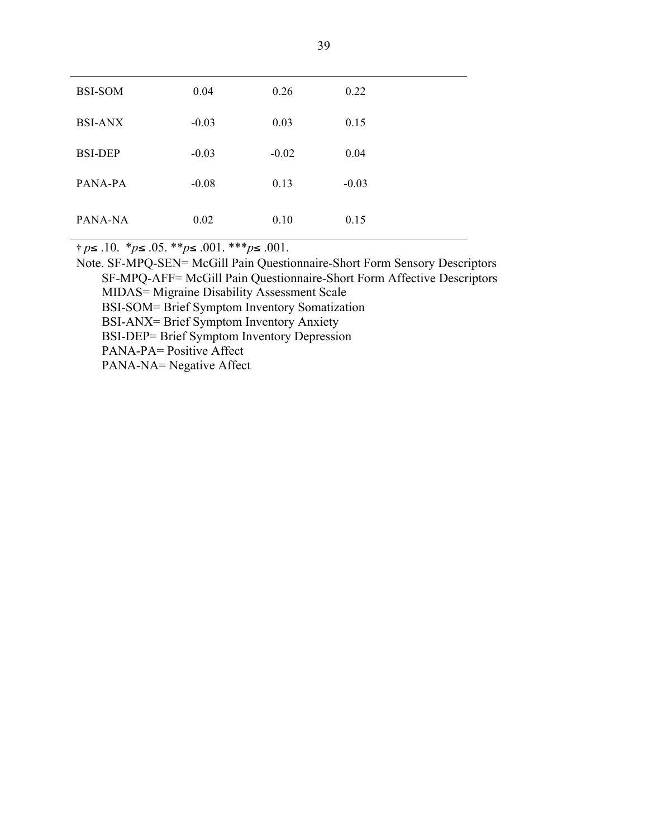| <b>BSI-SOM</b> | 0.04    | 0.26    | 0.22    |
|----------------|---------|---------|---------|
| <b>BSI-ANX</b> | $-0.03$ | 0.03    | 0.15    |
| <b>BSI-DEP</b> | $-0.03$ | $-0.02$ | 0.04    |
| PANA-PA        | $-0.08$ | 0.13    | $-0.03$ |
| PANA-NA        | 0.02    | 0.10    | 0.15    |

† *p*≤ .10. \**p*≤ .05. \*\**p*≤ .001. \*\*\**p*≤ .001.

Note. SF-MPQ-SEN= McGill Pain Questionnaire-Short Form Sensory Descriptors SF-MPQ-AFF= McGill Pain Questionnaire-Short Form Affective Descriptors MIDAS= Migraine Disability Assessment Scale BSI-SOM= Brief Symptom Inventory Somatization BSI-ANX= Brief Symptom Inventory Anxiety BSI-DEP= Brief Symptom Inventory Depression PANA-PA= Positive Affect PANA-NA= Negative Affect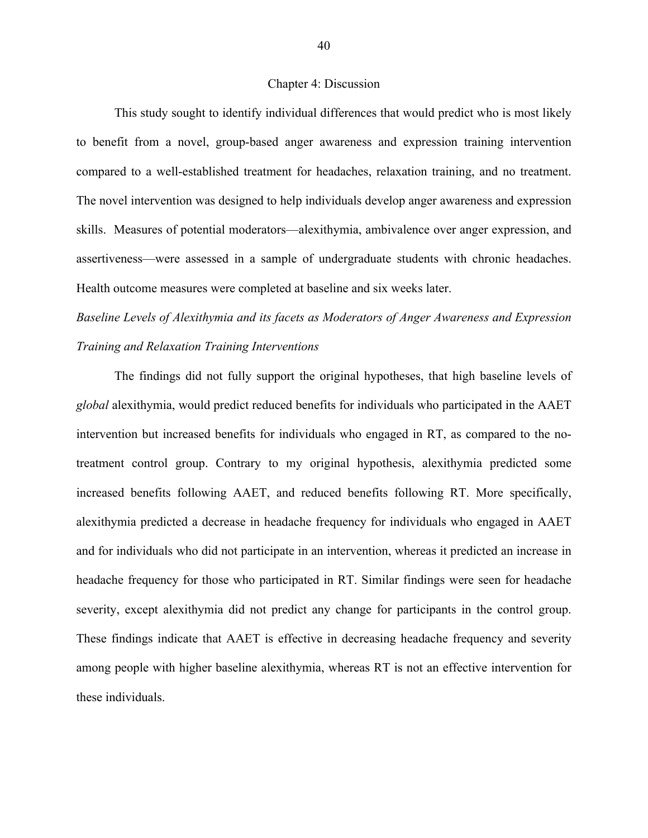#### Chapter 4: Discussion

This study sought to identify individual differences that would predict who is most likely to benefit from a novel, group-based anger awareness and expression training intervention compared to a well-established treatment for headaches, relaxation training, and no treatment. The novel intervention was designed to help individuals develop anger awareness and expression skills. Measures of potential moderators—alexithymia, ambivalence over anger expression, and assertiveness—were assessed in a sample of undergraduate students with chronic headaches. Health outcome measures were completed at baseline and six weeks later.

*Baseline Levels of Alexithymia and its facets as Moderators of Anger Awareness and Expression Training and Relaxation Training Interventions*

The findings did not fully support the original hypotheses, that high baseline levels of *global* alexithymia, would predict reduced benefits for individuals who participated in the AAET intervention but increased benefits for individuals who engaged in RT, as compared to the notreatment control group. Contrary to my original hypothesis, alexithymia predicted some increased benefits following AAET, and reduced benefits following RT. More specifically, alexithymia predicted a decrease in headache frequency for individuals who engaged in AAET and for individuals who did not participate in an intervention, whereas it predicted an increase in headache frequency for those who participated in RT. Similar findings were seen for headache severity, except alexithymia did not predict any change for participants in the control group. These findings indicate that AAET is effective in decreasing headache frequency and severity among people with higher baseline alexithymia, whereas RT is not an effective intervention for these individuals.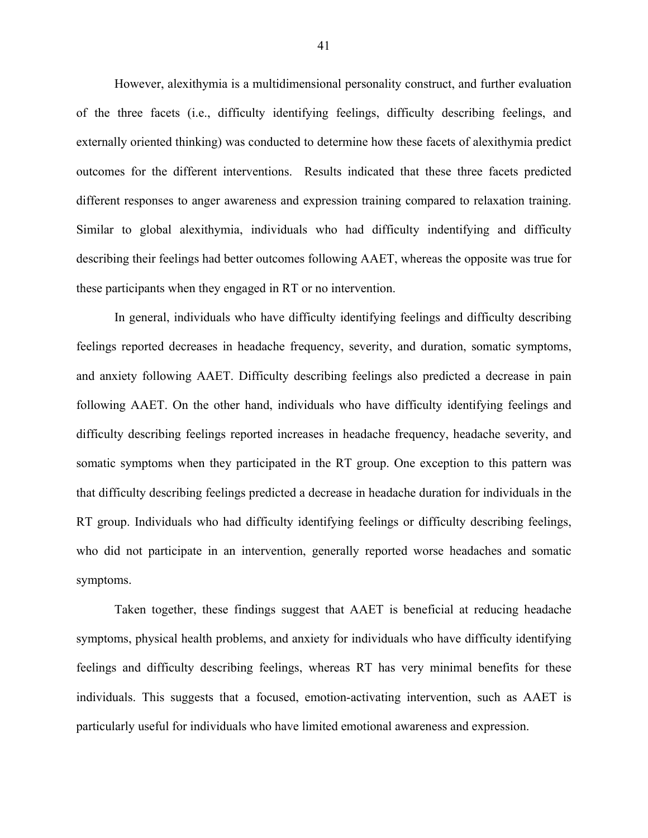However, alexithymia is a multidimensional personality construct, and further evaluation of the three facets (i.e., difficulty identifying feelings, difficulty describing feelings, and externally oriented thinking) was conducted to determine how these facets of alexithymia predict outcomes for the different interventions. Results indicated that these three facets predicted different responses to anger awareness and expression training compared to relaxation training. Similar to global alexithymia, individuals who had difficulty indentifying and difficulty describing their feelings had better outcomes following AAET, whereas the opposite was true for these participants when they engaged in RT or no intervention.

In general, individuals who have difficulty identifying feelings and difficulty describing feelings reported decreases in headache frequency, severity, and duration, somatic symptoms, and anxiety following AAET. Difficulty describing feelings also predicted a decrease in pain following AAET. On the other hand, individuals who have difficulty identifying feelings and difficulty describing feelings reported increases in headache frequency, headache severity, and somatic symptoms when they participated in the RT group. One exception to this pattern was that difficulty describing feelings predicted a decrease in headache duration for individuals in the RT group. Individuals who had difficulty identifying feelings or difficulty describing feelings, who did not participate in an intervention, generally reported worse headaches and somatic symptoms.

Taken together, these findings suggest that AAET is beneficial at reducing headache symptoms, physical health problems, and anxiety for individuals who have difficulty identifying feelings and difficulty describing feelings, whereas RT has very minimal benefits for these individuals. This suggests that a focused, emotion-activating intervention, such as AAET is particularly useful for individuals who have limited emotional awareness and expression.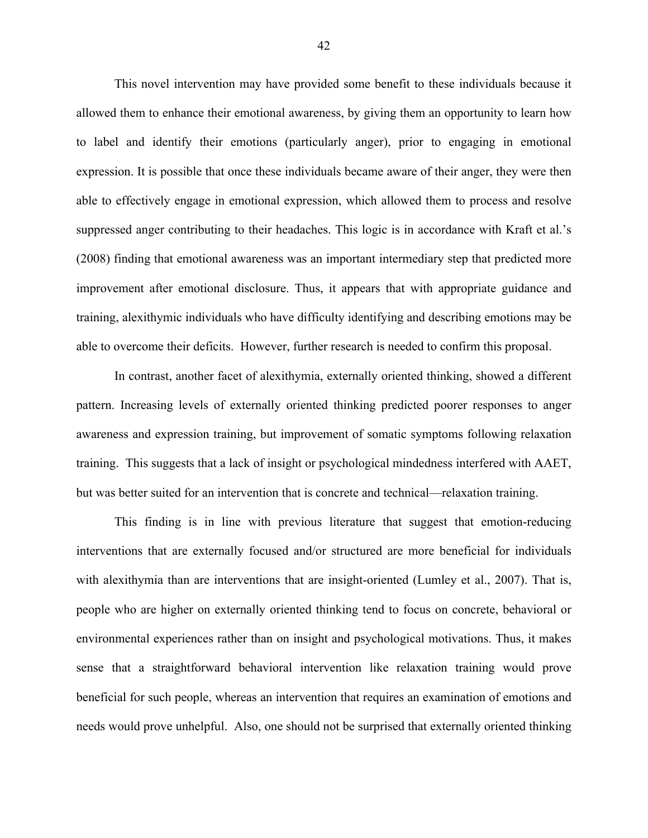This novel intervention may have provided some benefit to these individuals because it allowed them to enhance their emotional awareness, by giving them an opportunity to learn how to label and identify their emotions (particularly anger), prior to engaging in emotional expression. It is possible that once these individuals became aware of their anger, they were then able to effectively engage in emotional expression, which allowed them to process and resolve suppressed anger contributing to their headaches. This logic is in accordance with Kraft et al.'s (2008) finding that emotional awareness was an important intermediary step that predicted more improvement after emotional disclosure. Thus, it appears that with appropriate guidance and training, alexithymic individuals who have difficulty identifying and describing emotions may be able to overcome their deficits. However, further research is needed to confirm this proposal.

In contrast, another facet of alexithymia, externally oriented thinking, showed a different pattern. Increasing levels of externally oriented thinking predicted poorer responses to anger awareness and expression training, but improvement of somatic symptoms following relaxation training. This suggests that a lack of insight or psychological mindedness interfered with AAET, but was better suited for an intervention that is concrete and technical—relaxation training.

This finding is in line with previous literature that suggest that emotion-reducing interventions that are externally focused and/or structured are more beneficial for individuals with alexithymia than are interventions that are insight-oriented (Lumley et al., 2007). That is, people who are higher on externally oriented thinking tend to focus on concrete, behavioral or environmental experiences rather than on insight and psychological motivations. Thus, it makes sense that a straightforward behavioral intervention like relaxation training would prove beneficial for such people, whereas an intervention that requires an examination of emotions and needs would prove unhelpful. Also, one should not be surprised that externally oriented thinking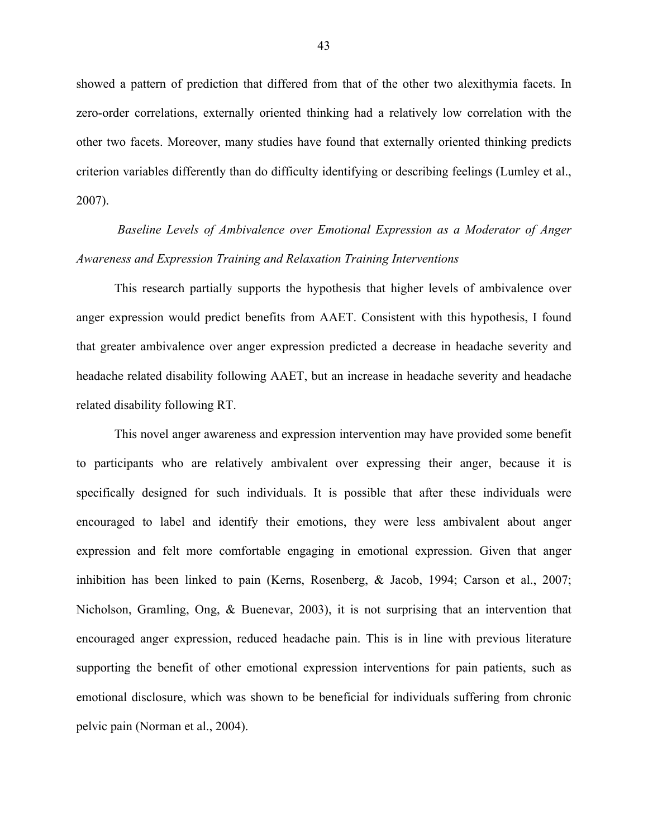showed a pattern of prediction that differed from that of the other two alexithymia facets. In zero-order correlations, externally oriented thinking had a relatively low correlation with the other two facets. Moreover, many studies have found that externally oriented thinking predicts criterion variables differently than do difficulty identifying or describing feelings (Lumley et al., 2007).

*Baseline Levels of Ambivalence over Emotional Expression as a Moderator of Anger Awareness and Expression Training and Relaxation Training Interventions*

This research partially supports the hypothesis that higher levels of ambivalence over anger expression would predict benefits from AAET. Consistent with this hypothesis, I found that greater ambivalence over anger expression predicted a decrease in headache severity and headache related disability following AAET, but an increase in headache severity and headache related disability following RT.

This novel anger awareness and expression intervention may have provided some benefit to participants who are relatively ambivalent over expressing their anger, because it is specifically designed for such individuals. It is possible that after these individuals were encouraged to label and identify their emotions, they were less ambivalent about anger expression and felt more comfortable engaging in emotional expression. Given that anger inhibition has been linked to pain (Kerns, Rosenberg, & Jacob, 1994; Carson et al., 2007; Nicholson, Gramling, Ong, & Buenevar, 2003), it is not surprising that an intervention that encouraged anger expression, reduced headache pain. This is in line with previous literature supporting the benefit of other emotional expression interventions for pain patients, such as emotional disclosure, which was shown to be beneficial for individuals suffering from chronic pelvic pain (Norman et al., 2004).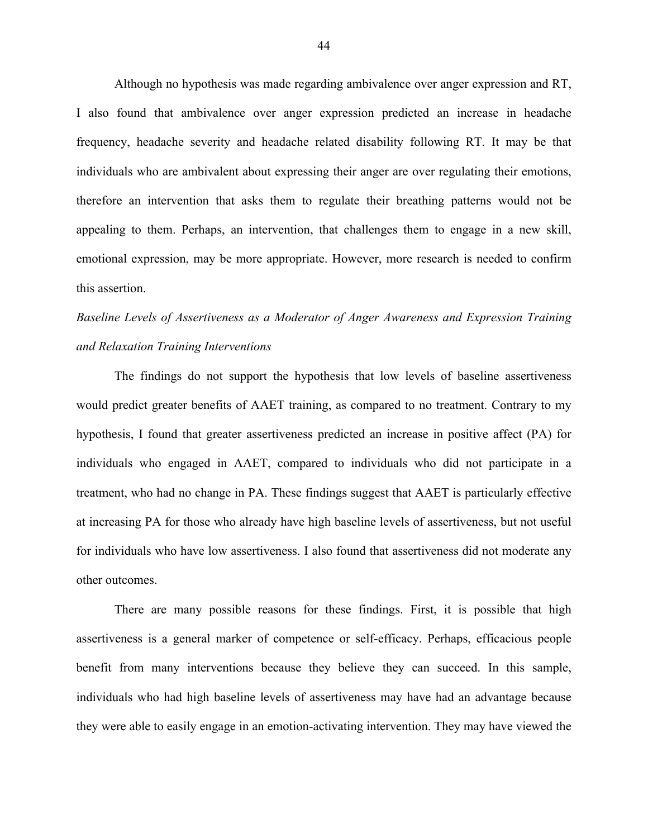Although no hypothesis was made regarding ambivalence over anger expression and RT, I also found that ambivalence over anger expression predicted an increase in headache frequency, headache severity and headache related disability following RT. It may be that individuals who are ambivalent about expressing their anger are over regulating their emotions, therefore an intervention that asks them to regulate their breathing patterns would not be appealing to them. Perhaps, an intervention, that challenges them to engage in a new skill, emotional expression, may be more appropriate. However, more research is needed to confirm this assertion.

# *Baseline Levels of Assertiveness as a Moderator of Anger Awareness and Expression Training and Relaxation Training Interventions*

The findings do not support the hypothesis that low levels of baseline assertiveness would predict greater benefits of AAET training, as compared to no treatment. Contrary to my hypothesis, I found that greater assertiveness predicted an increase in positive affect (PA) for individuals who engaged in AAET, compared to individuals who did not participate in a treatment, who had no change in PA. These findings suggest that AAET is particularly effective at increasing PA for those who already have high baseline levels of assertiveness, but not useful for individuals who have low assertiveness. I also found that assertiveness did not moderate any other outcomes.

There are many possible reasons for these findings. First, it is possible that high assertiveness is a general marker of competence or self-efficacy. Perhaps, efficacious people benefit from many interventions because they believe they can succeed. In this sample, individuals who had high baseline levels of assertiveness may have had an advantage because they were able to easily engage in an emotion-activating intervention. They may have viewed the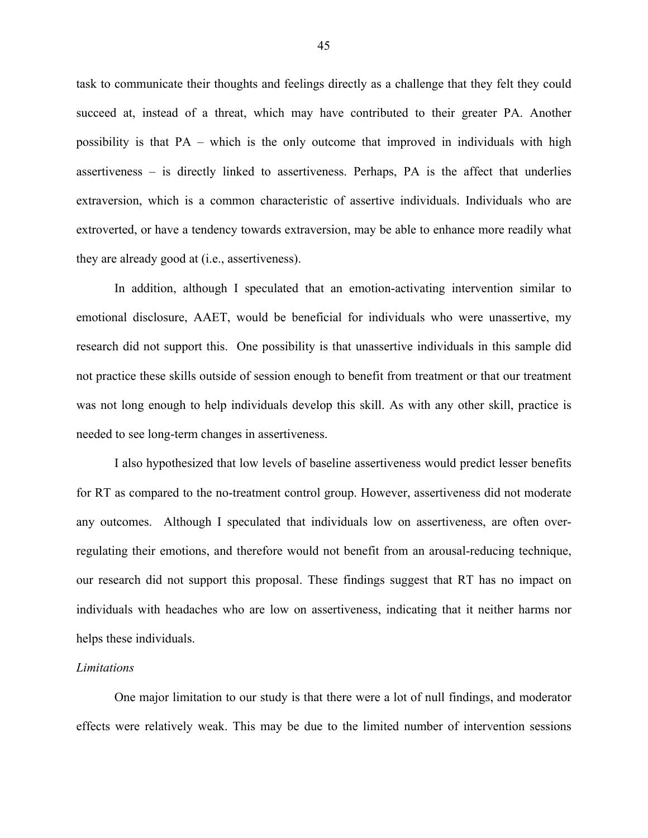task to communicate their thoughts and feelings directly as a challenge that they felt they could succeed at, instead of a threat, which may have contributed to their greater PA. Another possibility is that PA – which is the only outcome that improved in individuals with high assertiveness – is directly linked to assertiveness. Perhaps, PA is the affect that underlies extraversion, which is a common characteristic of assertive individuals. Individuals who are extroverted, or have a tendency towards extraversion, may be able to enhance more readily what they are already good at (i.e., assertiveness).

In addition, although I speculated that an emotion-activating intervention similar to emotional disclosure, AAET, would be beneficial for individuals who were unassertive, my research did not support this. One possibility is that unassertive individuals in this sample did not practice these skills outside of session enough to benefit from treatment or that our treatment was not long enough to help individuals develop this skill. As with any other skill, practice is needed to see long-term changes in assertiveness.

I also hypothesized that low levels of baseline assertiveness would predict lesser benefits for RT as compared to the no-treatment control group. However, assertiveness did not moderate any outcomes. Although I speculated that individuals low on assertiveness, are often overregulating their emotions, and therefore would not benefit from an arousal-reducing technique, our research did not support this proposal. These findings suggest that RT has no impact on individuals with headaches who are low on assertiveness, indicating that it neither harms nor helps these individuals.

#### *Limitations*

One major limitation to our study is that there were a lot of null findings, and moderator effects were relatively weak. This may be due to the limited number of intervention sessions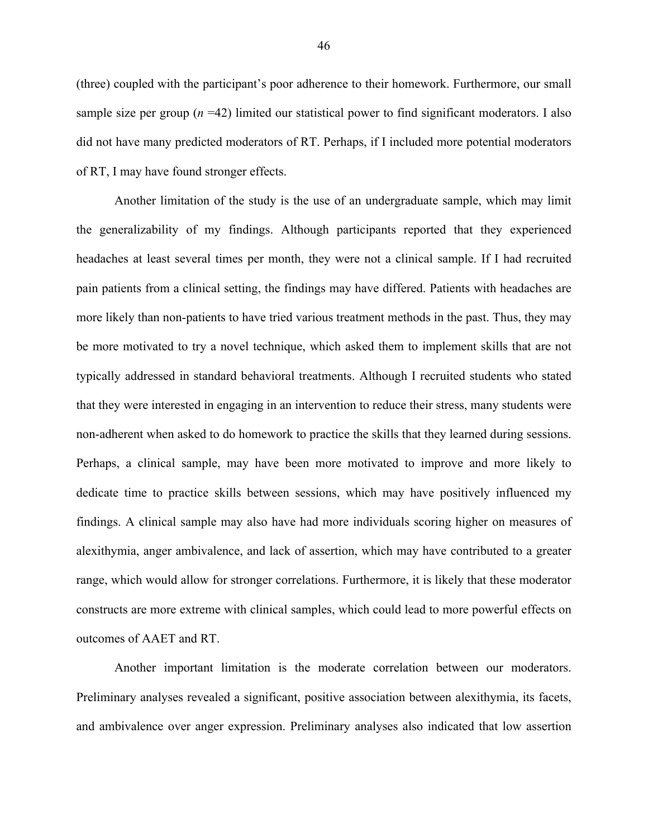(three) coupled with the participant's poor adherence to their homework. Furthermore, our small sample size per group  $(n = 42)$  limited our statistical power to find significant moderators. I also did not have many predicted moderators of RT. Perhaps, if I included more potential moderators of RT, I may have found stronger effects.

Another limitation of the study is the use of an undergraduate sample, which may limit the generalizability of my findings. Although participants reported that they experienced headaches at least several times per month, they were not a clinical sample. If I had recruited pain patients from a clinical setting, the findings may have differed. Patients with headaches are more likely than non-patients to have tried various treatment methods in the past. Thus, they may be more motivated to try a novel technique, which asked them to implement skills that are not typically addressed in standard behavioral treatments. Although I recruited students who stated that they were interested in engaging in an intervention to reduce their stress, many students were non-adherent when asked to do homework to practice the skills that they learned during sessions. Perhaps, a clinical sample, may have been more motivated to improve and more likely to dedicate time to practice skills between sessions, which may have positively influenced my findings. A clinical sample may also have had more individuals scoring higher on measures of alexithymia, anger ambivalence, and lack of assertion, which may have contributed to a greater range, which would allow for stronger correlations. Furthermore, it is likely that these moderator constructs are more extreme with clinical samples, which could lead to more powerful effects on outcomes of AAET and RT.

Another important limitation is the moderate correlation between our moderators. Preliminary analyses revealed a significant, positive association between alexithymia, its facets, and ambivalence over anger expression. Preliminary analyses also indicated that low assertion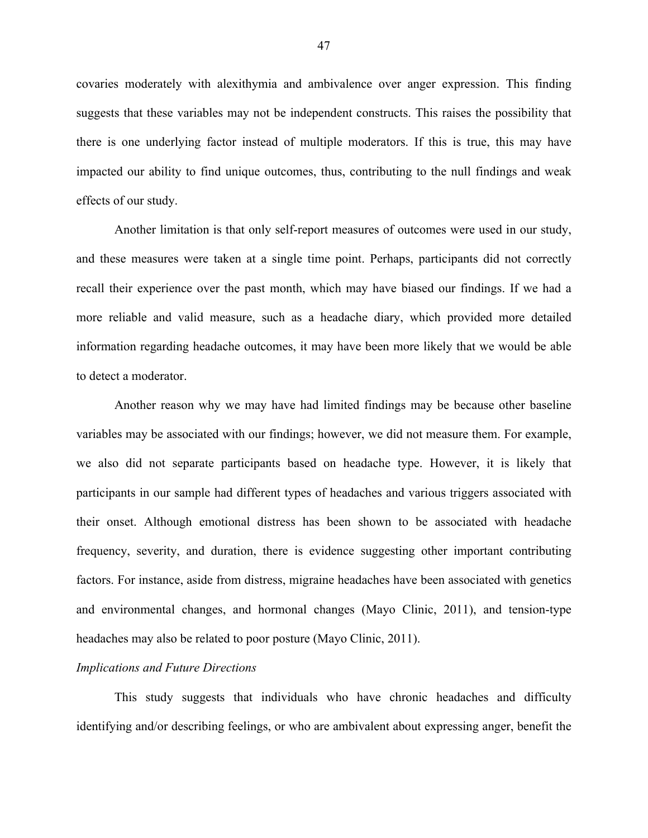covaries moderately with alexithymia and ambivalence over anger expression. This finding suggests that these variables may not be independent constructs. This raises the possibility that there is one underlying factor instead of multiple moderators. If this is true, this may have impacted our ability to find unique outcomes, thus, contributing to the null findings and weak effects of our study.

Another limitation is that only self-report measures of outcomes were used in our study, and these measures were taken at a single time point. Perhaps, participants did not correctly recall their experience over the past month, which may have biased our findings. If we had a more reliable and valid measure, such as a headache diary, which provided more detailed information regarding headache outcomes, it may have been more likely that we would be able to detect a moderator.

Another reason why we may have had limited findings may be because other baseline variables may be associated with our findings; however, we did not measure them. For example, we also did not separate participants based on headache type. However, it is likely that participants in our sample had different types of headaches and various triggers associated with their onset. Although emotional distress has been shown to be associated with headache frequency, severity, and duration, there is evidence suggesting other important contributing factors. For instance, aside from distress, migraine headaches have been associated with genetics and environmental changes, and hormonal changes (Mayo Clinic, 2011), and tension-type headaches may also be related to poor posture (Mayo Clinic, 2011).

#### *Implications and Future Directions*

This study suggests that individuals who have chronic headaches and difficulty identifying and/or describing feelings, or who are ambivalent about expressing anger, benefit the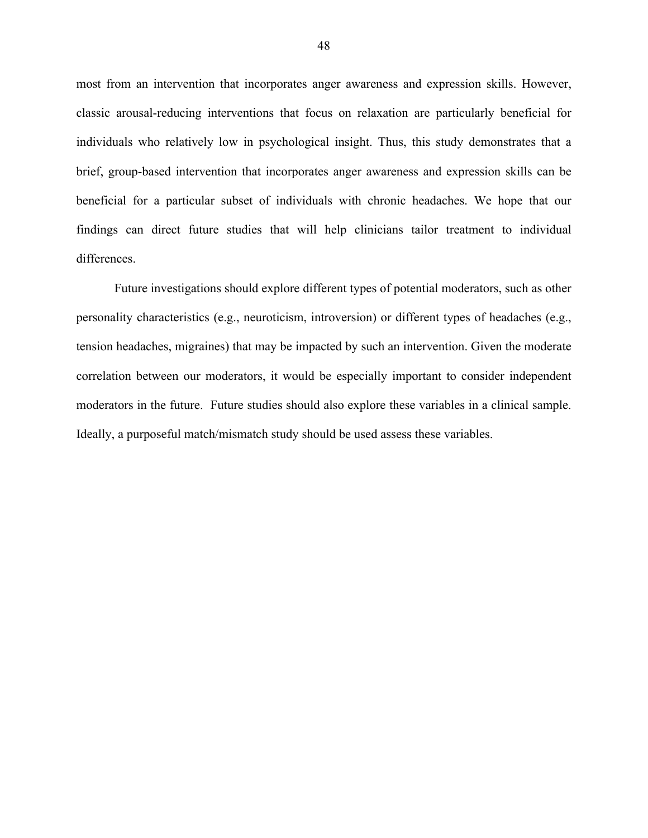most from an intervention that incorporates anger awareness and expression skills. However, classic arousal-reducing interventions that focus on relaxation are particularly beneficial for individuals who relatively low in psychological insight. Thus, this study demonstrates that a brief, group-based intervention that incorporates anger awareness and expression skills can be beneficial for a particular subset of individuals with chronic headaches. We hope that our findings can direct future studies that will help clinicians tailor treatment to individual differences.

Future investigations should explore different types of potential moderators, such as other personality characteristics (e.g., neuroticism, introversion) or different types of headaches (e.g., tension headaches, migraines) that may be impacted by such an intervention. Given the moderate correlation between our moderators, it would be especially important to consider independent moderators in the future. Future studies should also explore these variables in a clinical sample. Ideally, a purposeful match/mismatch study should be used assess these variables.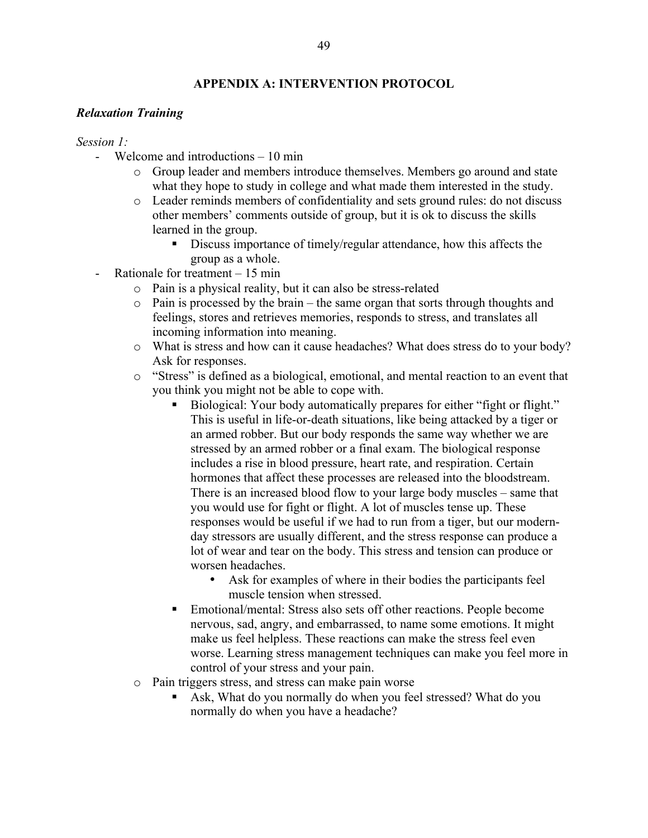# **APPENDIX A: INTERVENTION PROTOCOL**

## *Relaxation Training*

*Session 1:*

- Welcome and introductions  $-10$  min
	- o Group leader and members introduce themselves. Members go around and state what they hope to study in college and what made them interested in the study.
	- o Leader reminds members of confidentiality and sets ground rules: do not discuss other members' comments outside of group, but it is ok to discuss the skills learned in the group.
		- Discuss importance of timely/regular attendance, how this affects the group as a whole.
- Rationale for treatment  $-15$  min
	- o Pain is a physical reality, but it can also be stress-related
	- o Pain is processed by the brain the same organ that sorts through thoughts and feelings, stores and retrieves memories, responds to stress, and translates all incoming information into meaning.
	- o What is stress and how can it cause headaches? What does stress do to your body? Ask for responses.
	- o "Stress" is defined as a biological, emotional, and mental reaction to an event that you think you might not be able to cope with.
		- Biological: Your body automatically prepares for either "fight or flight." This is useful in life-or-death situations, like being attacked by a tiger or an armed robber. But our body responds the same way whether we are stressed by an armed robber or a final exam. The biological response includes a rise in blood pressure, heart rate, and respiration. Certain hormones that affect these processes are released into the bloodstream. There is an increased blood flow to your large body muscles – same that you would use for fight or flight. A lot of muscles tense up. These responses would be useful if we had to run from a tiger, but our modernday stressors are usually different, and the stress response can produce a lot of wear and tear on the body. This stress and tension can produce or worsen headaches.
			- Ask for examples of where in their bodies the participants feel muscle tension when stressed.
		- Emotional/mental: Stress also sets off other reactions. People become nervous, sad, angry, and embarrassed, to name some emotions. It might make us feel helpless. These reactions can make the stress feel even worse. Learning stress management techniques can make you feel more in control of your stress and your pain.
	- o Pain triggers stress, and stress can make pain worse
		- Ask, What do you normally do when you feel stressed? What do you normally do when you have a headache?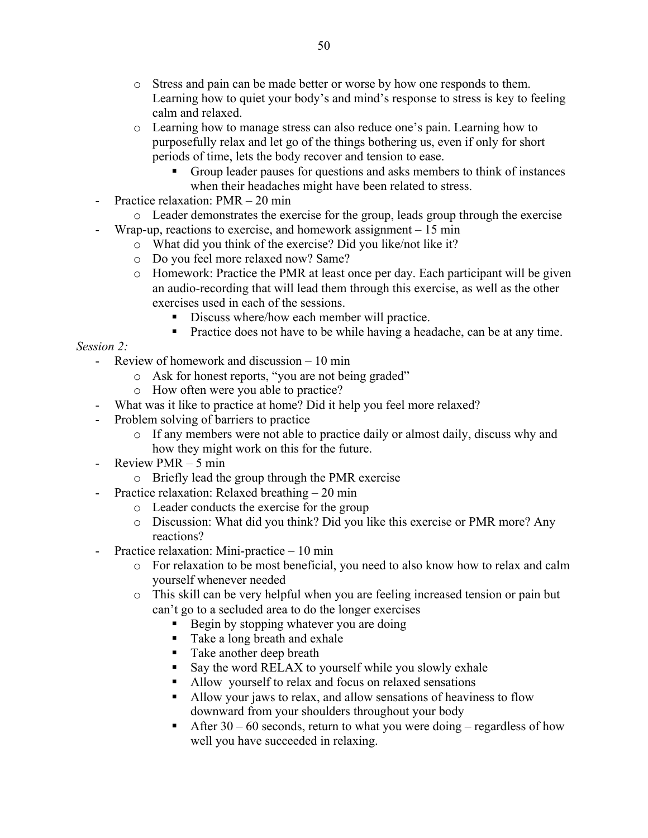- o Stress and pain can be made better or worse by how one responds to them. Learning how to quiet your body's and mind's response to stress is key to feeling calm and relaxed.
- o Learning how to manage stress can also reduce one's pain. Learning how to purposefully relax and let go of the things bothering us, even if only for short periods of time, lets the body recover and tension to ease.
	- Group leader pauses for questions and asks members to think of instances when their headaches might have been related to stress.
- Practice relaxation: PMR 20 min
	- o Leader demonstrates the exercise for the group, leads group through the exercise
- Wrap-up, reactions to exercise, and homework assignment  $-15$  min
	- o What did you think of the exercise? Did you like/not like it?
	- o Do you feel more relaxed now? Same?
	- o Homework: Practice the PMR at least once per day. Each participant will be given an audio-recording that will lead them through this exercise, as well as the other exercises used in each of the sessions.
		- Discuss where/how each member will practice.
		- **Practice does not have to be while having a headache, can be at any time.**

*Session 2:*

- Review of homework and discussion 10 min
	- o Ask for honest reports, "you are not being graded"
	- o How often were you able to practice?
	- What was it like to practice at home? Did it help you feel more relaxed?
- Problem solving of barriers to practice
	- o If any members were not able to practice daily or almost daily, discuss why and how they might work on this for the future.
- Review PMR 5 min
	- o Briefly lead the group through the PMR exercise
- Practice relaxation: Relaxed breathing 20 min
	- o Leader conducts the exercise for the group
	- o Discussion: What did you think? Did you like this exercise or PMR more? Any reactions?
- Practice relaxation: Mini-practice 10 min
	- o For relaxation to be most beneficial, you need to also know how to relax and calm yourself whenever needed
	- o This skill can be very helpful when you are feeling increased tension or pain but can't go to a secluded area to do the longer exercises
		- Begin by stopping whatever you are doing
		- Take a long breath and exhale
		- Take another deep breath
		- Say the word RELAX to yourself while you slowly exhale
		- Allow yourself to relax and focus on relaxed sensations
		- Allow your jaws to relax, and allow sensations of heaviness to flow downward from your shoulders throughout your body
		- After  $30 60$  seconds, return to what you were doing regardless of how well you have succeeded in relaxing.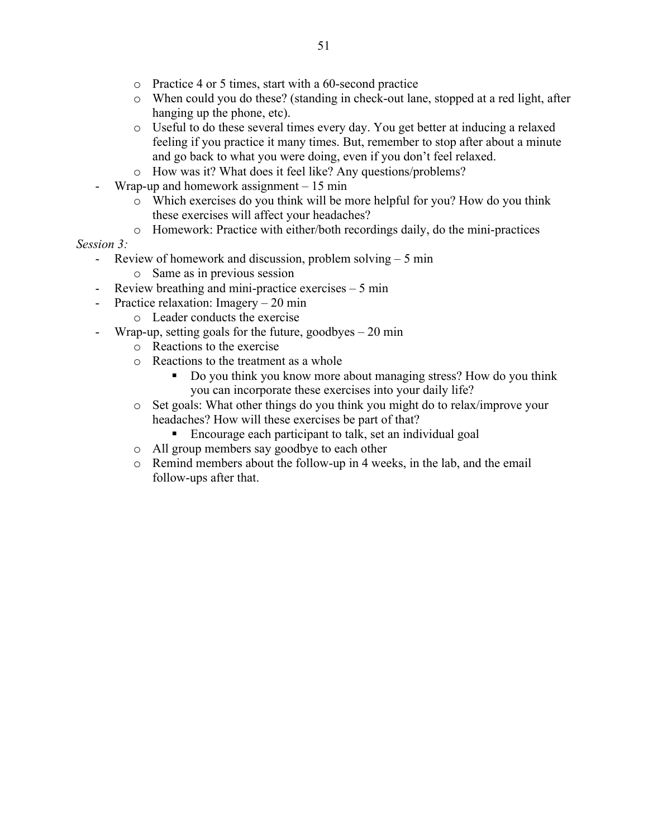- o Practice 4 or 5 times, start with a 60-second practice
- o When could you do these? (standing in check-out lane, stopped at a red light, after hanging up the phone, etc).
- o Useful to do these several times every day. You get better at inducing a relaxed feeling if you practice it many times. But, remember to stop after about a minute and go back to what you were doing, even if you don't feel relaxed.
- o How was it? What does it feel like? Any questions/problems?
- Wrap-up and homework assignment  $-15$  min
	- o Which exercises do you think will be more helpful for you? How do you think these exercises will affect your headaches?
	- o Homework: Practice with either/both recordings daily, do the mini-practices

# *Session 3:*

- Review of homework and discussion, problem solving 5 min
	- o Same as in previous session
- Review breathing and mini-practice exercises  $-5$  min
- Practice relaxation: Imagery 20 min
	- o Leader conducts the exercise
- Wrap-up, setting goals for the future, goodbyes 20 min
	- o Reactions to the exercise
	- o Reactions to the treatment as a whole
		- Do you think you know more about managing stress? How do you think you can incorporate these exercises into your daily life?
	- o Set goals: What other things do you think you might do to relax/improve your headaches? How will these exercises be part of that?
		- Encourage each participant to talk, set an individual goal
	- o All group members say goodbye to each other
	- o Remind members about the follow-up in 4 weeks, in the lab, and the email follow-ups after that.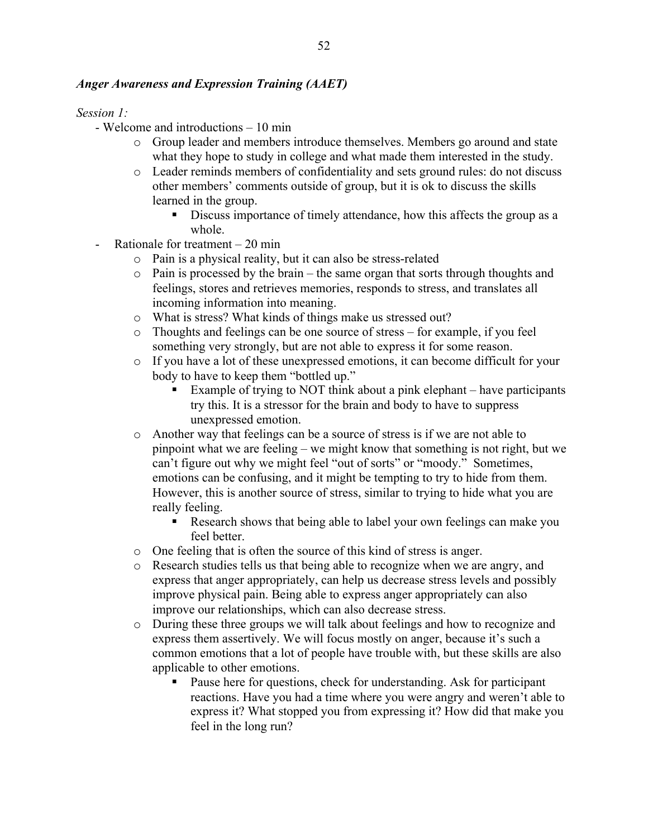# *Anger Awareness and Expression Training (AAET)*

*Session 1:*

- Welcome and introductions 10 min
	- o Group leader and members introduce themselves. Members go around and state what they hope to study in college and what made them interested in the study.
	- o Leader reminds members of confidentiality and sets ground rules: do not discuss other members' comments outside of group, but it is ok to discuss the skills learned in the group.
		- Discuss importance of timely attendance, how this affects the group as a whole.
- Rationale for treatment 20 min
	- o Pain is a physical reality, but it can also be stress-related
	- o Pain is processed by the brain the same organ that sorts through thoughts and feelings, stores and retrieves memories, responds to stress, and translates all incoming information into meaning.
	- o What is stress? What kinds of things make us stressed out?
	- o Thoughts and feelings can be one source of stress for example, if you feel something very strongly, but are not able to express it for some reason.
	- o If you have a lot of these unexpressed emotions, it can become difficult for your body to have to keep them "bottled up."
		- Example of trying to NOT think about a pink elephant have participants try this. It is a stressor for the brain and body to have to suppress unexpressed emotion.
	- o Another way that feelings can be a source of stress is if we are not able to pinpoint what we are feeling – we might know that something is not right, but we can't figure out why we might feel "out of sorts" or "moody." Sometimes, emotions can be confusing, and it might be tempting to try to hide from them. However, this is another source of stress, similar to trying to hide what you are really feeling.
		- Research shows that being able to label your own feelings can make you feel better.
	- o One feeling that is often the source of this kind of stress is anger.
	- o Research studies tells us that being able to recognize when we are angry, and express that anger appropriately, can help us decrease stress levels and possibly improve physical pain. Being able to express anger appropriately can also improve our relationships, which can also decrease stress.
	- o During these three groups we will talk about feelings and how to recognize and express them assertively. We will focus mostly on anger, because it's such a common emotions that a lot of people have trouble with, but these skills are also applicable to other emotions.
		- Pause here for questions, check for understanding. Ask for participant reactions. Have you had a time where you were angry and weren't able to express it? What stopped you from expressing it? How did that make you feel in the long run?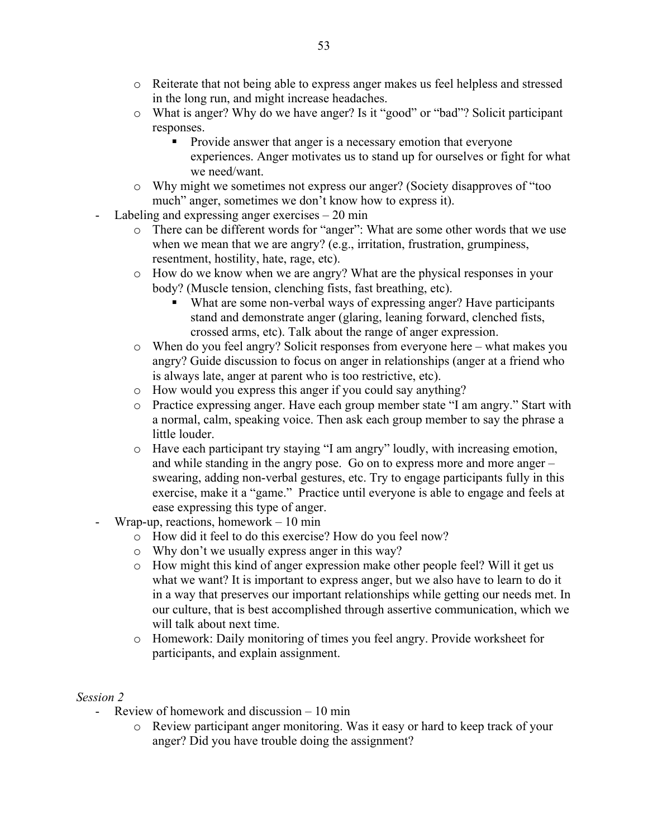- o Reiterate that not being able to express anger makes us feel helpless and stressed in the long run, and might increase headaches.
- o What is anger? Why do we have anger? Is it "good" or "bad"? Solicit participant responses.
	- **Provide answer that anger is a necessary emotion that everyone** experiences. Anger motivates us to stand up for ourselves or fight for what we need/want.
- o Why might we sometimes not express our anger? (Society disapproves of "too much" anger, sometimes we don't know how to express it).
- Labeling and expressing anger exercises  $-20$  min
	- o There can be different words for "anger": What are some other words that we use when we mean that we are angry? (e.g., irritation, frustration, grumpiness, resentment, hostility, hate, rage, etc).
	- o How do we know when we are angry? What are the physical responses in your body? (Muscle tension, clenching fists, fast breathing, etc).
		- What are some non-verbal ways of expressing anger? Have participants stand and demonstrate anger (glaring, leaning forward, clenched fists, crossed arms, etc). Talk about the range of anger expression.
	- o When do you feel angry? Solicit responses from everyone here what makes you angry? Guide discussion to focus on anger in relationships (anger at a friend who is always late, anger at parent who is too restrictive, etc).
	- o How would you express this anger if you could say anything?
	- o Practice expressing anger. Have each group member state "I am angry." Start with a normal, calm, speaking voice. Then ask each group member to say the phrase a little louder.
	- o Have each participant try staying "I am angry" loudly, with increasing emotion, and while standing in the angry pose. Go on to express more and more anger – swearing, adding non-verbal gestures, etc. Try to engage participants fully in this exercise, make it a "game." Practice until everyone is able to engage and feels at ease expressing this type of anger.
- Wrap-up, reactions, homework  $-10$  min
	- o How did it feel to do this exercise? How do you feel now?
	- o Why don't we usually express anger in this way?
	- o How might this kind of anger expression make other people feel? Will it get us what we want? It is important to express anger, but we also have to learn to do it in a way that preserves our important relationships while getting our needs met. In our culture, that is best accomplished through assertive communication, which we will talk about next time.
	- o Homework: Daily monitoring of times you feel angry. Provide worksheet for participants, and explain assignment.

# *Session 2*

- Review of homework and discussion 10 min
	- o Review participant anger monitoring. Was it easy or hard to keep track of your anger? Did you have trouble doing the assignment?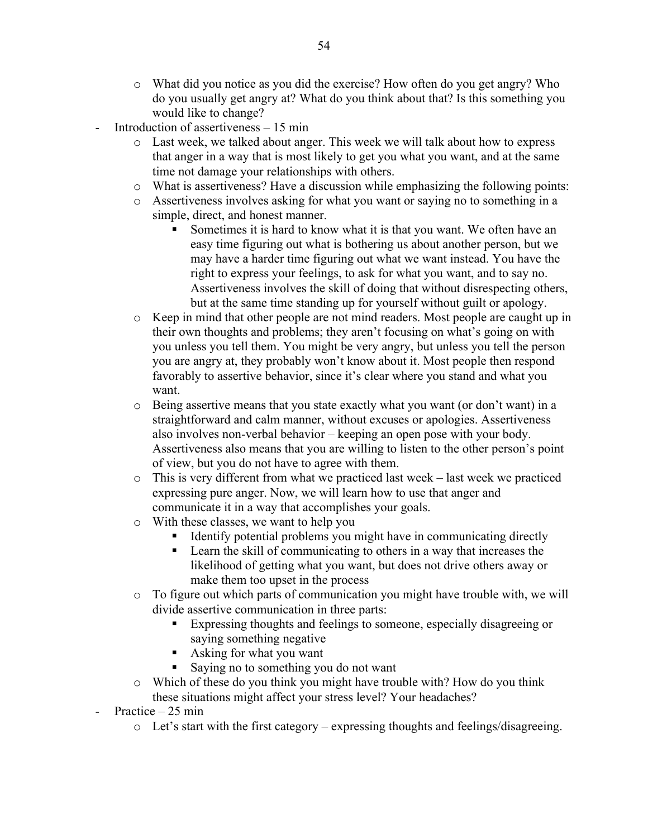- o What did you notice as you did the exercise? How often do you get angry? Who do you usually get angry at? What do you think about that? Is this something you would like to change?
- Introduction of assertiveness  $-15$  min
	- o Last week, we talked about anger. This week we will talk about how to express that anger in a way that is most likely to get you what you want, and at the same time not damage your relationships with others.
	- o What is assertiveness? Have a discussion while emphasizing the following points:
	- o Assertiveness involves asking for what you want or saying no to something in a simple, direct, and honest manner.
		- Sometimes it is hard to know what it is that you want. We often have an easy time figuring out what is bothering us about another person, but we may have a harder time figuring out what we want instead. You have the right to express your feelings, to ask for what you want, and to say no. Assertiveness involves the skill of doing that without disrespecting others, but at the same time standing up for yourself without guilt or apology.
	- o Keep in mind that other people are not mind readers. Most people are caught up in their own thoughts and problems; they aren't focusing on what's going on with you unless you tell them. You might be very angry, but unless you tell the person you are angry at, they probably won't know about it. Most people then respond favorably to assertive behavior, since it's clear where you stand and what you want.
	- $\circ$  Being assertive means that you state exactly what you want (or don't want) in a straightforward and calm manner, without excuses or apologies. Assertiveness also involves non-verbal behavior – keeping an open pose with your body. Assertiveness also means that you are willing to listen to the other person's point of view, but you do not have to agree with them.
	- $\circ$  This is very different from what we practiced last week last week we practiced expressing pure anger. Now, we will learn how to use that anger and communicate it in a way that accomplishes your goals.
	- o With these classes, we want to help you
		- Identify potential problems you might have in communicating directly
		- Learn the skill of communicating to others in a way that increases the likelihood of getting what you want, but does not drive others away or make them too upset in the process
	- o To figure out which parts of communication you might have trouble with, we will divide assertive communication in three parts:
		- Expressing thoughts and feelings to someone, especially disagreeing or saying something negative
		- Asking for what you want
		- Saying no to something you do not want
	- o Which of these do you think you might have trouble with? How do you think these situations might affect your stress level? Your headaches?
- Practice 25 min
	- o Let's start with the first category expressing thoughts and feelings/disagreeing.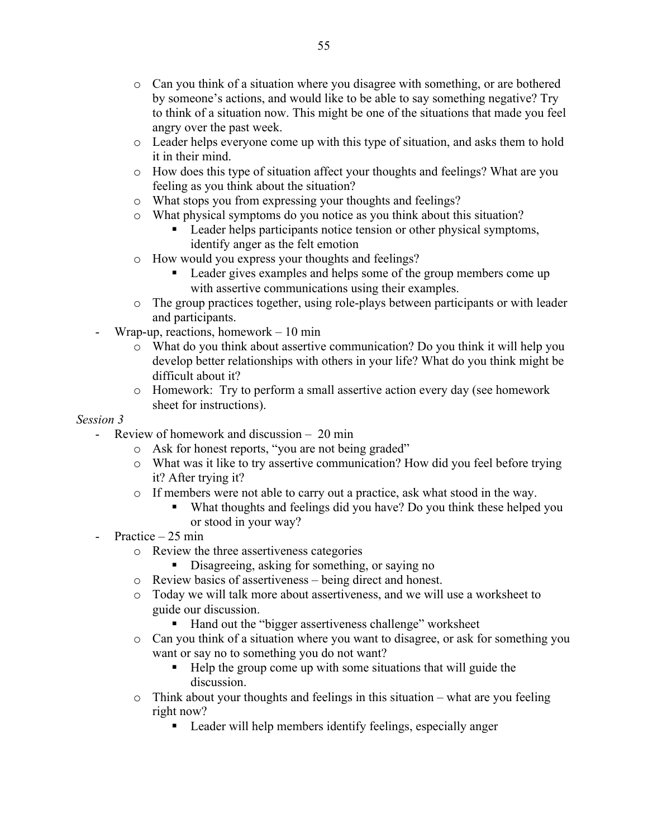- o Can you think of a situation where you disagree with something, or are bothered by someone's actions, and would like to be able to say something negative? Try to think of a situation now. This might be one of the situations that made you feel angry over the past week.
- o Leader helps everyone come up with this type of situation, and asks them to hold it in their mind.
- o How does this type of situation affect your thoughts and feelings? What are you feeling as you think about the situation?
- o What stops you from expressing your thoughts and feelings?
- o What physical symptoms do you notice as you think about this situation?
	- **Leader helps participants notice tension or other physical symptoms,** identify anger as the felt emotion
- o How would you express your thoughts and feelings?
	- Leader gives examples and helps some of the group members come up with assertive communications using their examples.
- o The group practices together, using role-plays between participants or with leader and participants.
- Wrap-up, reactions, homework  $-10$  min
	- o What do you think about assertive communication? Do you think it will help you develop better relationships with others in your life? What do you think might be difficult about it?
	- o Homework: Try to perform a small assertive action every day (see homework sheet for instructions).

# *Session 3*

- Review of homework and discussion 20 min
	- o Ask for honest reports, "you are not being graded"
	- o What was it like to try assertive communication? How did you feel before trying it? After trying it?
	- o If members were not able to carry out a practice, ask what stood in the way.
		- What thoughts and feelings did you have? Do you think these helped you or stood in your way?
- Practice  $25$  min
	- o Review the three assertiveness categories
		- Disagreeing, asking for something, or saying no
	- o Review basics of assertiveness being direct and honest.
	- o Today we will talk more about assertiveness, and we will use a worksheet to guide our discussion.
		- Hand out the "bigger assertiveness challenge" worksheet
	- $\circ$  Can you think of a situation where you want to disagree, or ask for something you want or say no to something you do not want?
		- Help the group come up with some situations that will guide the discussion.
	- o Think about your thoughts and feelings in this situation what are you feeling right now?
		- Leader will help members identify feelings, especially anger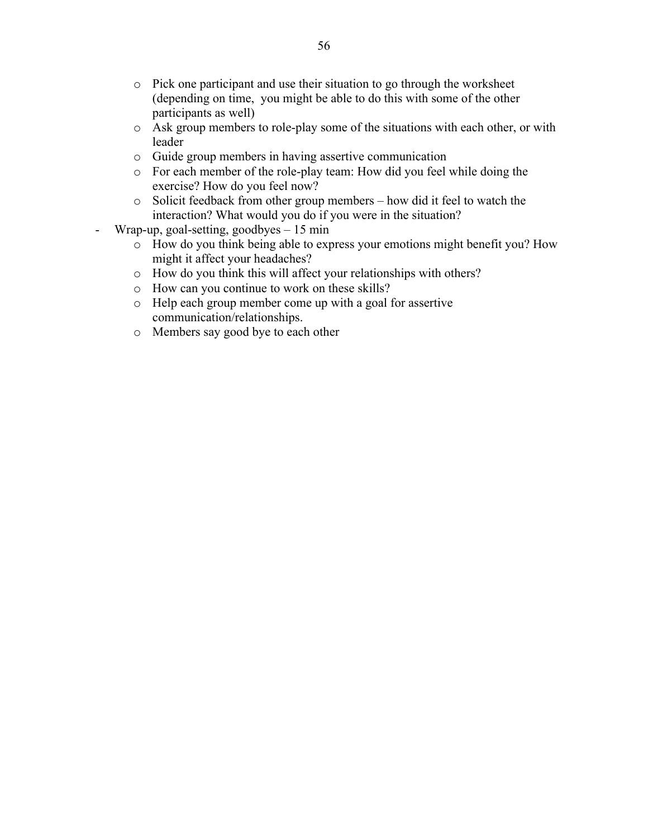- o Pick one participant and use their situation to go through the worksheet (depending on time, you might be able to do this with some of the other participants as well)
- o Ask group members to role-play some of the situations with each other, or with leader
- o Guide group members in having assertive communication
- o For each member of the role-play team: How did you feel while doing the exercise? How do you feel now?
- o Solicit feedback from other group members how did it feel to watch the interaction? What would you do if you were in the situation?
- Wrap-up, goal-setting, goodbyes 15 min
	- o How do you think being able to express your emotions might benefit you? How might it affect your headaches?
	- o How do you think this will affect your relationships with others?
	- o How can you continue to work on these skills?
	- o Help each group member come up with a goal for assertive communication/relationships.
	- o Members say good bye to each other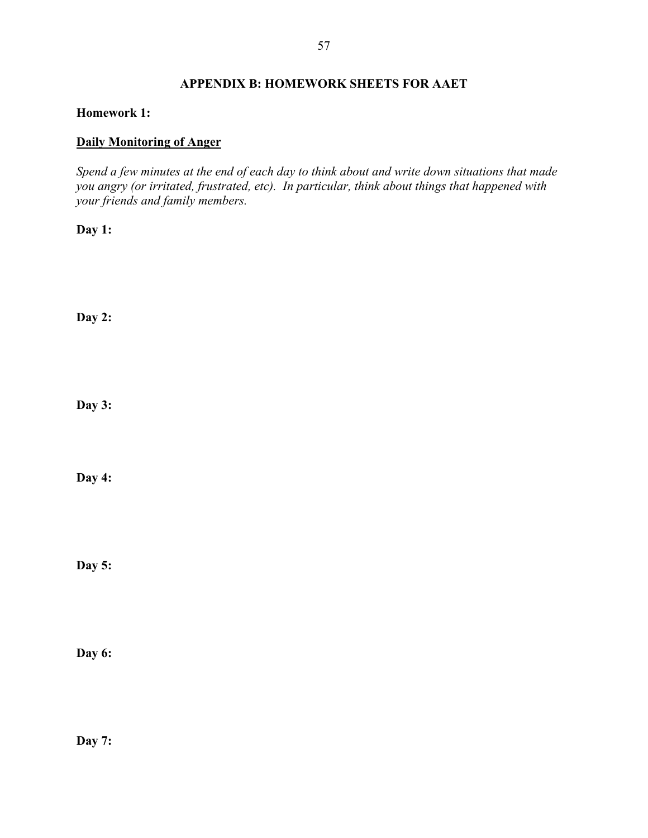# **APPENDIX B: HOMEWORK SHEETS FOR AAET**

## **Homework 1:**

# **Daily Monitoring of Anger**

*Spend a few minutes at the end of each day to think about and write down situations that made you angry (or irritated, frustrated, etc). In particular, think about things that happened with your friends and family members.*

**Day 1:**

**Day 2:**

**Day 3:**

**Day 4:**

**Day 5:**

**Day 6:**

**Day 7:**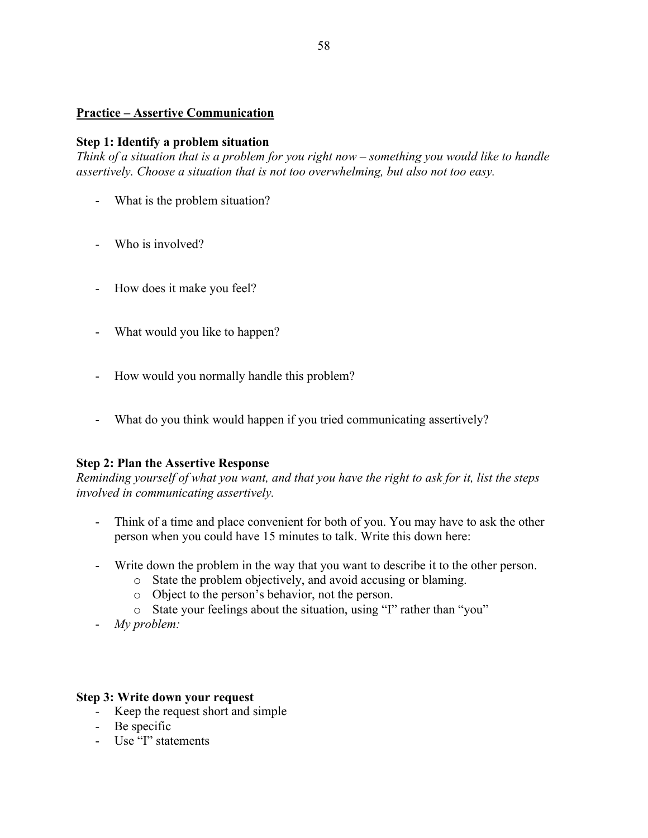# **Practice – Assertive Communication**

## **Step 1: Identify a problem situation**

*Think of a situation that is a problem for you right now – something you would like to handle assertively. Choose a situation that is not too overwhelming, but also not too easy.* 

- What is the problem situation?
- Who is involved?
- How does it make you feel?
- What would you like to happen?
- How would you normally handle this problem?
- What do you think would happen if you tried communicating assertively?

## **Step 2: Plan the Assertive Response**

*Reminding yourself of what you want, and that you have the right to ask for it, list the steps involved in communicating assertively.*

- Think of a time and place convenient for both of you. You may have to ask the other person when you could have 15 minutes to talk. Write this down here:
- Write down the problem in the way that you want to describe it to the other person.
	- o State the problem objectively, and avoid accusing or blaming.
	- o Object to the person's behavior, not the person.
	- o State your feelings about the situation, using "I" rather than "you"
- *My problem:*

#### **Step 3: Write down your request**

- Keep the request short and simple
- Be specific
- Use "I" statements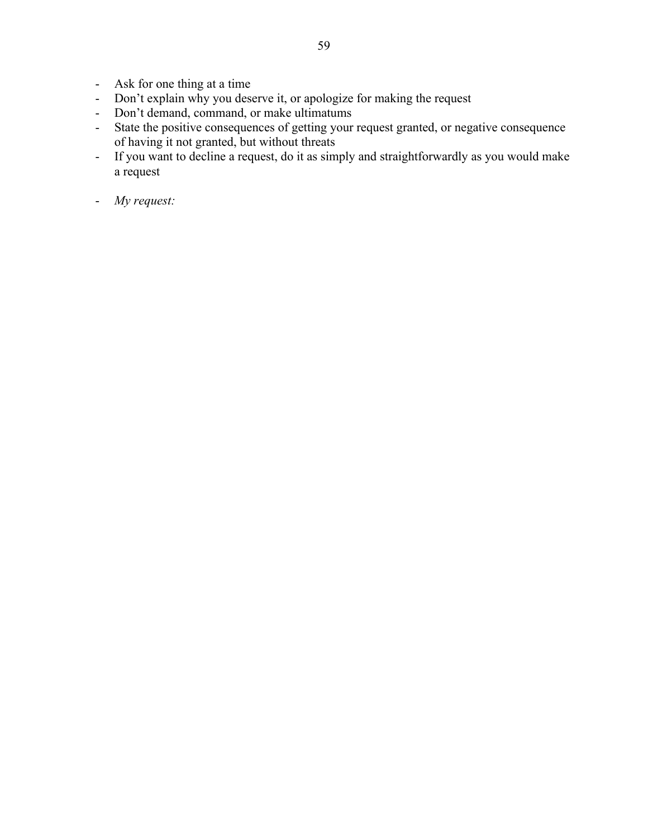- Ask for one thing at a time
- Don't explain why you deserve it, or apologize for making the request
- Don't demand, command, or make ultimatums
- State the positive consequences of getting your request granted, or negative consequence of having it not granted, but without threats
- If you want to decline a request, do it as simply and straightforwardly as you would make a request
- *My request:*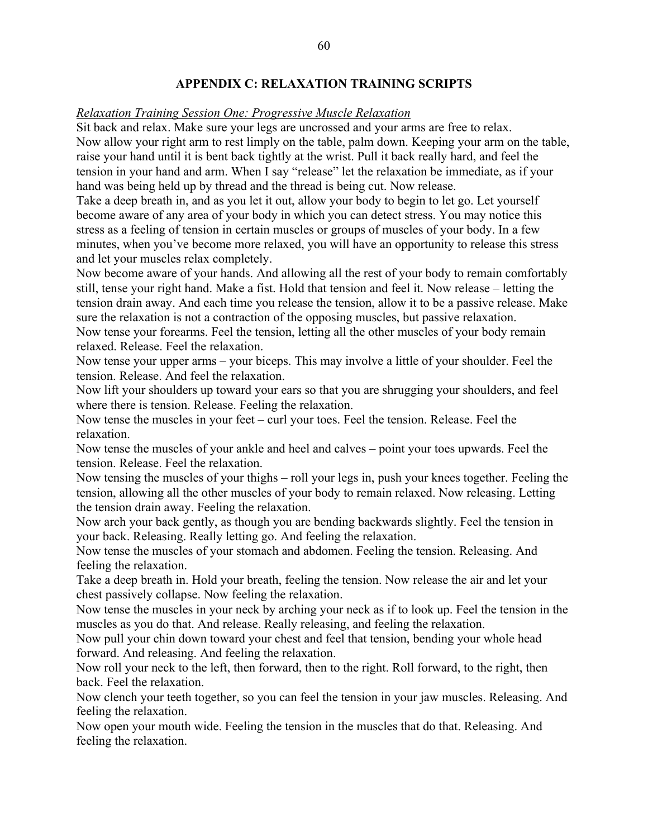# **APPENDIX C: RELAXATION TRAINING SCRIPTS**

#### *Relaxation Training Session One: Progressive Muscle Relaxation*

Sit back and relax. Make sure your legs are uncrossed and your arms are free to relax. Now allow your right arm to rest limply on the table, palm down. Keeping your arm on the table, raise your hand until it is bent back tightly at the wrist. Pull it back really hard, and feel the tension in your hand and arm. When I say "release" let the relaxation be immediate, as if your hand was being held up by thread and the thread is being cut. Now release.

Take a deep breath in, and as you let it out, allow your body to begin to let go. Let yourself become aware of any area of your body in which you can detect stress. You may notice this stress as a feeling of tension in certain muscles or groups of muscles of your body. In a few minutes, when you've become more relaxed, you will have an opportunity to release this stress and let your muscles relax completely.

Now become aware of your hands. And allowing all the rest of your body to remain comfortably still, tense your right hand. Make a fist. Hold that tension and feel it. Now release – letting the tension drain away. And each time you release the tension, allow it to be a passive release. Make sure the relaxation is not a contraction of the opposing muscles, but passive relaxation.

Now tense your forearms. Feel the tension, letting all the other muscles of your body remain relaxed. Release. Feel the relaxation.

Now tense your upper arms – your biceps. This may involve a little of your shoulder. Feel the tension. Release. And feel the relaxation.

Now lift your shoulders up toward your ears so that you are shrugging your shoulders, and feel where there is tension. Release. Feeling the relaxation.

Now tense the muscles in your feet – curl your toes. Feel the tension. Release. Feel the relaxation.

Now tense the muscles of your ankle and heel and calves – point your toes upwards. Feel the tension. Release. Feel the relaxation.

Now tensing the muscles of your thighs – roll your legs in, push your knees together. Feeling the tension, allowing all the other muscles of your body to remain relaxed. Now releasing. Letting the tension drain away. Feeling the relaxation.

Now arch your back gently, as though you are bending backwards slightly. Feel the tension in your back. Releasing. Really letting go. And feeling the relaxation.

Now tense the muscles of your stomach and abdomen. Feeling the tension. Releasing. And feeling the relaxation.

Take a deep breath in. Hold your breath, feeling the tension. Now release the air and let your chest passively collapse. Now feeling the relaxation.

Now tense the muscles in your neck by arching your neck as if to look up. Feel the tension in the muscles as you do that. And release. Really releasing, and feeling the relaxation.

Now pull your chin down toward your chest and feel that tension, bending your whole head forward. And releasing. And feeling the relaxation.

Now roll your neck to the left, then forward, then to the right. Roll forward, to the right, then back. Feel the relaxation.

Now clench your teeth together, so you can feel the tension in your jaw muscles. Releasing. And feeling the relaxation.

Now open your mouth wide. Feeling the tension in the muscles that do that. Releasing. And feeling the relaxation.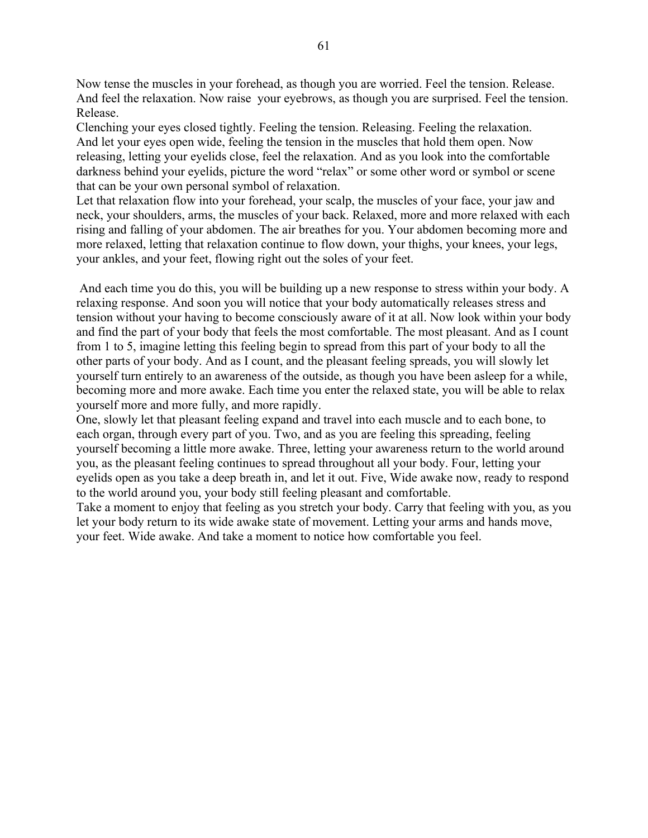Now tense the muscles in your forehead, as though you are worried. Feel the tension. Release. And feel the relaxation. Now raise your eyebrows, as though you are surprised. Feel the tension. Release.

Clenching your eyes closed tightly. Feeling the tension. Releasing. Feeling the relaxation. And let your eyes open wide, feeling the tension in the muscles that hold them open. Now releasing, letting your eyelids close, feel the relaxation. And as you look into the comfortable darkness behind your eyelids, picture the word "relax" or some other word or symbol or scene that can be your own personal symbol of relaxation.

Let that relaxation flow into your forehead, your scalp, the muscles of your face, your jaw and neck, your shoulders, arms, the muscles of your back. Relaxed, more and more relaxed with each rising and falling of your abdomen. The air breathes for you. Your abdomen becoming more and more relaxed, letting that relaxation continue to flow down, your thighs, your knees, your legs, your ankles, and your feet, flowing right out the soles of your feet.

 And each time you do this, you will be building up a new response to stress within your body. A relaxing response. And soon you will notice that your body automatically releases stress and tension without your having to become consciously aware of it at all. Now look within your body and find the part of your body that feels the most comfortable. The most pleasant. And as I count from 1 to 5, imagine letting this feeling begin to spread from this part of your body to all the other parts of your body. And as I count, and the pleasant feeling spreads, you will slowly let yourself turn entirely to an awareness of the outside, as though you have been asleep for a while, becoming more and more awake. Each time you enter the relaxed state, you will be able to relax yourself more and more fully, and more rapidly.

One, slowly let that pleasant feeling expand and travel into each muscle and to each bone, to each organ, through every part of you. Two, and as you are feeling this spreading, feeling yourself becoming a little more awake. Three, letting your awareness return to the world around you, as the pleasant feeling continues to spread throughout all your body. Four, letting your eyelids open as you take a deep breath in, and let it out. Five, Wide awake now, ready to respond to the world around you, your body still feeling pleasant and comfortable.

Take a moment to enjoy that feeling as you stretch your body. Carry that feeling with you, as you let your body return to its wide awake state of movement. Letting your arms and hands move, your feet. Wide awake. And take a moment to notice how comfortable you feel.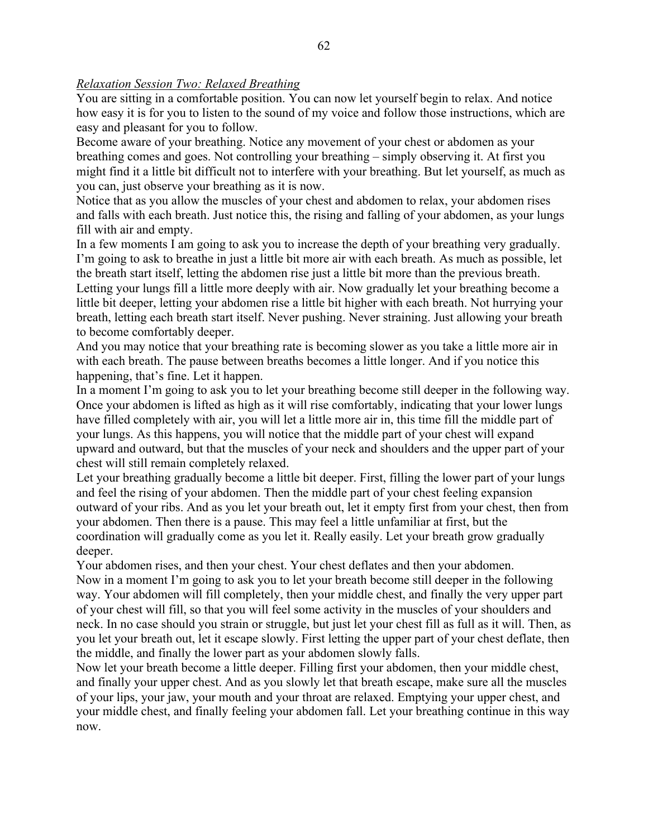# *Relaxation Session Two: Relaxed Breathing*

You are sitting in a comfortable position. You can now let yourself begin to relax. And notice how easy it is for you to listen to the sound of my voice and follow those instructions, which are easy and pleasant for you to follow.

Become aware of your breathing. Notice any movement of your chest or abdomen as your breathing comes and goes. Not controlling your breathing – simply observing it. At first you might find it a little bit difficult not to interfere with your breathing. But let yourself, as much as you can, just observe your breathing as it is now.

Notice that as you allow the muscles of your chest and abdomen to relax, your abdomen rises and falls with each breath. Just notice this, the rising and falling of your abdomen, as your lungs fill with air and empty.

In a few moments I am going to ask you to increase the depth of your breathing very gradually. I'm going to ask to breathe in just a little bit more air with each breath. As much as possible, let the breath start itself, letting the abdomen rise just a little bit more than the previous breath. Letting your lungs fill a little more deeply with air. Now gradually let your breathing become a little bit deeper, letting your abdomen rise a little bit higher with each breath. Not hurrying your breath, letting each breath start itself. Never pushing. Never straining. Just allowing your breath to become comfortably deeper.

And you may notice that your breathing rate is becoming slower as you take a little more air in with each breath. The pause between breaths becomes a little longer. And if you notice this happening, that's fine. Let it happen.

In a moment I'm going to ask you to let your breathing become still deeper in the following way. Once your abdomen is lifted as high as it will rise comfortably, indicating that your lower lungs have filled completely with air, you will let a little more air in, this time fill the middle part of your lungs. As this happens, you will notice that the middle part of your chest will expand upward and outward, but that the muscles of your neck and shoulders and the upper part of your chest will still remain completely relaxed.

Let your breathing gradually become a little bit deeper. First, filling the lower part of your lungs and feel the rising of your abdomen. Then the middle part of your chest feeling expansion outward of your ribs. And as you let your breath out, let it empty first from your chest, then from your abdomen. Then there is a pause. This may feel a little unfamiliar at first, but the coordination will gradually come as you let it. Really easily. Let your breath grow gradually deeper.

Your abdomen rises, and then your chest. Your chest deflates and then your abdomen. Now in a moment I'm going to ask you to let your breath become still deeper in the following way. Your abdomen will fill completely, then your middle chest, and finally the very upper part of your chest will fill, so that you will feel some activity in the muscles of your shoulders and neck. In no case should you strain or struggle, but just let your chest fill as full as it will. Then, as you let your breath out, let it escape slowly. First letting the upper part of your chest deflate, then the middle, and finally the lower part as your abdomen slowly falls.

Now let your breath become a little deeper. Filling first your abdomen, then your middle chest, and finally your upper chest. And as you slowly let that breath escape, make sure all the muscles of your lips, your jaw, your mouth and your throat are relaxed. Emptying your upper chest, and your middle chest, and finally feeling your abdomen fall. Let your breathing continue in this way now.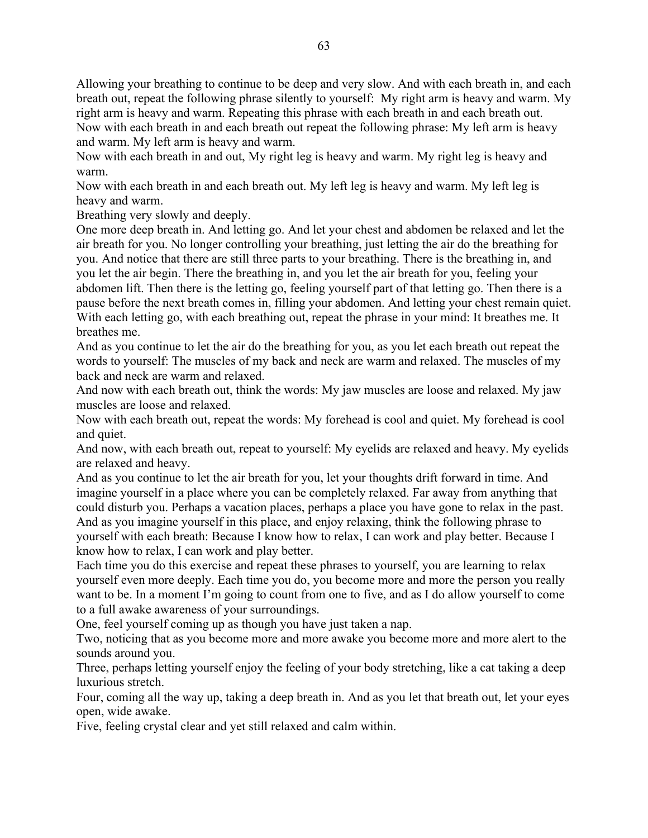Allowing your breathing to continue to be deep and very slow. And with each breath in, and each breath out, repeat the following phrase silently to yourself: My right arm is heavy and warm. My right arm is heavy and warm. Repeating this phrase with each breath in and each breath out. Now with each breath in and each breath out repeat the following phrase: My left arm is heavy and warm. My left arm is heavy and warm.

Now with each breath in and out, My right leg is heavy and warm. My right leg is heavy and warm.

Now with each breath in and each breath out. My left leg is heavy and warm. My left leg is heavy and warm.

Breathing very slowly and deeply.

One more deep breath in. And letting go. And let your chest and abdomen be relaxed and let the air breath for you. No longer controlling your breathing, just letting the air do the breathing for you. And notice that there are still three parts to your breathing. There is the breathing in, and you let the air begin. There the breathing in, and you let the air breath for you, feeling your abdomen lift. Then there is the letting go, feeling yourself part of that letting go. Then there is a pause before the next breath comes in, filling your abdomen. And letting your chest remain quiet. With each letting go, with each breathing out, repeat the phrase in your mind: It breathes me. It breathes me.

And as you continue to let the air do the breathing for you, as you let each breath out repeat the words to yourself: The muscles of my back and neck are warm and relaxed. The muscles of my back and neck are warm and relaxed.

And now with each breath out, think the words: My jaw muscles are loose and relaxed. My jaw muscles are loose and relaxed.

Now with each breath out, repeat the words: My forehead is cool and quiet. My forehead is cool and quiet.

And now, with each breath out, repeat to yourself: My eyelids are relaxed and heavy. My eyelids are relaxed and heavy.

And as you continue to let the air breath for you, let your thoughts drift forward in time. And imagine yourself in a place where you can be completely relaxed. Far away from anything that could disturb you. Perhaps a vacation places, perhaps a place you have gone to relax in the past. And as you imagine yourself in this place, and enjoy relaxing, think the following phrase to yourself with each breath: Because I know how to relax, I can work and play better. Because I know how to relax, I can work and play better.

Each time you do this exercise and repeat these phrases to yourself, you are learning to relax yourself even more deeply. Each time you do, you become more and more the person you really want to be. In a moment I'm going to count from one to five, and as I do allow yourself to come to a full awake awareness of your surroundings.

One, feel yourself coming up as though you have just taken a nap.

Two, noticing that as you become more and more awake you become more and more alert to the sounds around you.

Three, perhaps letting yourself enjoy the feeling of your body stretching, like a cat taking a deep luxurious stretch.

Four, coming all the way up, taking a deep breath in. And as you let that breath out, let your eyes open, wide awake.

Five, feeling crystal clear and yet still relaxed and calm within.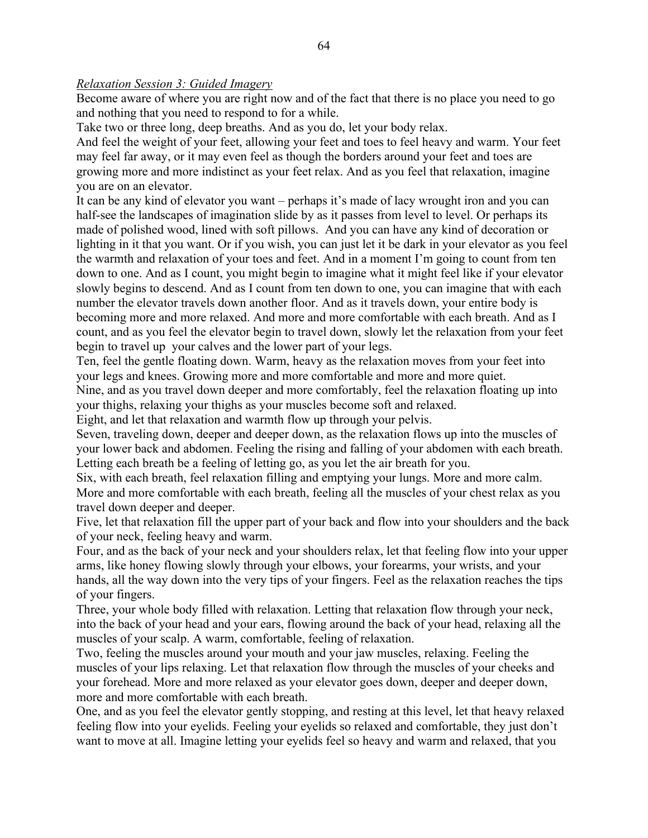#### *Relaxation Session 3: Guided Imagery*

Become aware of where you are right now and of the fact that there is no place you need to go and nothing that you need to respond to for a while.

Take two or three long, deep breaths. And as you do, let your body relax.

And feel the weight of your feet, allowing your feet and toes to feel heavy and warm. Your feet may feel far away, or it may even feel as though the borders around your feet and toes are growing more and more indistinct as your feet relax. And as you feel that relaxation, imagine you are on an elevator.

It can be any kind of elevator you want – perhaps it's made of lacy wrought iron and you can half-see the landscapes of imagination slide by as it passes from level to level. Or perhaps its made of polished wood, lined with soft pillows. And you can have any kind of decoration or lighting in it that you want. Or if you wish, you can just let it be dark in your elevator as you feel the warmth and relaxation of your toes and feet. And in a moment I'm going to count from ten down to one. And as I count, you might begin to imagine what it might feel like if your elevator slowly begins to descend. And as I count from ten down to one, you can imagine that with each number the elevator travels down another floor. And as it travels down, your entire body is becoming more and more relaxed. And more and more comfortable with each breath. And as I count, and as you feel the elevator begin to travel down, slowly let the relaxation from your feet begin to travel up your calves and the lower part of your legs.

Ten, feel the gentle floating down. Warm, heavy as the relaxation moves from your feet into your legs and knees. Growing more and more comfortable and more and more quiet.

Nine, and as you travel down deeper and more comfortably, feel the relaxation floating up into your thighs, relaxing your thighs as your muscles become soft and relaxed.

Eight, and let that relaxation and warmth flow up through your pelvis.

Seven, traveling down, deeper and deeper down, as the relaxation flows up into the muscles of your lower back and abdomen. Feeling the rising and falling of your abdomen with each breath. Letting each breath be a feeling of letting go, as you let the air breath for you.

Six, with each breath, feel relaxation filling and emptying your lungs. More and more calm. More and more comfortable with each breath, feeling all the muscles of your chest relax as you travel down deeper and deeper.

Five, let that relaxation fill the upper part of your back and flow into your shoulders and the back of your neck, feeling heavy and warm.

Four, and as the back of your neck and your shoulders relax, let that feeling flow into your upper arms, like honey flowing slowly through your elbows, your forearms, your wrists, and your hands, all the way down into the very tips of your fingers. Feel as the relaxation reaches the tips of your fingers.

Three, your whole body filled with relaxation. Letting that relaxation flow through your neck, into the back of your head and your ears, flowing around the back of your head, relaxing all the muscles of your scalp. A warm, comfortable, feeling of relaxation.

Two, feeling the muscles around your mouth and your jaw muscles, relaxing. Feeling the muscles of your lips relaxing. Let that relaxation flow through the muscles of your cheeks and your forehead. More and more relaxed as your elevator goes down, deeper and deeper down, more and more comfortable with each breath.

One, and as you feel the elevator gently stopping, and resting at this level, let that heavy relaxed feeling flow into your eyelids. Feeling your eyelids so relaxed and comfortable, they just don't want to move at all. Imagine letting your eyelids feel so heavy and warm and relaxed, that you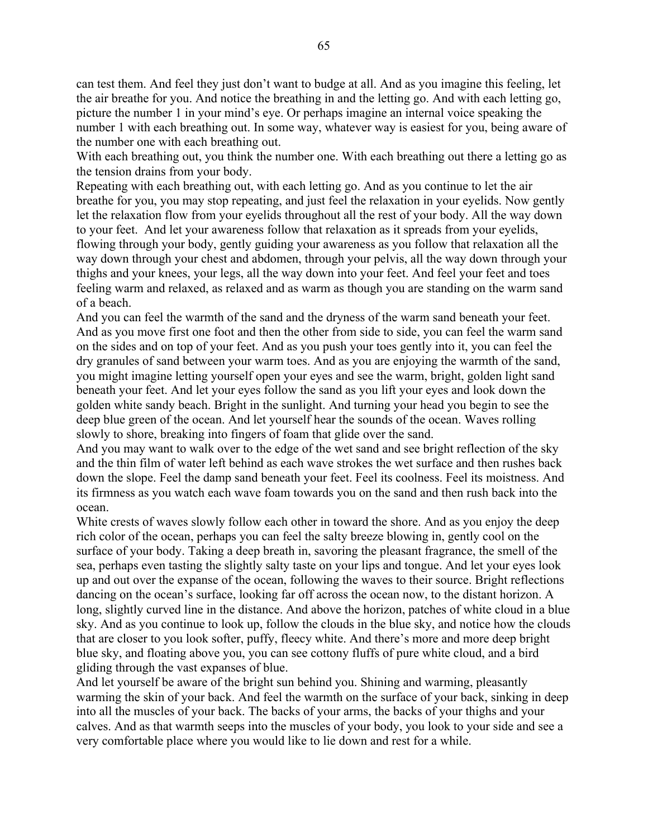can test them. And feel they just don't want to budge at all. And as you imagine this feeling, let the air breathe for you. And notice the breathing in and the letting go. And with each letting go, picture the number 1 in your mind's eye. Or perhaps imagine an internal voice speaking the number 1 with each breathing out. In some way, whatever way is easiest for you, being aware of the number one with each breathing out.

With each breathing out, you think the number one. With each breathing out there a letting go as the tension drains from your body.

Repeating with each breathing out, with each letting go. And as you continue to let the air breathe for you, you may stop repeating, and just feel the relaxation in your eyelids. Now gently let the relaxation flow from your eyelids throughout all the rest of your body. All the way down to your feet. And let your awareness follow that relaxation as it spreads from your eyelids, flowing through your body, gently guiding your awareness as you follow that relaxation all the way down through your chest and abdomen, through your pelvis, all the way down through your thighs and your knees, your legs, all the way down into your feet. And feel your feet and toes feeling warm and relaxed, as relaxed and as warm as though you are standing on the warm sand of a beach.

And you can feel the warmth of the sand and the dryness of the warm sand beneath your feet. And as you move first one foot and then the other from side to side, you can feel the warm sand on the sides and on top of your feet. And as you push your toes gently into it, you can feel the dry granules of sand between your warm toes. And as you are enjoying the warmth of the sand, you might imagine letting yourself open your eyes and see the warm, bright, golden light sand beneath your feet. And let your eyes follow the sand as you lift your eyes and look down the golden white sandy beach. Bright in the sunlight. And turning your head you begin to see the deep blue green of the ocean. And let yourself hear the sounds of the ocean. Waves rolling slowly to shore, breaking into fingers of foam that glide over the sand.

And you may want to walk over to the edge of the wet sand and see bright reflection of the sky and the thin film of water left behind as each wave strokes the wet surface and then rushes back down the slope. Feel the damp sand beneath your feet. Feel its coolness. Feel its moistness. And its firmness as you watch each wave foam towards you on the sand and then rush back into the ocean.

White crests of waves slowly follow each other in toward the shore. And as you enjoy the deep rich color of the ocean, perhaps you can feel the salty breeze blowing in, gently cool on the surface of your body. Taking a deep breath in, savoring the pleasant fragrance, the smell of the sea, perhaps even tasting the slightly salty taste on your lips and tongue. And let your eyes look up and out over the expanse of the ocean, following the waves to their source. Bright reflections dancing on the ocean's surface, looking far off across the ocean now, to the distant horizon. A long, slightly curved line in the distance. And above the horizon, patches of white cloud in a blue sky. And as you continue to look up, follow the clouds in the blue sky, and notice how the clouds that are closer to you look softer, puffy, fleecy white. And there's more and more deep bright blue sky, and floating above you, you can see cottony fluffs of pure white cloud, and a bird gliding through the vast expanses of blue.

And let yourself be aware of the bright sun behind you. Shining and warming, pleasantly warming the skin of your back. And feel the warmth on the surface of your back, sinking in deep into all the muscles of your back. The backs of your arms, the backs of your thighs and your calves. And as that warmth seeps into the muscles of your body, you look to your side and see a very comfortable place where you would like to lie down and rest for a while.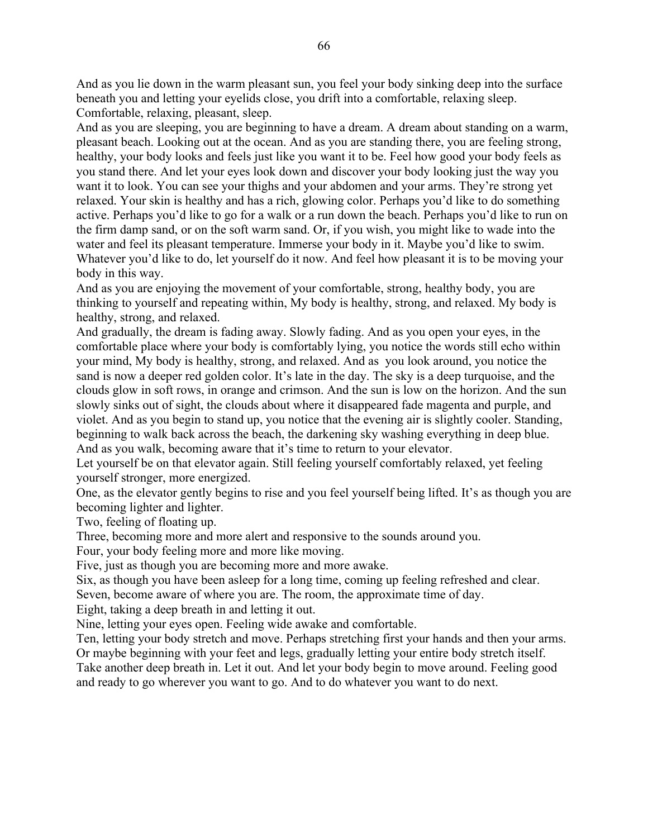And as you lie down in the warm pleasant sun, you feel your body sinking deep into the surface beneath you and letting your eyelids close, you drift into a comfortable, relaxing sleep. Comfortable, relaxing, pleasant, sleep.

And as you are sleeping, you are beginning to have a dream. A dream about standing on a warm, pleasant beach. Looking out at the ocean. And as you are standing there, you are feeling strong, healthy, your body looks and feels just like you want it to be. Feel how good your body feels as you stand there. And let your eyes look down and discover your body looking just the way you want it to look. You can see your thighs and your abdomen and your arms. They're strong yet relaxed. Your skin is healthy and has a rich, glowing color. Perhaps you'd like to do something active. Perhaps you'd like to go for a walk or a run down the beach. Perhaps you'd like to run on the firm damp sand, or on the soft warm sand. Or, if you wish, you might like to wade into the water and feel its pleasant temperature. Immerse your body in it. Maybe you'd like to swim. Whatever you'd like to do, let yourself do it now. And feel how pleasant it is to be moving your body in this way.

And as you are enjoying the movement of your comfortable, strong, healthy body, you are thinking to yourself and repeating within, My body is healthy, strong, and relaxed. My body is healthy, strong, and relaxed.

And gradually, the dream is fading away. Slowly fading. And as you open your eyes, in the comfortable place where your body is comfortably lying, you notice the words still echo within your mind, My body is healthy, strong, and relaxed. And as you look around, you notice the sand is now a deeper red golden color. It's late in the day. The sky is a deep turquoise, and the clouds glow in soft rows, in orange and crimson. And the sun is low on the horizon. And the sun slowly sinks out of sight, the clouds about where it disappeared fade magenta and purple, and violet. And as you begin to stand up, you notice that the evening air is slightly cooler. Standing, beginning to walk back across the beach, the darkening sky washing everything in deep blue. And as you walk, becoming aware that it's time to return to your elevator.

Let yourself be on that elevator again. Still feeling yourself comfortably relaxed, yet feeling yourself stronger, more energized.

One, as the elevator gently begins to rise and you feel yourself being lifted. It's as though you are becoming lighter and lighter.

Two, feeling of floating up.

Three, becoming more and more alert and responsive to the sounds around you.

Four, your body feeling more and more like moving.

Five, just as though you are becoming more and more awake.

Six, as though you have been asleep for a long time, coming up feeling refreshed and clear.

Seven, become aware of where you are. The room, the approximate time of day.

Eight, taking a deep breath in and letting it out.

Nine, letting your eyes open. Feeling wide awake and comfortable.

Ten, letting your body stretch and move. Perhaps stretching first your hands and then your arms. Or maybe beginning with your feet and legs, gradually letting your entire body stretch itself.

Take another deep breath in. Let it out. And let your body begin to move around. Feeling good and ready to go wherever you want to go. And to do whatever you want to do next.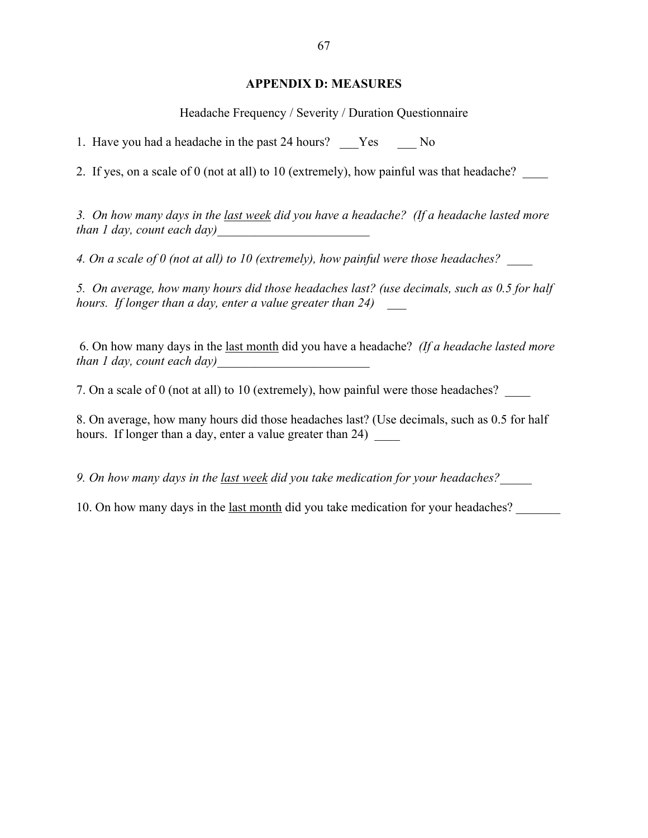## **APPENDIX D: MEASURES**

Headache Frequency / Severity / Duration Questionnaire

1. Have you had a headache in the past 24 hours? Yes No

2. If yes, on a scale of 0 (not at all) to 10 (extremely), how painful was that headache?

*3. On how many days in the last week did you have a headache? (If a headache lasted more than 1 day, count each day)* 

*4. On a scale of 0 (not at all) to 10 (extremely), how painful were those headaches? \_\_\_\_*

*5. On average, how many hours did those headaches last? (use decimals, such as 0.5 for half hours. If longer than a day, enter a value greater than 24) \_\_\_*

 6. On how many days in the last month did you have a headache? *(If a headache lasted more than 1 day, count each day)* 

7. On a scale of 0 (not at all) to 10 (extremely), how painful were those headaches? \_\_\_\_

8. On average, how many hours did those headaches last? (Use decimals, such as 0.5 for half hours. If longer than a day, enter a value greater than 24)

*9. On how many days in the last week did you take medication for your headaches?\_\_\_\_\_*

10. On how many days in the <u>last month</u> did you take medication for your headaches?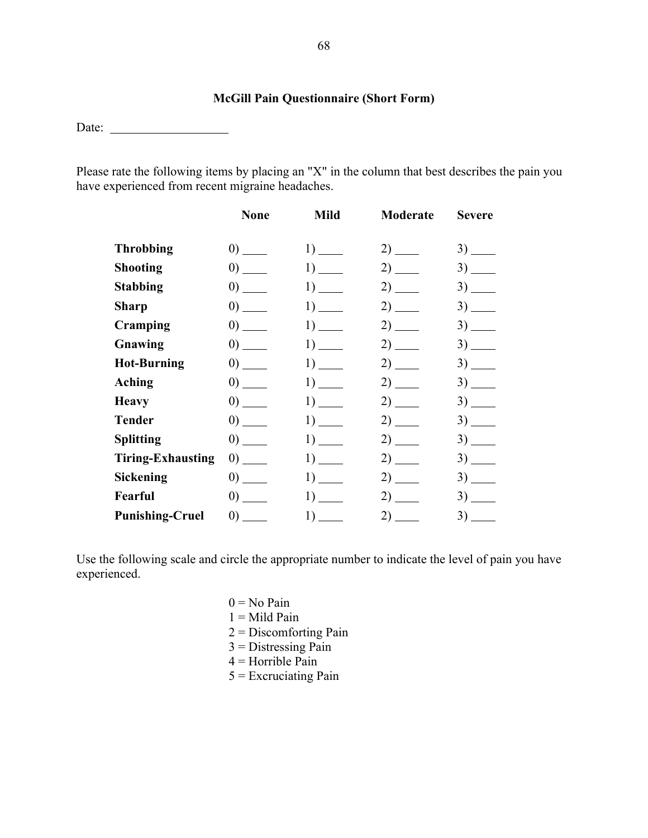# **McGill Pain Questionnaire (Short Form)**

Date:

Please rate the following items by placing an "X" in the column that best describes the pain you have experienced from recent migraine headaches.

|                          | <b>None</b>                                    | <b>Mild</b> | Moderate | <b>Severe</b> |
|--------------------------|------------------------------------------------|-------------|----------|---------------|
| <b>Throbbing</b>         | $\left( 0\right)$ $\frac{1}{\left( 0\right) }$ |             | $2)$ —   | $3)$ —        |
| <b>Shooting</b>          |                                                |             |          | $3)$ —        |
| <b>Stabbing</b>          |                                                |             | $2)$ —   | $3)$ —        |
| <b>Sharp</b>             | $\left( 0\right)$ $\frac{1}{\left( 0\right) }$ |             | $2)$ —   |               |
| Cramping                 | $\left( 0\right)$ $\frac{1}{\left( 0\right) }$ |             | $2)$ —   | $3)$ —        |
| Gnawing                  | $\left( 0\right)$ $\frac{1}{\left( 0\right) }$ |             | $2)$ —   | $3)$ —        |
| <b>Hot-Burning</b>       | $\left( 0\right)$                              |             |          |               |
| Aching                   | $\left( 0\right)$ $\frac{1}{\left( 0\right) }$ |             | $2)$ —   | $3)$ —        |
| <b>Heavy</b>             |                                                | $1)$ —      | $2)$ —   | $3)$ —        |
| <b>Tender</b>            | $\left( 0\right)$ $\frac{1}{\left( 0\right) }$ |             |          |               |
| <b>Splitting</b>         | $\left( 0\right)$                              |             |          |               |
| <b>Tiring-Exhausting</b> | $\left( 0\right)$ $\frac{1}{\left( 0\right) }$ |             | $2)$ —   | $3)$ —        |
| <b>Sickening</b>         |                                                |             | $2)$ —   |               |
| Fearful                  | $\left( 0\right)$                              |             |          |               |
| <b>Punishing-Cruel</b>   | $\left( 0\right)$ $\frac{1}{\left( 0\right) }$ |             |          |               |

Use the following scale and circle the appropriate number to indicate the level of pain you have experienced.

> $0 = No$  Pain  $1 =$ Mild Pain 2 = Discomforting Pain  $3$  = Distressing Pain  $4$  = Horrible Pain  $5$  = Excruciating Pain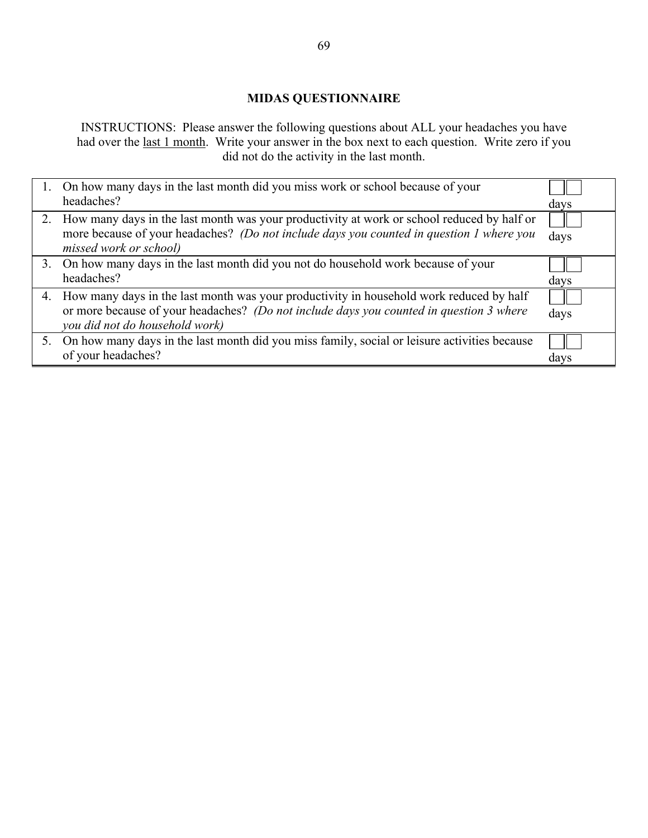# **MIDAS QUESTIONNAIRE**

INSTRUCTIONS: Please answer the following questions about ALL your headaches you have had over the <u>last 1 month</u>. Write your answer in the box next to each question. Write zero if you did not do the activity in the last month.

| On how many days in the last month did you miss work or school because of your                  |      |
|-------------------------------------------------------------------------------------------------|------|
| headaches?                                                                                      | days |
| 2. How many days in the last month was your productivity at work or school reduced by half or   |      |
| more because of your headaches? (Do not include days you counted in question 1 where you        | days |
| missed work or school)                                                                          |      |
| 3. On how many days in the last month did you not do household work because of your             |      |
| headaches?                                                                                      | days |
| 4. How many days in the last month was your productivity in household work reduced by half      |      |
| or more because of your headaches? (Do not include days you counted in question 3 where         | days |
| you did not do household work)                                                                  |      |
|                                                                                                 |      |
| 5. On how many days in the last month did you miss family, social or leisure activities because |      |
| of your headaches?                                                                              | days |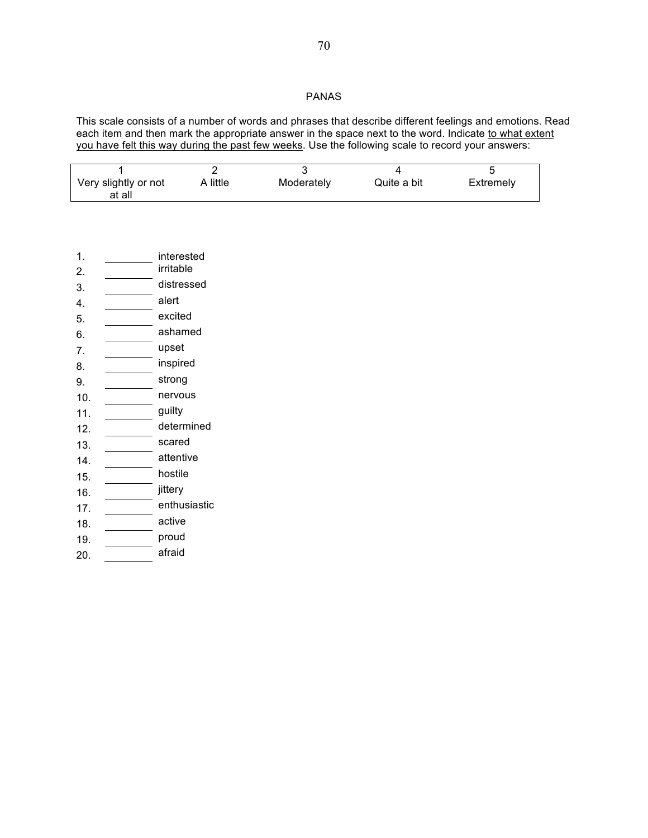## PANAS

This scale consists of a number of words and phrases that describe different feelings and emotions. Read each item and then mark the appropriate answer in the space next to the word. Indicate to what extent you have felt this way during the past few weeks. Use the following scale to record your answers:

| Very slightly or not | A little | Moderately | Quite a bit | Extremely |
|----------------------|----------|------------|-------------|-----------|
| at all               |          |            |             |           |

| 1.  | interested   |
|-----|--------------|
| 2.  | irritable    |
| 3.  | distressed   |
| 4.  | alert        |
| 5.  | excited      |
| 6.  | ashamed      |
| 7.  | upset        |
| 8.  | inspired     |
| 9.  | strong       |
| 10. | nervous      |
| 11. | guilty       |
| 12. | determined   |
| 13. | scared       |
| 14. | attentive    |
| 15. | hostile      |
| 16. | jittery      |
| 17. | enthusiastic |
| 18. | active       |
| 19. | proud        |
| 20. | afraid       |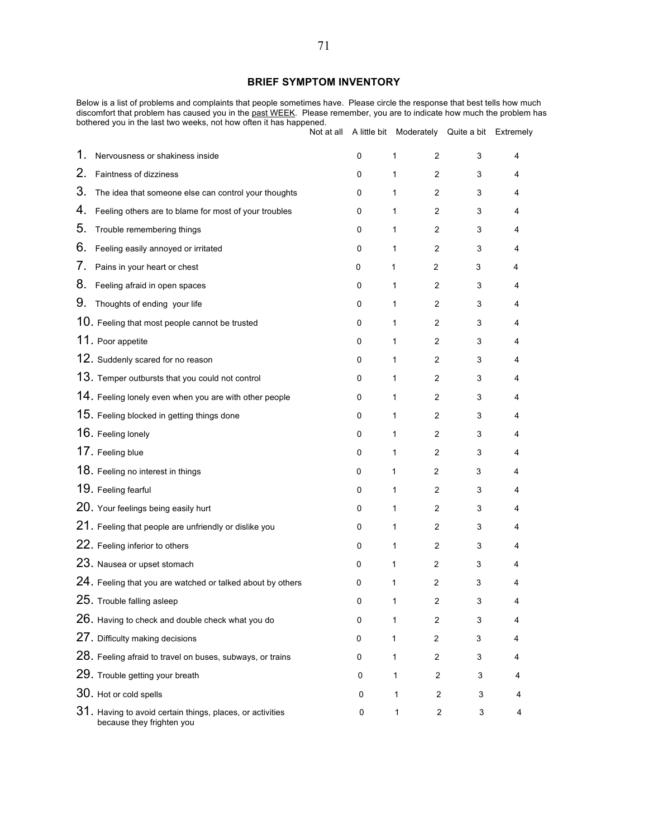### **BRIEF SYMPTOM INVENTORY**

Below is a list of problems and complaints that people sometimes have. Please circle the response that best tells how much discomfort that problem has caused you in the past WEEK. Please remember, you are to indicate how much the problem has bothered you in the last two weeks, not how often it has happened.

|    |                                                                                        | Not at all |   | A little bit Moderately Quite a bit Extremely |   |   |
|----|----------------------------------------------------------------------------------------|------------|---|-----------------------------------------------|---|---|
| 1. | Nervousness or shakiness inside                                                        |            | 0 | 1<br>2                                        | 3 | 4 |
| 2. | Faintness of dizziness                                                                 |            | 0 | 1<br>2                                        | 3 | 4 |
| 3. | The idea that someone else can control your thoughts                                   |            | 0 | 1<br>2                                        | 3 | 4 |
| 4. | Feeling others are to blame for most of your troubles                                  |            | 0 | 1<br>2                                        | 3 | 4 |
| 5. | Trouble remembering things                                                             |            | 0 | 1<br>$\overline{2}$                           | 3 | 4 |
| 6. | Feeling easily annoyed or irritated                                                    |            | 0 | 1<br>$\overline{2}$                           | 3 | 4 |
| 7. | Pains in your heart or chest                                                           |            | 0 | $\overline{2}$<br>1                           | 3 | 4 |
| 8. | Feeling afraid in open spaces                                                          |            | 0 | 1<br>2                                        | 3 | 4 |
| 9. | Thoughts of ending your life                                                           |            | 0 | 1<br>2                                        | 3 | 4 |
|    | 10. Feeling that most people cannot be trusted                                         |            | 0 | 1<br>2                                        | 3 | 4 |
|    | 11. Poor appetite                                                                      |            | 0 | 2<br>1                                        | 3 | 4 |
|    | 12. Suddenly scared for no reason                                                      |            | 0 | 1<br>2                                        | 3 | 4 |
|    | 13. Temper outbursts that you could not control                                        |            | 0 | 1<br>2                                        | 3 | 4 |
|    | 14. Feeling lonely even when you are with other people                                 |            | 0 | 1<br>2                                        | 3 | 4 |
|    | 15. Feeling blocked in getting things done                                             |            | 0 | 1<br>2                                        | 3 | 4 |
|    | 16. Feeling lonely                                                                     |            | 0 | 1<br>2                                        | 3 | 4 |
|    | 17. Feeling blue                                                                       |            | 0 | 1<br>2                                        | 3 | 4 |
|    | 18. Feeling no interest in things                                                      |            | 0 | 1<br>$\overline{2}$                           | 3 | 4 |
|    | 19. Feeling fearful                                                                    |            | 0 | 1<br>$\overline{2}$                           | 3 | 4 |
|    | 20. Your feelings being easily hurt                                                    |            | 0 | 1<br>2                                        | 3 | 4 |
|    | 21. Feeling that people are unfriendly or dislike you                                  |            | 0 | 1<br>2                                        | 3 | 4 |
|    | 22. Feeling inferior to others                                                         |            | 0 | 1<br>2                                        | 3 | 4 |
|    | 23. Nausea or upset stomach                                                            |            | 0 | 1<br>$\overline{2}$                           | 3 | 4 |
|    | 24. Feeling that you are watched or talked about by others                             |            | 0 | 1<br>$\overline{2}$                           | 3 | 4 |
|    | $25.$ Trouble falling asleep                                                           |            | 0 | 2<br>1                                        | 3 | 4 |
|    | 26. Having to check and double check what you do                                       |            | 0 | 1<br>2                                        | 3 | 4 |
|    | 27. Difficulty making decisions                                                        |            | 0 | 2<br>1                                        | 3 | 4 |
|    | 28. Feeling afraid to travel on buses, subways, or trains                              |            | 0 | 1<br>2                                        | 3 | 4 |
|    | 29. Trouble getting your breath                                                        |            | 0 | 1<br>2                                        | 3 | 4 |
|    | 30. Hot or cold spells                                                                 |            | 0 | 1<br>$\overline{2}$                           | 3 | 4 |
|    | 31. Having to avoid certain things, places, or activities<br>because they frighten you |            | 0 | 1<br>$\overline{c}$                           | 3 | 4 |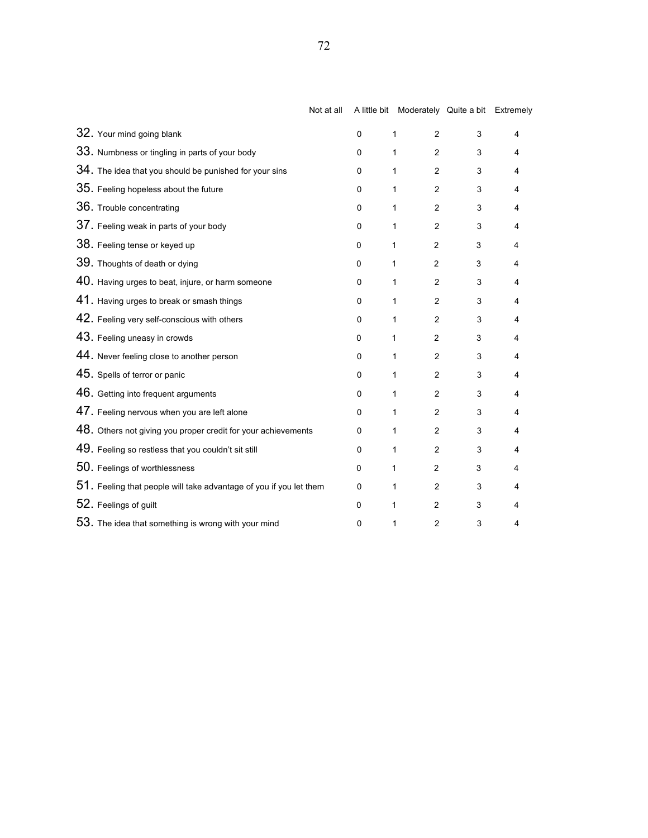|                                                                      | Not at all |             | A little bit Moderately Quite a bit Extremely |   |   |
|----------------------------------------------------------------------|------------|-------------|-----------------------------------------------|---|---|
| 32. Your mind going blank                                            |            | $\pmb{0}$   | $\overline{2}$<br>1                           | 3 | 4 |
| 33. Numbness or tingling in parts of your body                       |            | $\mathbf 0$ | $\overline{2}$<br>1                           | 3 | 4 |
| $34.$ The idea that you should be punished for your sins             |            | $\mathbf 0$ | $\overline{2}$<br>1                           | 3 | 4 |
| 35. Feeling hopeless about the future                                |            | 0           | 1<br>$\overline{2}$                           | 3 | 4 |
| 36. Trouble concentrating                                            |            | $\pmb{0}$   | 1<br>$\overline{2}$                           | 3 | 4 |
| 37. Feeling weak in parts of your body                               |            | $\mathbf 0$ | 1<br>$\overline{2}$                           | 3 | 4 |
| 38. Feeling tense or keyed up                                        |            | 0           | 1<br>$\overline{2}$                           | 3 | 4 |
| 39. Thoughts of death or dying                                       |            | 0           | 1<br>2                                        | 3 | 4 |
| 40. Having urges to beat, injure, or harm someone                    |            | 0           | 1<br>2                                        | 3 | 4 |
| 41. Having urges to break or smash things                            |            | 0           | $\overline{c}$<br>1                           | 3 | 4 |
| 42. Feeling very self-conscious with others                          |            | $\pmb{0}$   | 1<br>$\overline{2}$                           | 3 | 4 |
| 43. Feeling uneasy in crowds                                         |            | 0           | $\overline{2}$<br>1                           | 3 | 4 |
| 44. Never feeling close to another person                            |            | $\mathbf 0$ | 1<br>$\overline{2}$                           | 3 | 4 |
| 45. Spells of terror or panic                                        |            | 0           | 1<br>$\overline{2}$                           | 3 | 4 |
| 46. Getting into frequent arguments                                  |            | 0           | 1<br>$\overline{2}$                           | 3 | 4 |
| 47. Feeling nervous when you are left alone                          |            | 0           | 1<br>$\overline{2}$                           | 3 | 4 |
| 48. Others not giving you proper credit for your achievements        |            | 0           | 1<br>$\overline{2}$                           | 3 | 4 |
| 49. Feeling so restless that you couldn't sit still                  |            | 0           | 1<br>$\overline{2}$                           | 3 | 4 |
| 50. Feelings of worthlessness                                        |            | 0           | $\overline{2}$<br>1                           | 3 | 4 |
| $51.$ Feeling that people will take advantage of you if you let them |            | $\mathbf 0$ | 1<br>$\overline{2}$                           | 3 | 4 |
| 52. Feelings of guilt                                                |            | 0           | 1<br>$\overline{2}$                           | 3 | 4 |
| 53. The idea that something is wrong with your mind                  |            | $\mathbf 0$ | 2<br>1                                        | 3 | 4 |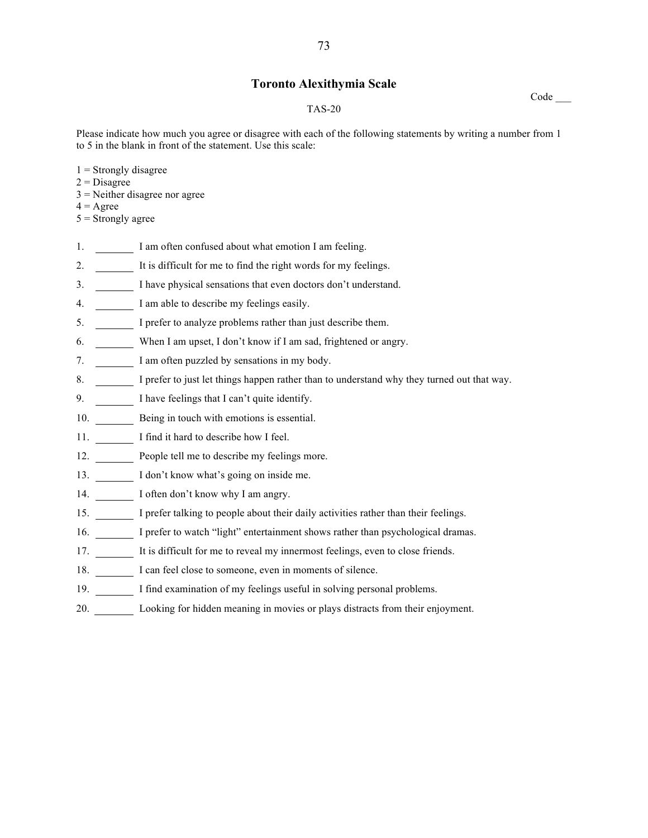## **Toronto Alexithymia Scale**

#### TAS-20

Please indicate how much you agree or disagree with each of the following statements by writing a number from 1 to 5 in the blank in front of the statement. Use this scale:

Code \_\_\_

- $1$  = Strongly disagree
- $2$  = Disagree
- 3 = Neither disagree nor agree
- $4 = \text{Agree}$
- $5$  = Strongly agree
- 1. I am often confused about what emotion I am feeling.
- 2. It is difficult for me to find the right words for my feelings.
- 3. **I** have physical sensations that even doctors don't understand.
- 4. I am able to describe my feelings easily.
- 5. I prefer to analyze problems rather than just describe them.
- 6. When I am upset, I don't know if I am sad, frightened or angry.
- 7. I am often puzzled by sensations in my body.
- 8. I prefer to just let things happen rather than to understand why they turned out that way.
- 9. I have feelings that I can't quite identify.
- 10. Being in touch with emotions is essential.
- 11. I find it hard to describe how I feel.
- 12. People tell me to describe my feelings more.
- 13. I don't know what's going on inside me.
- 14. **I** often don't know why I am angry.
- 15. I prefer talking to people about their daily activities rather than their feelings.
- 16. I prefer to watch "light" entertainment shows rather than psychological dramas.
- 17. It is difficult for me to reveal my innermost feelings, even to close friends.
- 18. I can feel close to someone, even in moments of silence.
- 19. I find examination of my feelings useful in solving personal problems.
- 20. Looking for hidden meaning in movies or plays distracts from their enjoyment.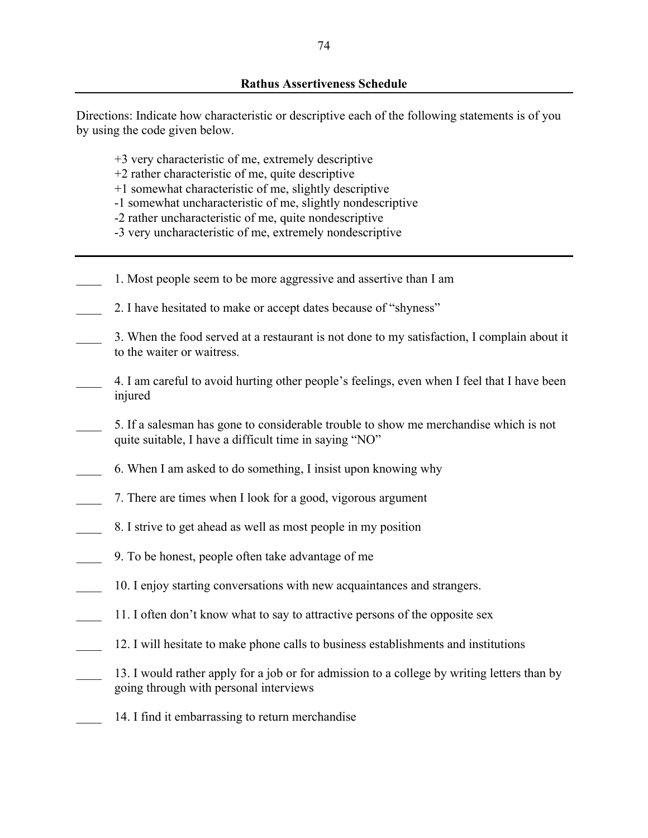Directions: Indicate how characteristic or descriptive each of the following statements is of you by using the code given below.

- +3 very characteristic of me, extremely descriptive
- +2 rather characteristic of me, quite descriptive
- +1 somewhat characteristic of me, slightly descriptive
- -1 somewhat uncharacteristic of me, slightly nondescriptive
- -2 rather uncharacteristic of me, quite nondescriptive
- -3 very uncharacteristic of me, extremely nondescriptive
- \_\_\_\_ 1. Most people seem to be more aggressive and assertive than I am
- 2. I have hesitated to make or accept dates because of "shyness"
- \_\_\_\_ 3. When the food served at a restaurant is not done to my satisfaction, I complain about it to the waiter or waitress.
- \_\_\_\_ 4. I am careful to avoid hurting other people's feelings, even when I feel that I have been injured
- \_\_\_\_ 5. If a salesman has gone to considerable trouble to show me merchandise which is not quite suitable, I have a difficult time in saying "NO"
- \_\_\_\_ 6. When I am asked to do something, I insist upon knowing why
- \_\_\_\_ 7. There are times when I look for a good, vigorous argument
- \_\_\_\_ 8. I strive to get ahead as well as most people in my position
- \_\_\_\_ 9. To be honest, people often take advantage of me
- 10. I enjoy starting conversations with new acquaintances and strangers.
- \_\_\_\_ 11. I often don't know what to say to attractive persons of the opposite sex
- 12. I will hesitate to make phone calls to business establishments and institutions
- 13. I would rather apply for a job or for admission to a college by writing letters than by going through with personal interviews
- 14. I find it embarrassing to return merchandise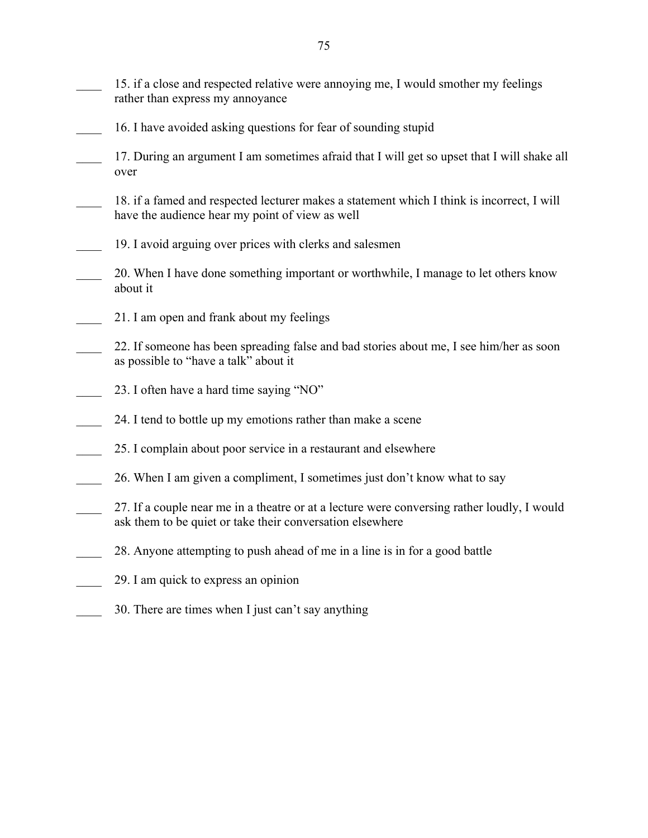\_\_\_\_ 15. if a close and respected relative were annoying me, I would smother my feelings rather than express my annoyance

- 16. I have avoided asking questions for fear of sounding stupid
- 17. During an argument I am sometimes afraid that I will get so upset that I will shake all over
- 18. if a famed and respected lecturer makes a statement which I think is incorrect, I will have the audience hear my point of view as well
- 19. I avoid arguing over prices with clerks and salesmen
- 20. When I have done something important or worthwhile, I manage to let others know about it
- \_\_\_\_ 21. I am open and frank about my feelings
- 22. If someone has been spreading false and bad stories about me, I see him/her as soon as possible to "have a talk" about it
- 23. I often have a hard time saying "NO"
- 24. I tend to bottle up my emotions rather than make a scene
- 25. I complain about poor service in a restaurant and elsewhere
- \_\_\_\_ 26. When I am given a compliment, I sometimes just don't know what to say
- 27. If a couple near me in a theatre or at a lecture were conversing rather loudly, I would ask them to be quiet or take their conversation elsewhere
- \_\_\_\_ 28. Anyone attempting to push ahead of me in a line is in for a good battle
- \_\_\_\_ 29. I am quick to express an opinion
- 30. There are times when I just can't say anything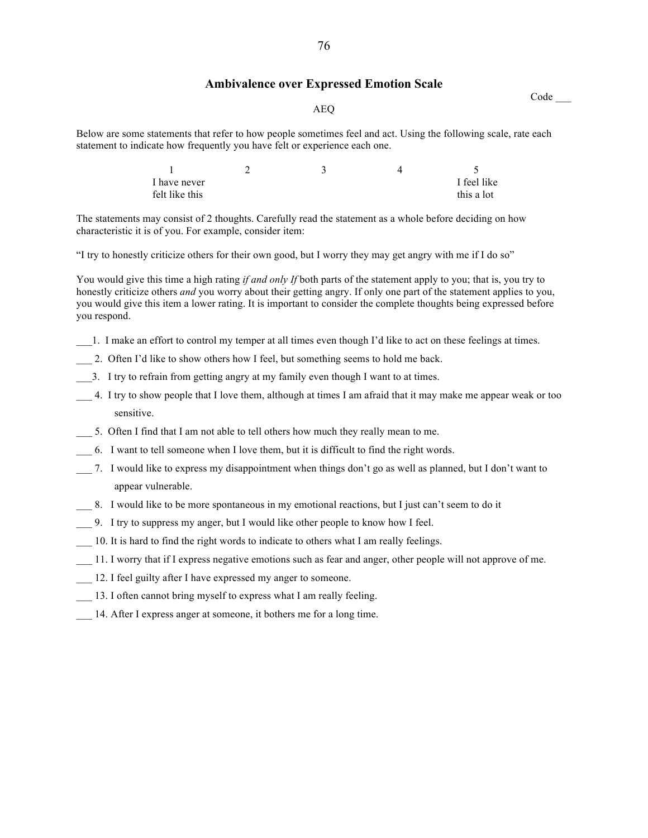### **Ambivalence over Expressed Emotion Scale**

Code \_\_\_

#### AEQ

Below are some statements that refer to how people sometimes feel and act. Using the following scale, rate each statement to indicate how frequently you have felt or experience each one.

| I have never   |  | I feel like |
|----------------|--|-------------|
| felt like this |  | this a lot  |

The statements may consist of 2 thoughts. Carefully read the statement as a whole before deciding on how characteristic it is of you. For example, consider item:

"I try to honestly criticize others for their own good, but I worry they may get angry with me if I do so"

You would give this time a high rating *if and only If* both parts of the statement apply to you; that is, you try to honestly criticize others *and* you worry about their getting angry. If only one part of the statement applies to you, you would give this item a lower rating. It is important to consider the complete thoughts being expressed before you respond.

- \_\_\_1. I make an effort to control my temper at all times even though I'd like to act on these feelings at times.
- 2. Often I'd like to show others how I feel, but something seems to hold me back.
- \_\_\_3. I try to refrain from getting angry at my family even though I want to at times.
- \_\_\_ 4. I try to show people that I love them, although at times I am afraid that it may make me appear weak or too sensitive.
- 5. Often I find that I am not able to tell others how much they really mean to me.
- \_\_\_ 6. I want to tell someone when I love them, but it is difficult to find the right words.
- \_\_\_ 7. I would like to express my disappointment when things don't go as well as planned, but I don't want to appear vulnerable.
- \_\_\_ 8. I would like to be more spontaneous in my emotional reactions, but I just can't seem to do it
- \_\_\_ 9. I try to suppress my anger, but I would like other people to know how I feel.
- \_\_\_ 10. It is hard to find the right words to indicate to others what I am really feelings.
- \_\_\_ 11. I worry that if I express negative emotions such as fear and anger, other people will not approve of me.
- \_\_\_ 12. I feel guilty after I have expressed my anger to someone.
- \_\_\_ 13. I often cannot bring myself to express what I am really feeling.
- \_\_\_ 14. After I express anger at someone, it bothers me for a long time.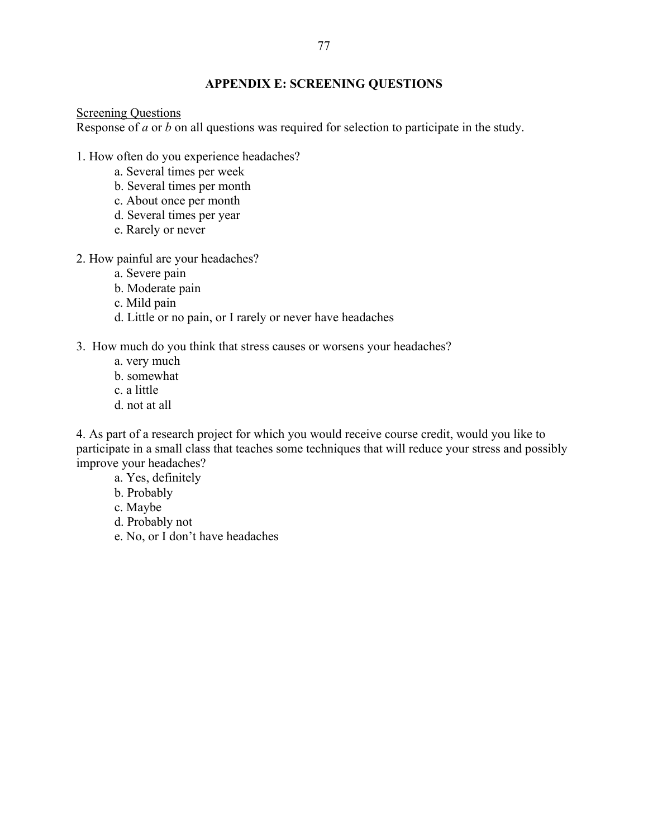# **APPENDIX E: SCREENING QUESTIONS**

# Screening Questions

Response of *a* or *b* on all questions was required for selection to participate in the study.

- 1. How often do you experience headaches?
	- a. Several times per week
	- b. Several times per month
	- c. About once per month
	- d. Several times per year
	- e. Rarely or never
- 2. How painful are your headaches?
	- a. Severe pain
	- b. Moderate pain
	- c. Mild pain
	- d. Little or no pain, or I rarely or never have headaches
- 3. How much do you think that stress causes or worsens your headaches?
	- a. very much
	- b. somewhat
	- c. a little
	- d. not at all

4. As part of a research project for which you would receive course credit, would you like to participate in a small class that teaches some techniques that will reduce your stress and possibly improve your headaches?

- a. Yes, definitely
- b. Probably
- c. Maybe
- d. Probably not
- e. No, or I don't have headaches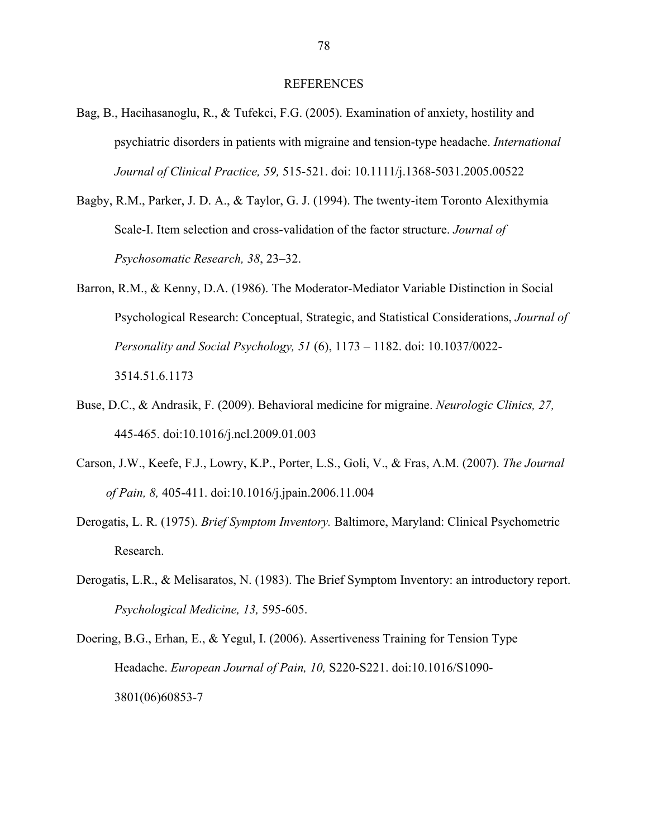#### REFERENCES

- Bag, B., Hacihasanoglu, R., & Tufekci, F.G. (2005). Examination of anxiety, hostility and psychiatric disorders in patients with migraine and tension-type headache. *International Journal of Clinical Practice, 59,* 515-521. doi: 10.1111/j.1368-5031.2005.00522
- Bagby, R.M., Parker, J. D. A., & Taylor, G. J. (1994). The twenty-item Toronto Alexithymia Scale-I. Item selection and cross-validation of the factor structure. *Journal of Psychosomatic Research, 38*, 23–32.
- Barron, R.M., & Kenny, D.A. (1986). The Moderator-Mediator Variable Distinction in Social Psychological Research: Conceptual, Strategic, and Statistical Considerations, *Journal of Personality and Social Psychology, 51* (6), 1173 – 1182. doi: 10.1037/0022- 3514.51.6.1173
- Buse, D.C., & Andrasik, F. (2009). Behavioral medicine for migraine. *Neurologic Clinics, 27,*  445-465. doi:10.1016/j.ncl.2009.01.003
- Carson, J.W., Keefe, F.J., Lowry, K.P., Porter, L.S., Goli, V., & Fras, A.M. (2007). *The Journal of Pain, 8,* 405-411. doi:10.1016/j.jpain.2006.11.004
- Derogatis, L. R. (1975). *Brief Symptom Inventory.* Baltimore, Maryland: Clinical Psychometric Research.
- Derogatis, L.R., & Melisaratos, N. (1983). The Brief Symptom Inventory: an introductory report. *Psychological Medicine, 13,* 595-605.
- Doering, B.G., Erhan, E., & Yegul, I. (2006). Assertiveness Training for Tension Type Headache. *European Journal of Pain, 10,* S220-S221. doi:10.1016/S1090- 3801(06)60853-7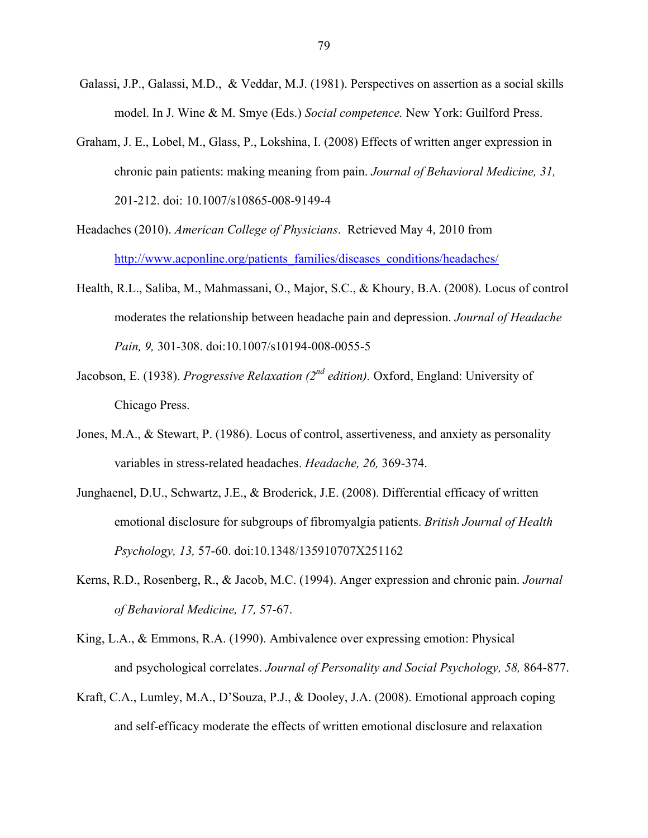- Galassi, J.P., Galassi, M.D., & Veddar, M.J. (1981). Perspectives on assertion as a social skills model. In J. Wine & M. Smye (Eds.) *Social competence.* New York: Guilford Press.
- Graham, J. E., Lobel, M., Glass, P., Lokshina, I. (2008) Effects of written anger expression in chronic pain patients: making meaning from pain. *Journal of Behavioral Medicine, 31,*  201-212. doi: 10.1007/s10865-008-9149-4
- Headaches (2010). *American College of Physicians*. Retrieved May 4, 2010 from http://www.acponline.org/patients families/diseases conditions/headaches/
- Health, R.L., Saliba, M., Mahmassani, O., Major, S.C., & Khoury, B.A. (2008). Locus of control moderates the relationship between headache pain and depression. *Journal of Headache Pain, 9,* 301-308. doi:10.1007/s10194-008-0055-5
- Jacobson, E. (1938). *Progressive Relaxation (2nd edition).* Oxford, England: University of Chicago Press.
- Jones, M.A., & Stewart, P. (1986). Locus of control, assertiveness, and anxiety as personality variables in stress-related headaches. *Headache, 26,* 369-374.
- Junghaenel, D.U., Schwartz, J.E., & Broderick, J.E. (2008). Differential efficacy of written emotional disclosure for subgroups of fibromyalgia patients. *British Journal of Health Psychology, 13,* 57-60. doi:10.1348/135910707X251162
- Kerns, R.D., Rosenberg, R., & Jacob, M.C. (1994). Anger expression and chronic pain. *Journal of Behavioral Medicine, 17,* 57-67.
- King, L.A., & Emmons, R.A. (1990). Ambivalence over expressing emotion: Physical and psychological correlates. *Journal of Personality and Social Psychology, 58,* 864-877.
- Kraft, C.A., Lumley, M.A., D'Souza, P.J., & Dooley, J.A. (2008). Emotional approach coping and self-efficacy moderate the effects of written emotional disclosure and relaxation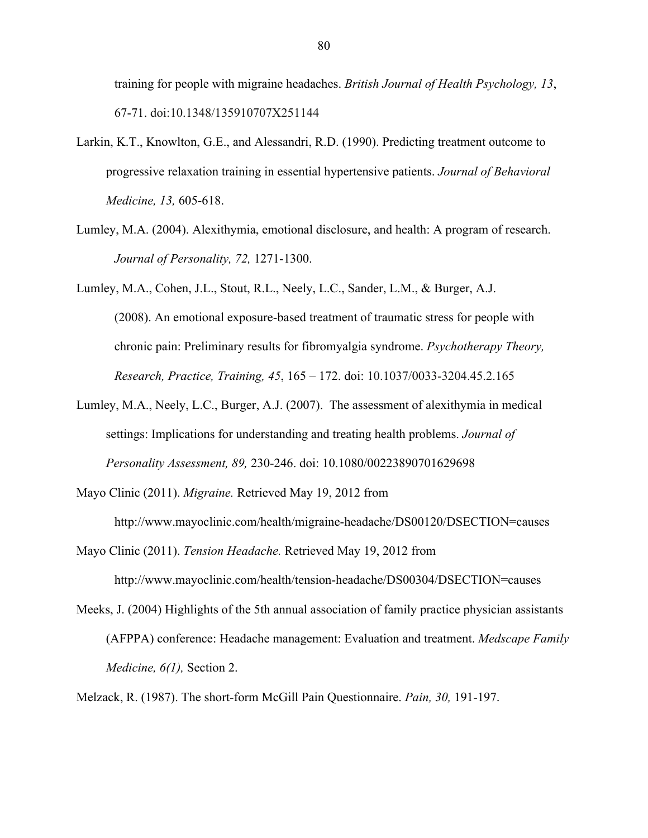training for people with migraine headaches. *British Journal of Health Psychology, 13*, 67-71. doi:10.1348/135910707X251144

- Larkin, K.T., Knowlton, G.E., and Alessandri, R.D. (1990). Predicting treatment outcome to progressive relaxation training in essential hypertensive patients. *Journal of Behavioral Medicine, 13,* 605-618.
- Lumley, M.A. (2004). Alexithymia, emotional disclosure, and health: A program of research. *Journal of Personality, 72,* 1271-1300.
- Lumley, M.A., Cohen, J.L., Stout, R.L., Neely, L.C., Sander, L.M., & Burger, A.J. (2008). An emotional exposure-based treatment of traumatic stress for people with chronic pain: Preliminary results for fibromyalgia syndrome. *Psychotherapy Theory, Research, Practice, Training, 45*, 165 – 172. doi: 10.1037/0033-3204.45.2.165
- Lumley, M.A., Neely, L.C., Burger, A.J. (2007). The assessment of alexithymia in medical settings: Implications for understanding and treating health problems. *Journal of Personality Assessment, 89,* 230-246. doi: 10.1080/00223890701629698

Mayo Clinic (2011). *Migraine.* Retrieved May 19, 2012 from

http://www.mayoclinic.com/health/migraine-headache/DS00120/DSECTION=causes

Mayo Clinic (2011). *Tension Headache.* Retrieved May 19, 2012 from

http://www.mayoclinic.com/health/tension-headache/DS00304/DSECTION=causes

Meeks, J. (2004) Highlights of the 5th annual association of family practice physician assistants (AFPPA) conference: Headache management: Evaluation and treatment. *Medscape Family Medicine, 6(1),* Section 2.

Melzack, R. (1987). The short-form McGill Pain Questionnaire. *Pain, 30,* 191-197.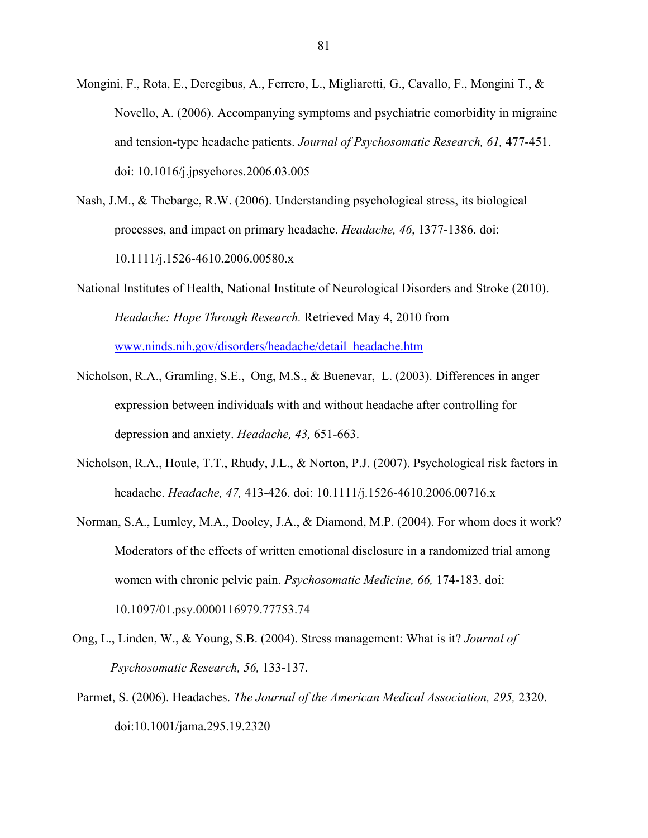- Mongini, F., Rota, E., Deregibus, A., Ferrero, L., Migliaretti, G., Cavallo, F., Mongini T., & Novello, A. (2006). Accompanying symptoms and psychiatric comorbidity in migraine and tension-type headache patients. *Journal of Psychosomatic Research, 61,* 477-451. doi: 10.1016/j.jpsychores.2006.03.005
- Nash, J.M., & Thebarge, R.W. (2006). Understanding psychological stress, its biological processes, and impact on primary headache. *Headache, 46*, 1377-1386. doi: 10.1111/j.1526-4610.2006.00580.x
- National Institutes of Health, National Institute of Neurological Disorders and Stroke (2010). *Headache: Hope Through Research.* Retrieved May 4, 2010 from www.ninds.nih.gov/disorders/headache/detail\_headache.htm
- Nicholson, R.A., Gramling, S.E., Ong, M.S., & Buenevar, L. (2003). Differences in anger expression between individuals with and without headache after controlling for depression and anxiety. *Headache, 43,* 651-663.
- Nicholson, R.A., Houle, T.T., Rhudy, J.L., & Norton, P.J. (2007). Psychological risk factors in headache. *Headache, 47,* 413-426. doi: 10.1111/j.1526-4610.2006.00716.x
- Norman, S.A., Lumley, M.A., Dooley, J.A., & Diamond, M.P. (2004). For whom does it work? Moderators of the effects of written emotional disclosure in a randomized trial among women with chronic pelvic pain. *Psychosomatic Medicine, 66,* 174-183. doi: 10.1097/01.psy.0000116979.77753.74
- Ong, L., Linden, W., & Young, S.B. (2004). Stress management: What is it? *Journal of Psychosomatic Research, 56,* 133-137.
- Parmet, S. (2006). Headaches. *The Journal of the American Medical Association, 295,* 2320. doi:10.1001/jama.295.19.2320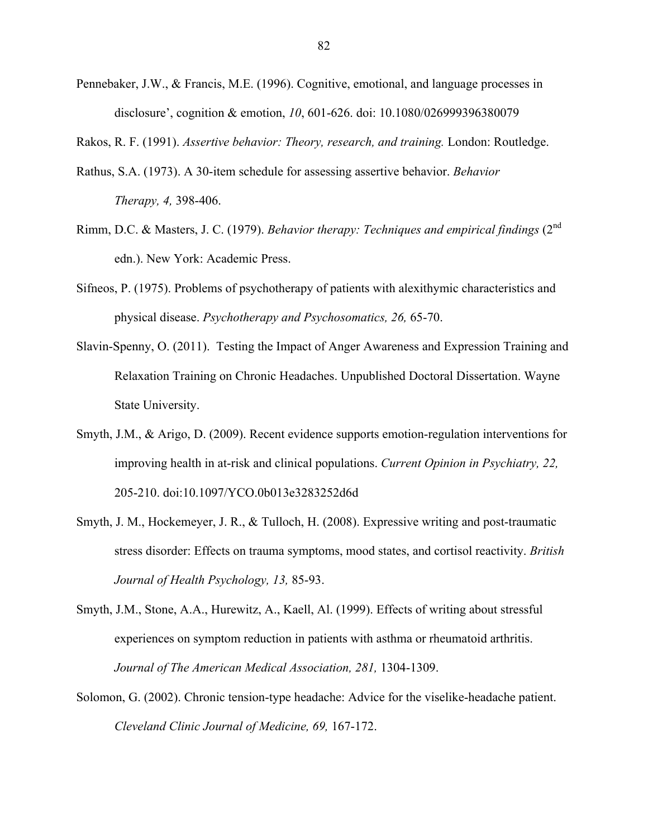- Pennebaker, J.W., & Francis, M.E. (1996). Cognitive, emotional, and language processes in disclosure', cognition & emotion, *10*, 601-626. doi: 10.1080/026999396380079
- Rakos, R. F. (1991). *Assertive behavior: Theory, research, and training.* London: Routledge.
- Rathus, S.A. (1973). A 30-item schedule for assessing assertive behavior. *Behavior Therapy, 4,* 398-406.
- Rimm, D.C. & Masters, J. C. (1979). *Behavior therapy: Techniques and empirical findings* (2nd edn.). New York: Academic Press.
- Sifneos, P. (1975). Problems of psychotherapy of patients with alexithymic characteristics and physical disease. *Psychotherapy and Psychosomatics, 26,* 65-70.
- Slavin-Spenny, O. (2011). Testing the Impact of Anger Awareness and Expression Training and Relaxation Training on Chronic Headaches. Unpublished Doctoral Dissertation. Wayne State University.
- Smyth, J.M., & Arigo, D. (2009). Recent evidence supports emotion-regulation interventions for improving health in at-risk and clinical populations. *Current Opinion in Psychiatry, 22,*  205-210. doi:10.1097/YCO.0b013e3283252d6d
- Smyth, J. M., Hockemeyer, J. R., & Tulloch, H. (2008). Expressive writing and post-traumatic stress disorder: Effects on trauma symptoms, mood states, and cortisol reactivity. *British Journal of Health Psychology, 13,* 85-93.
- Smyth, J.M., Stone, A.A., Hurewitz, A., Kaell, Al. (1999). Effects of writing about stressful experiences on symptom reduction in patients with asthma or rheumatoid arthritis. *Journal of The American Medical Association, 281,* 1304-1309.
- Solomon, G. (2002). Chronic tension-type headache: Advice for the viselike-headache patient. *Cleveland Clinic Journal of Medicine, 69,* 167-172.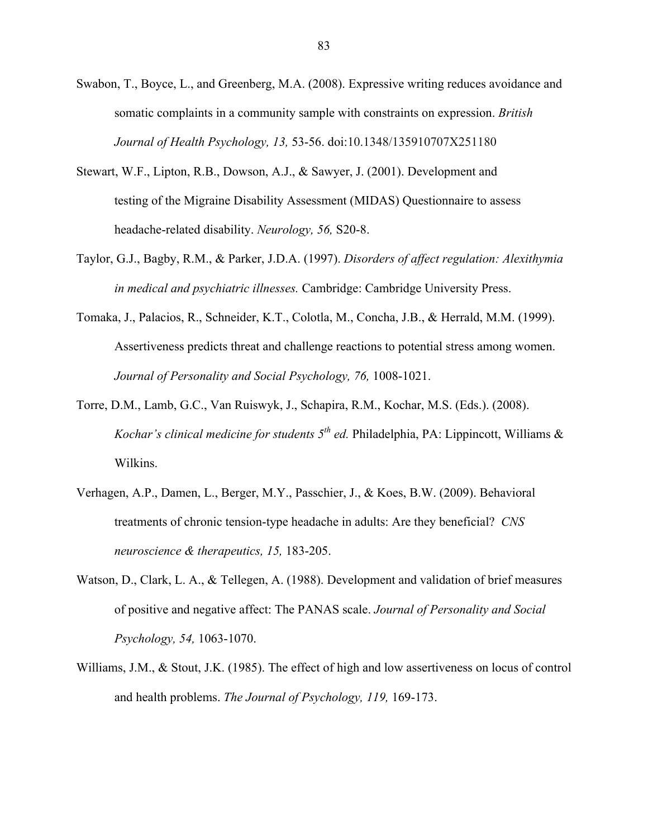- Swabon, T., Boyce, L., and Greenberg, M.A. (2008). Expressive writing reduces avoidance and somatic complaints in a community sample with constraints on expression. *British Journal of Health Psychology, 13,* 53-56. doi:10.1348/135910707X251180
- Stewart, W.F., Lipton, R.B., Dowson, A.J., & Sawyer, J. (2001). Development and testing of the Migraine Disability Assessment (MIDAS) Questionnaire to assess headache-related disability. *Neurology, 56,* S20-8.
- Taylor, G.J., Bagby, R.M., & Parker, J.D.A. (1997). *Disorders of affect regulation: Alexithymia in medical and psychiatric illnesses.* Cambridge: Cambridge University Press.
- Tomaka, J., Palacios, R., Schneider, K.T., Colotla, M., Concha, J.B., & Herrald, M.M. (1999). Assertiveness predicts threat and challenge reactions to potential stress among women. *Journal of Personality and Social Psychology, 76, 1008-1021.*
- Torre, D.M., Lamb, G.C., Van Ruiswyk, J., Schapira, R.M., Kochar, M.S. (Eds.). (2008). *Kochar's clinical medicine for students 5th ed.* Philadelphia, PA: Lippincott, Williams & Wilkins.
- Verhagen, A.P., Damen, L., Berger, M.Y., Passchier, J., & Koes, B.W. (2009). Behavioral treatments of chronic tension-type headache in adults: Are they beneficial? *CNS neuroscience & therapeutics, 15,* 183-205.
- Watson, D., Clark, L. A., & Tellegen, A. (1988). Development and validation of brief measures of positive and negative affect: The PANAS scale. *Journal of Personality and Social Psychology, 54,* 1063-1070.
- Williams, J.M., & Stout, J.K. (1985). The effect of high and low assertiveness on locus of control and health problems. *The Journal of Psychology, 119,* 169-173.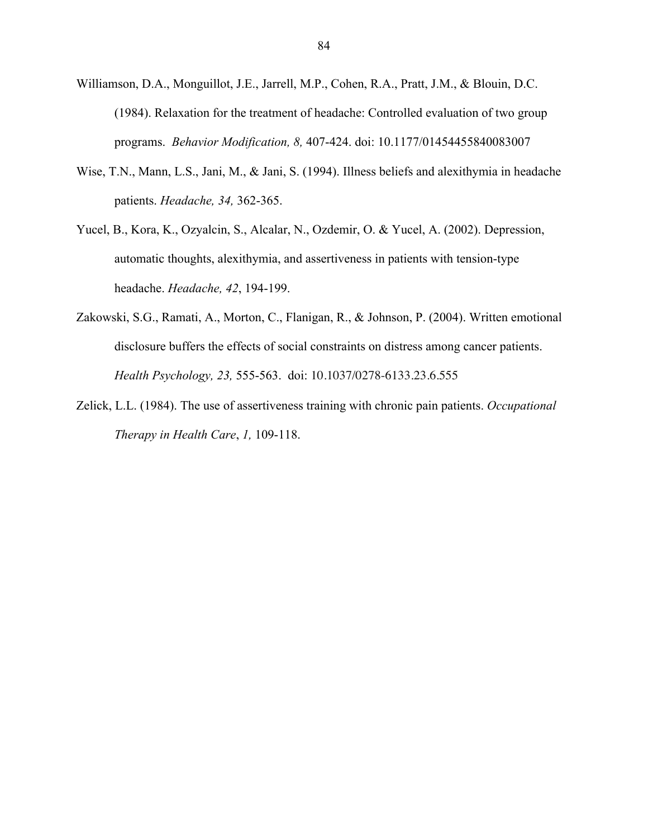- Williamson, D.A., Monguillot, J.E., Jarrell, M.P., Cohen, R.A., Pratt, J.M., & Blouin, D.C. (1984). Relaxation for the treatment of headache: Controlled evaluation of two group programs. *Behavior Modification, 8,* 407-424. doi: 10.1177/01454455840083007
- Wise, T.N., Mann, L.S., Jani, M., & Jani, S. (1994). Illness beliefs and alexithymia in headache patients. *Headache, 34,* 362-365.
- Yucel, B., Kora, K., Ozyalcin, S., Alcalar, N., Ozdemir, O. & Yucel, A. (2002). Depression, automatic thoughts, alexithymia, and assertiveness in patients with tension-type headache. *Headache, 42*, 194-199.
- Zakowski, S.G., Ramati, A., Morton, C., Flanigan, R., & Johnson, P. (2004). Written emotional disclosure buffers the effects of social constraints on distress among cancer patients. *Health Psychology, 23,* 555-563. doi: 10.1037/0278-6133.23.6.555
- Zelick, L.L. (1984). The use of assertiveness training with chronic pain patients. *Occupational Therapy in Health Care*, *1,* 109-118.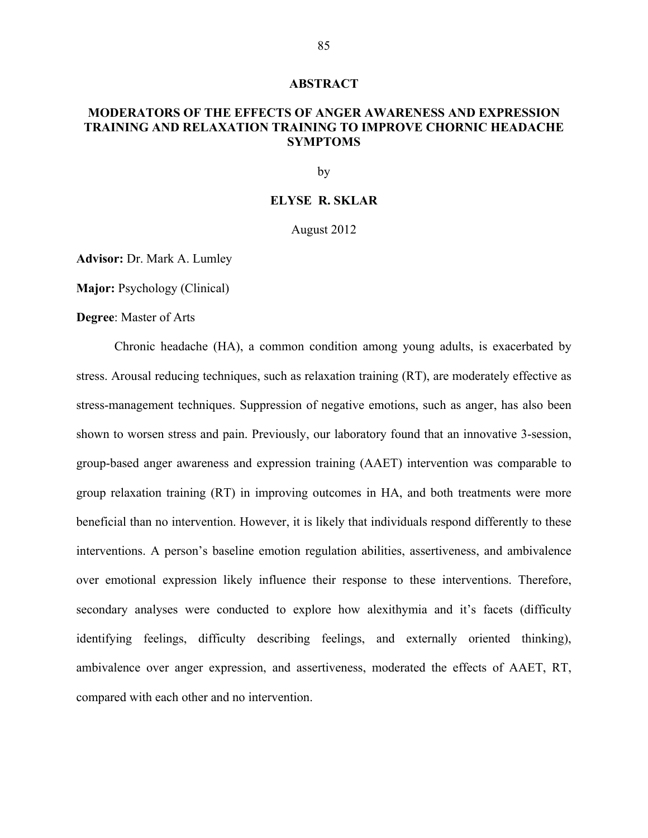#### **ABSTRACT**

# **MODERATORS OF THE EFFECTS OF ANGER AWARENESS AND EXPRESSION TRAINING AND RELAXATION TRAINING TO IMPROVE CHORNIC HEADACHE SYMPTOMS**

by

# **ELYSE R. SKLAR**

August 2012

**Advisor:** Dr. Mark A. Lumley

**Major:** Psychology (Clinical)

**Degree**: Master of Arts

Chronic headache (HA), a common condition among young adults, is exacerbated by stress. Arousal reducing techniques, such as relaxation training (RT), are moderately effective as stress-management techniques. Suppression of negative emotions, such as anger, has also been shown to worsen stress and pain. Previously, our laboratory found that an innovative 3-session, group-based anger awareness and expression training (AAET) intervention was comparable to group relaxation training (RT) in improving outcomes in HA, and both treatments were more beneficial than no intervention. However, it is likely that individuals respond differently to these interventions. A person's baseline emotion regulation abilities, assertiveness, and ambivalence over emotional expression likely influence their response to these interventions. Therefore, secondary analyses were conducted to explore how alexithymia and it's facets (difficulty identifying feelings, difficulty describing feelings, and externally oriented thinking), ambivalence over anger expression, and assertiveness, moderated the effects of AAET, RT, compared with each other and no intervention.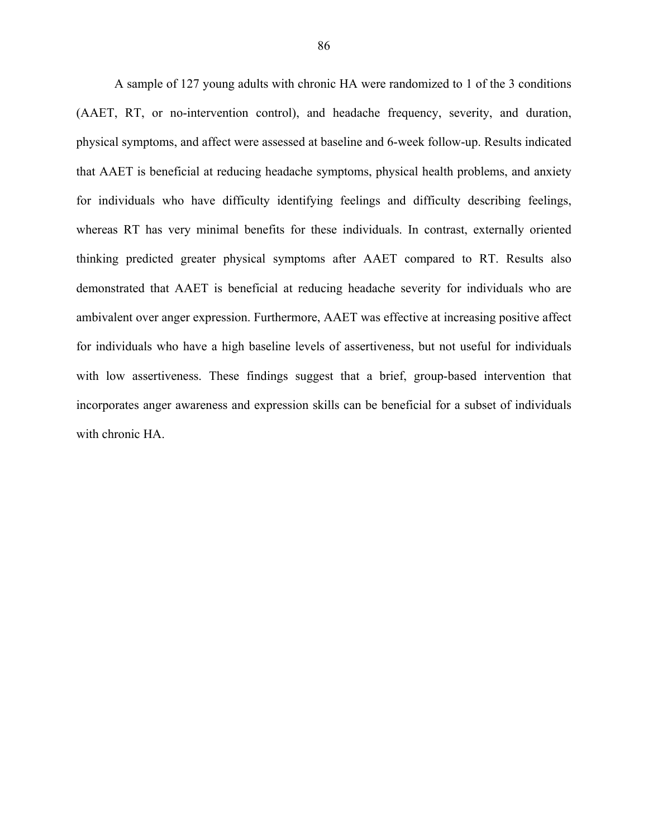A sample of 127 young adults with chronic HA were randomized to 1 of the 3 conditions (AAET, RT, or no-intervention control), and headache frequency, severity, and duration, physical symptoms, and affect were assessed at baseline and 6-week follow-up. Results indicated that AAET is beneficial at reducing headache symptoms, physical health problems, and anxiety for individuals who have difficulty identifying feelings and difficulty describing feelings, whereas RT has very minimal benefits for these individuals. In contrast, externally oriented thinking predicted greater physical symptoms after AAET compared to RT. Results also demonstrated that AAET is beneficial at reducing headache severity for individuals who are ambivalent over anger expression. Furthermore, AAET was effective at increasing positive affect for individuals who have a high baseline levels of assertiveness, but not useful for individuals with low assertiveness. These findings suggest that a brief, group-based intervention that incorporates anger awareness and expression skills can be beneficial for a subset of individuals with chronic HA.